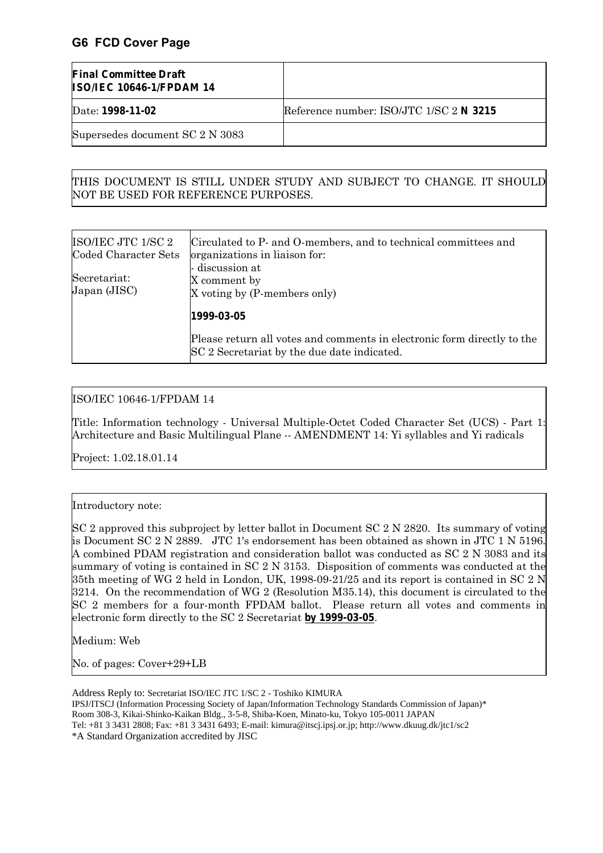## **G6 FCD Cover Page**

| <b>Final Committee Draft</b><br><b>ISO/IEC 10646-1/FPDAM 14</b> |                                         |
|-----------------------------------------------------------------|-----------------------------------------|
| Date: 1998-11-02                                                | Reference number: ISO/JTC 1/SC 2 N 3215 |
| Supersedes document SC 2 N 3083                                 |                                         |

#### THIS DOCUMENT IS STILL UNDER STUDY AND SUBJECT TO CHANGE. IT SHOULD NOT BE USED FOR REFERENCE PURPOSES.

| ISO/IEC JTC 1/SC 2<br>Coded Character Sets | Circulated to P- and O-members, and to technical committees and<br>organizations in liaison for:                       |  |  |  |  |
|--------------------------------------------|------------------------------------------------------------------------------------------------------------------------|--|--|--|--|
| Secretariat:<br>Japan (JISC)               | - discussion at<br>X comment by<br>X voting by (P-members only)                                                        |  |  |  |  |
|                                            | 1999-03-05                                                                                                             |  |  |  |  |
|                                            | Please return all votes and comments in electronic form directly to the<br>SC 2 Secretariat by the due date indicated. |  |  |  |  |

#### ISO/IEC 10646-1/FPDAM 14

Title: Information technology - Universal Multiple-Octet Coded Character Set (UCS) - Part 1: Architecture and Basic Multilingual Plane -- AMENDMENT 14: Yi syllables and Yi radicals

Project: 1.02.18.01.14

#### Introductory note:

SC 2 approved this subproject by letter ballot in Document SC 2 N 2820. Its summary of voting is Document SC 2 N 2889. JTC 1's endorsement has been obtained as shown in JTC 1 N 5196. A combined PDAM registration and consideration ballot was conducted as SC 2 N 3083 and its summary of voting is contained in SC 2 N 3153. Disposition of comments was conducted at the 35th meeting of WG 2 held in London, UK, 1998-09-21/25 and its report is contained in SC 2 N 3214. On the recommendation of WG 2 (Resolution M35.14), this document is circulated to the SC 2 members for a four-month FPDAM ballot. Please return all votes and comments in electronic form directly to the SC 2 Secretariat **by 1999-03-05**.

Medium: Web

No. of pages: Cover+29+LB

Address Reply to: Secretariat ISO/IEC JTC 1/SC 2 - Toshiko KIMURA

IPSJ/ITSCJ (Information Processing Society of Japan/Information Technology Standards Commission of Japan)\* Room 308-3, Kikai-Shinko-Kaikan Bldg., 3-5-8, Shiba-Koen, Minato-ku, Tokyo 105-0011 JAPAN

Tel: +81 3 3431 2808; Fax: +81 3 3431 6493; E-mail: kimura@itscj.ipsj.or.jp; http://www.dkuug.dk/jtc1/sc2

\*A Standard Organization accredited by JISC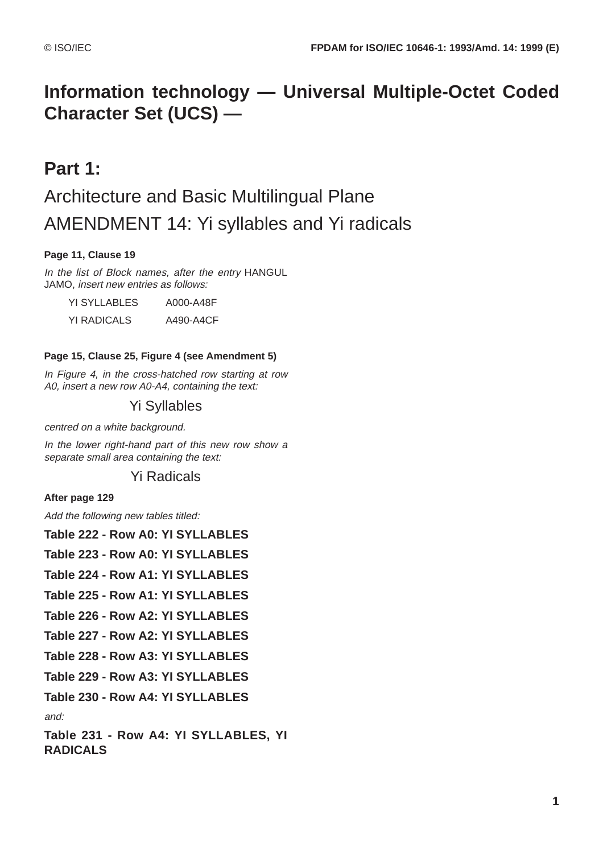## **Information technology — Universal Multiple-Octet Coded Character Set (UCS) —**

## **Part 1:**

# Architecture and Basic Multilingual Plane AMENDMENT 14: Yi syllables and Yi radicals

### **Page 11, Clause 19**

In the list of Block names, after the entry HANGUL JAMO, insert new entries as follows:

YI SYLLABLES A000-A48F

YI RADICALS A490-A4CF

### **Page 15, Clause 25, Figure 4 (see Amendment 5)**

In Figure 4, in the cross-hatched row starting at row A0, insert a new row A0-A4, containing the text:

## Yi Syllables

centred on a white background.

In the lower right-hand part of this new row show a separate small area containing the text:

## Yi Radicals

**After page 129**

Add the following new tables titled:

| Table 222 - Row A0: YI SYLLABLES                        |
|---------------------------------------------------------|
| Table 223 - Row A0: YI SYLLABLES                        |
| Table 224 - Row A1: YI SYLLABLES                        |
| Table 225 - Row A1: YI SYLLABLES                        |
| Table 226 - Row A2: YI SYLLABLES                        |
| Table 227 - Row A2: YI SYLLABLES                        |
| Table 228 - Row A3: YI SYLLABLES                        |
| Table 229 - Row A3: YI SYLLABLES                        |
| Table 230 - Row A4: YI SYLLABLES                        |
| and:                                                    |
| Table 231 - Row A4: YI SYLLABLES, YI<br><b>RADICALS</b> |
|                                                         |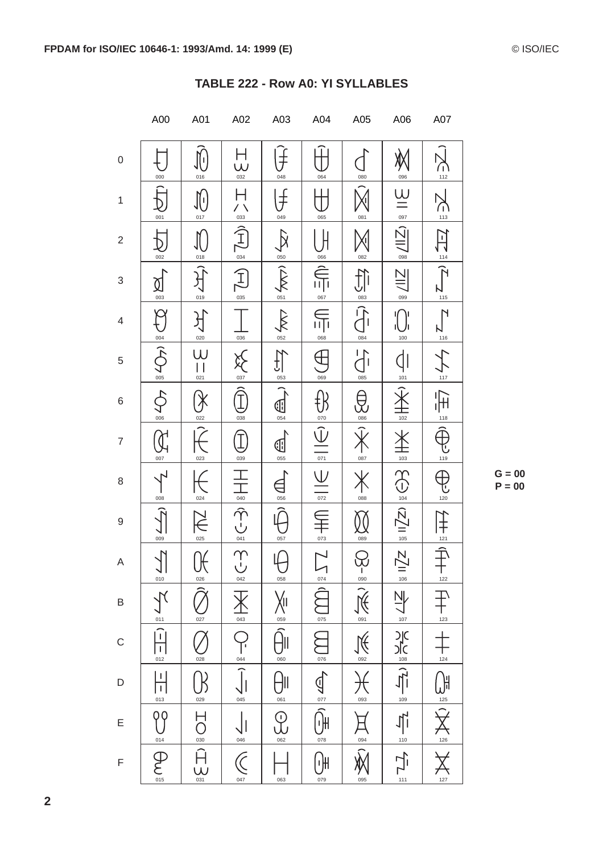|                           | A00                                                      | A01                               | A02                                                  | A03                                           | A04                                 | A05                                                             | A06                                                                                                                                                                                        | A07                                         |
|---------------------------|----------------------------------------------------------|-----------------------------------|------------------------------------------------------|-----------------------------------------------|-------------------------------------|-----------------------------------------------------------------|--------------------------------------------------------------------------------------------------------------------------------------------------------------------------------------------|---------------------------------------------|
| $\boldsymbol{0}$          | 000                                                      | $\prod_{i=1}^n$<br>016            | Н<br>W<br>$rac{6}{032}$                              | 048                                           | 064                                 | 080                                                             | 096                                                                                                                                                                                        | ∩ิ<br>112                                   |
| $\mathbf{1}$              | 001                                                      | 017                               | $\frac{1}{\frac{033}{2}}$                            | 049                                           | 065                                 | 081                                                             | $\underline{\underline{\mathsf{U}}}$<br>097                                                                                                                                                | G<br>113                                    |
| $\sqrt{2}$                | 002                                                      | 018                               | $\hat{\mathcal{I}}$<br>$\frac{0.34}{0}$              | 050                                           | 066                                 | 082                                                             | $\bar{\mathbf{N}}$<br>098                                                                                                                                                                  | $\sum$<br>114                               |
| $\ensuremath{\mathsf{3}}$ | ℣<br>$\frac{003}{}$                                      | 019                               | $\boxed{\text{H}}$                                   | $\frac{1}{2}$                                 | 067                                 | $\sum_{\circ\text{ss}}$                                         | 099                                                                                                                                                                                        | $\overline{\mathcal{P}}$<br>$\frac{1}{115}$ |
| $\overline{4}$            | Ç                                                        | 020                               | 036                                                  | 052                                           | 帀<br>068                            | 084                                                             | 100                                                                                                                                                                                        | 116                                         |
| $\,$ 5 $\,$               | $\frac{1}{\sqrt{2}}$<br>005                              | W<br>021                          | 037                                                  | 053                                           | 069                                 | 085                                                             | 101                                                                                                                                                                                        | $\sum_{117}$                                |
| 6                         | $\overline{\varphi}$<br>006                              | $\chi$<br>022                     | 038                                                  | 0<br>054                                      | $\frac{1}{\sqrt{2}}$                | $\bigoplus_{\circ\circ\circ}$                                   | $\frac{1}{102}$                                                                                                                                                                            | $\overline{\mathbb{H}}$                     |
| $\overline{7}$            | $\mathfrak{J}_{\!\!\scriptscriptstyle\mathrm{I}}$<br>007 | 023                               | 039                                                  | ℍ<br>055                                      | $\overline{071}$                    | 087                                                             | 103                                                                                                                                                                                        | 119                                         |
| 8                         | 008                                                      | 024                               |                                                      | 056                                           | $\bigvee$<br>072                    | 088                                                             | $\bigoplus_{104}$                                                                                                                                                                          | 120                                         |
| $\boldsymbol{9}$          | 009                                                      | $\breve{\in}$<br>025              | $\frac{1}{\sqrt{1-\frac{1}{2}}}\sqrt{1-\frac{1}{2}}$ | 057                                           | 073                                 | 089                                                             | $\frac{1}{105}$ II $\sqrt{2}$                                                                                                                                                              | 干<br>$121$                                  |
| A                         | $\overline{\mathcal{N}}$<br>$\frac{1}{\frac{010}{}}$     | $\bigoplus_{\underline{0\geq 6}}$ |                                                      | 058                                           |                                     |                                                                 |                                                                                                                                                                                            | 千<br>122                                    |
| $\sf B$                   |                                                          | 027                               | 043                                                  | $\frac{\sum_{\text{obs}}}{\sum_{\text{obs}}}$ | $rac{075}{1}$                       | $\frac{1}{2-\frac{1}{2}}\left(\frac{1}{2}\right)^{\frac{1}{2}}$ |                                                                                                                                                                                            | $\bigoplus_{123}$                           |
| $\mathsf{C}$              | $\frac{1}{\sqrt{2}}$                                     | 028                               | $\frac{1}{\sqrt{1}}$                                 | 060                                           | 076                                 | $\frac{1}{\sqrt{2}}$                                            |                                                                                                                                                                                            | 124                                         |
| D                         | $\frac{1}{1}$<br>013                                     | 029                               | 045                                                  | 061                                           | $\sum_{0.71}$                       | 大                                                               | $\mathsf{Z}\mathsf{Z}^{\parallel\frac{\omega}{2}}\xrightarrow{\mathsf{Z}}\mathsf{Z}\xrightarrow{\mathsf{Z}}\mathsf{Z}\xrightarrow{\mathsf{Z}}\mathsf{Z}\xrightarrow{\mathsf{Z}}\mathsf{Z}$ |                                             |
| E                         | 99                                                       | $\sum_{\text{odd}}$               |                                                      | $Q_{\frac{062}{}}$                            | $\widehat{\bigoplus_{\text{oris}}}$ | $\sum_{\circ\circ\circ}$                                        | $\frac{1}{\sqrt{1}}$                                                                                                                                                                       | $\sum_{126}$                                |
| $\mathsf F$               | $\begin{array}{c}\n\hline\n014 \\ \hline\n\end{array}$   | $\frac{1}{\prod_{031}}$           | $rac{046}{\sqrt{C}}$                                 | 063                                           | (∙)µ<br>079                         | 095                                                             | $\frac{1}{1}$<br>111                                                                                                                                                                       | $127$                                       |

### TABLE 222 - Row A0: YI SYLLABLES

 $G = 00$  $P = 00$ 

 $\overline{2}$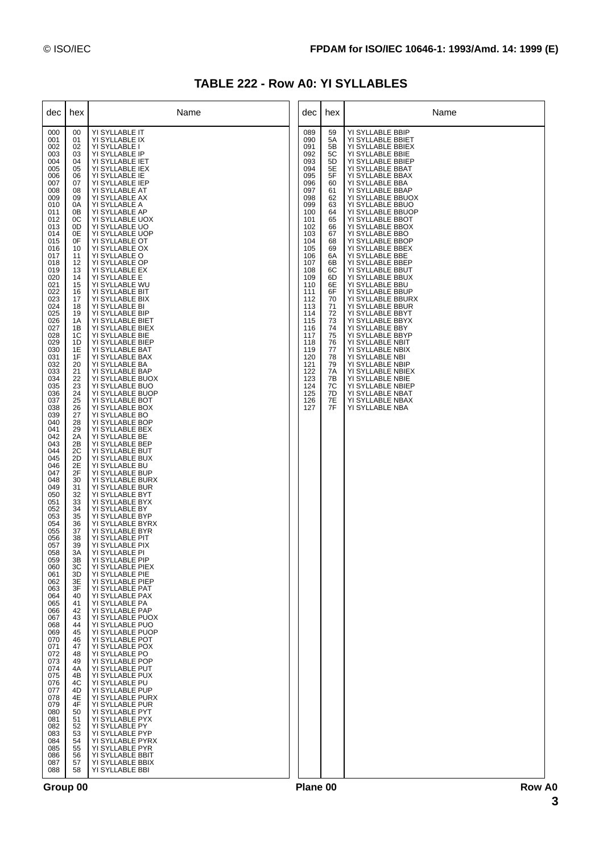## **TABLE 222 - Row A0: YI SYLLABLES**

| dec                                                                                                                                                                                                                                                                                                                                                                                                                                                                                                                                                                                                                                         | hex                                                                                                                                                                                                                                                                                                                                                                                                                                                                                                                                                | Name                                                                                                                                                                                                                                                                                                                                                                                                                                                                                                                                                                                                                                                                                                                                                                                                                                                                                                                                                                                                                                                                                                                                                                                                                                                                                                                                                                                                                                                                                                                                                                                                                                                                                                                                   | dec                                                                                                                                                                                                                                                                           | hex                                                                                                                                                                                                                                    | Name                                                                                                                                                                                                                                                                                                                                                                                                                                                                                                                                                                                                                                                                                                                                                                                                      |
|---------------------------------------------------------------------------------------------------------------------------------------------------------------------------------------------------------------------------------------------------------------------------------------------------------------------------------------------------------------------------------------------------------------------------------------------------------------------------------------------------------------------------------------------------------------------------------------------------------------------------------------------|----------------------------------------------------------------------------------------------------------------------------------------------------------------------------------------------------------------------------------------------------------------------------------------------------------------------------------------------------------------------------------------------------------------------------------------------------------------------------------------------------------------------------------------------------|----------------------------------------------------------------------------------------------------------------------------------------------------------------------------------------------------------------------------------------------------------------------------------------------------------------------------------------------------------------------------------------------------------------------------------------------------------------------------------------------------------------------------------------------------------------------------------------------------------------------------------------------------------------------------------------------------------------------------------------------------------------------------------------------------------------------------------------------------------------------------------------------------------------------------------------------------------------------------------------------------------------------------------------------------------------------------------------------------------------------------------------------------------------------------------------------------------------------------------------------------------------------------------------------------------------------------------------------------------------------------------------------------------------------------------------------------------------------------------------------------------------------------------------------------------------------------------------------------------------------------------------------------------------------------------------------------------------------------------------|-------------------------------------------------------------------------------------------------------------------------------------------------------------------------------------------------------------------------------------------------------------------------------|----------------------------------------------------------------------------------------------------------------------------------------------------------------------------------------------------------------------------------------|-----------------------------------------------------------------------------------------------------------------------------------------------------------------------------------------------------------------------------------------------------------------------------------------------------------------------------------------------------------------------------------------------------------------------------------------------------------------------------------------------------------------------------------------------------------------------------------------------------------------------------------------------------------------------------------------------------------------------------------------------------------------------------------------------------------|
| 000<br>001<br>002<br>003<br>004<br>005<br>006<br>007<br>008<br>009<br>010<br>011<br>012<br>013<br>014<br>015<br>016<br>017<br>018<br>019<br>020<br>021<br>022<br>023<br>024<br>025<br>026<br>027<br>028<br>029<br>030<br>031<br>032<br>033<br>034<br>035<br>036<br>037<br>038<br>039<br>040<br>041<br>042<br>043<br>044<br>045<br>046<br>047<br>048<br>049<br>050<br>051<br>052<br>053<br>054<br>055<br>056<br>057<br>058<br>059<br>060<br>061<br>062<br>063<br>064<br>065<br>066<br>067<br>068<br>069<br>070<br>071<br>072<br>073<br>074<br>075<br>076<br>077<br>078<br>079<br>080<br>081<br>082<br>083<br>084<br>085<br>086<br>087<br>088 | 00<br>01<br>02<br>03<br>04<br>05<br>06<br>07<br>08<br>09<br>0A<br>0Β<br>0C<br>0D<br>0E<br>0F<br>10<br>11<br>12<br>13<br>14<br>15<br>16<br>17<br>18<br>19<br>1A<br>1B<br>1C<br>1D<br>1E<br>1F<br>20<br>21<br>22<br>23<br>24<br>25<br>26<br>27<br>28<br>29<br>2A<br>2B<br>2C<br>2D<br>2E<br>2F<br>30<br>31<br>32<br>33<br>34<br>35<br>36<br>37<br>38<br>39<br>3A<br>ЗB<br>ЗC<br>3D<br>3E<br>3F<br>40<br>41<br>42<br>43<br>44<br>45<br>46<br>47<br>48<br>49<br>4A<br>4B<br>4C<br>4D<br>4E<br>4F<br>50<br>51<br>52<br>53<br>54<br>55<br>56<br>57<br>58 | YI SYLLABLE IT<br>YI SYLLABLE IX<br>YI SYLLABLE I<br>YI SYLLABLE IP<br>YI SYLLABLE IET<br>YI SYLLABLE IEX<br>YI SYLLABLE IE<br>YI SYLLABLE IEP<br>YI SYLLABLE AT<br>YI SYLLABLE AX<br>YI SYLLABLE A<br>YI SYLLABLE AP<br>YI SYLLABLE UOX<br>YI SYLLABLE UO<br>YI SYLLABLE UOP<br>YI SYLLABLE OT<br>YI SYLLABLE OX<br>YI SYLLABLE O<br>YI SYLLABLE OP<br>YI SYLLABLE EX<br>YI SYLLABLE E<br>YI SYLLABLE WU<br>YI SYLLABLE BIT<br>YI SYLLABLE BIX<br>YI SYLLABLE BI<br>YI SYLLABLE BIP<br>YI SYLLABLE BIET<br>YI SYLLABLE BIEX<br>YI SYLLABLE BIE<br>YI SYLLABLE BIEP<br>YI SYLLABLE BAT<br>YI SYLLABLE BAX<br>YI SYLLABLE BA<br>YI SYLLABLE BAP<br>YI SYLLABLE BUOX<br>YI SYLLABLE BUO<br>YI SYLLABLE BUOP<br>YI SYLLABLE BOT<br>YI SYLLABLE BOX<br>YI SYLLABLE BO<br>YI SYLLABLE BOP<br>YI SYLLABLE BEX<br>YI SYLLABLE BE<br>YI SYLLABLE BEP<br>YI SYLLABLE BUT<br>YI SYLLABLE BUX<br>YI SYLLABLE BU<br>YI SYLLABLE BUP<br>YI SYLLABLE BURX<br>YI SYLLABLE BUR<br>YI SYLLABLE BYT<br>YI SYLLABLE BYX<br>YI SYLLABLE BY<br>YI SYLLABLE BYP<br>YI SYLLABLE BYRX<br>YI SYLLABLE BYR<br>YI SYLLABLE PIT<br>YI SYLLABLE PIX<br>YI SYLLABLE PI<br>YI SYLLABLE PIP<br>YI SYLLABLE PIEX<br>YI SYLLABLE PIE<br>YI SYLLABLE PIEP<br>YI SYLLABLE PAT<br>YI SYLLABLE PAX<br>YI SYLLABLE PA<br>YI SYLLABLE PAP<br>YI SYLLABLE PUOX<br>YI SYLLABLE PUO<br>YI SYLLABLE PUOP<br>YI SYLLABLE POT<br>YI SYLLABLE POX<br>YI SYLLABLE PO<br>YI SYLLABLE POP<br>YI SYLLABLE PUT<br>YI SYLLABLE PUX<br>YI SYLLABLE PU<br>YI SYLLABLE PUP<br>YI SYLLABLE PURX<br>YI SYLLABLE PUR<br>YI SYLLABLE PYT<br>YI SYLLABLE PYX<br>YI SYLLABLE PY<br>YI SYLLABLE PYP<br>YI SYLLABLE PYRX<br>YI SYLLABLE PYR<br>YI SYLLABLE BBIT<br>YI SYLLABLE BBIX<br>YI SYLLABLE BBI | 089<br>090<br>091<br>092<br>093<br>094<br>095<br>096<br>097<br>098<br>099<br>100<br>101<br>102<br>103<br>104<br>105<br>106<br>107<br>108<br>109<br>110<br>111<br>112<br>113<br>114<br>115<br>116<br>117<br>118<br>119<br>120<br>121<br>122<br>123<br>124<br>125<br>126<br>127 | 59<br>5A<br>5B<br>5C<br>5D<br>5E<br>5F<br>60<br>61<br>62<br>63<br>64<br>65<br>66<br>67<br>68<br>69<br>6A<br>6B<br>6C<br>6D<br>6E<br>6F<br>70<br>71<br>72<br>73<br>74<br>75<br>76<br>77<br>78<br>79<br>7A<br>7В<br>7C<br>7D<br>7E<br>7F | YI SYLLABLE BBIP<br>YI SYLLABLE BBIET<br>YI SYLLABLE BBIEX<br>YI SYLLABLE BBIE<br>YI SYLLABLE BBIEP<br>YI SYLLABLE BBAT<br>YI SYLLABLE BBAX<br>YI SYLLABLE BBA<br>YI SYLLABLE BBAP<br>YI SYLLABLE BBUOX<br>YI SYLLABLE BBUO<br>YI SYLLABLE BBUOP<br>YI SYLLABLE BBOT<br>YI SYLLABLE BBOX<br>YI SYLLABLE BBO<br>YI SYLLABLE BBOP<br>YI SYLLABLE BBEX<br>YI SYLLABLE BBE<br>YI SYLLABLE BBEP<br>YI SYLLABLE BBUT<br>YI SYLLABLE BBUX<br>YI SYLLABLE BBU<br>YI SYLLABLE BBUP<br>YI SYLLABLE BBURX<br>YI SYLLABLE BBUR<br>YI SYLLABLE BBYT<br>YI SYLLABLE BBYX<br>YI SYLLABLE BBY<br>YI SYLLABLE BBYP<br>YI SYLLABLE NBIT<br>YI SYLLABLE NBIX<br>YI SYLLABLE NBI<br>YI SYLLABLE NBIP<br>YI SYLLABLE NBIEX<br>YI SYLLABLE NBIE<br>YI SYLLABLE NBIEP<br>YI SYLLABLE NBAT<br>YI SYLLABLE NBAX<br>YI SYLLABLE NBA |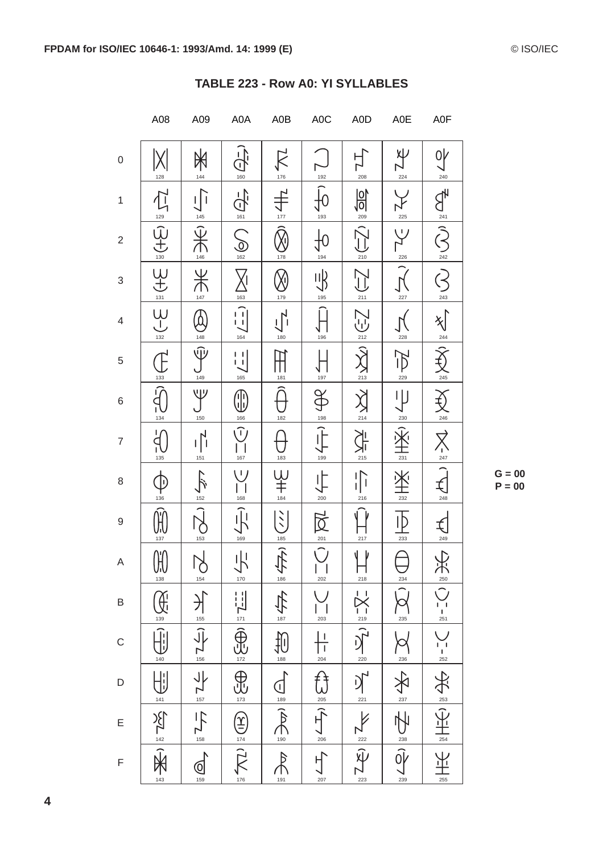|                          | A08                                                                                    | A09                                                                                                                           | A0A                                        | A0B                          | A0C                                                                                                                           | A0D                                                                                                                                                                                                                                                                                                                                                             | A0E             | A0F                                             |
|--------------------------|----------------------------------------------------------------------------------------|-------------------------------------------------------------------------------------------------------------------------------|--------------------------------------------|------------------------------|-------------------------------------------------------------------------------------------------------------------------------|-----------------------------------------------------------------------------------------------------------------------------------------------------------------------------------------------------------------------------------------------------------------------------------------------------------------------------------------------------------------|-----------------|-------------------------------------------------|
| 0                        | 128                                                                                    | 144                                                                                                                           | $\mathfrak{I}$<br>160                      | $\cancel{\mathsf{K}}$<br>176 | 192                                                                                                                           | 208                                                                                                                                                                                                                                                                                                                                                             | Xγ<br>224       | 0ł<br>240                                       |
| $\mathbf{1}$             | $\overrightarrow{L}$                                                                   | 145                                                                                                                           | ੇ<br>161                                   | 177                          | 193                                                                                                                           | 阶<br>209                                                                                                                                                                                                                                                                                                                                                        | 225             |                                                 |
| $\sqrt{2}$               | $\frac{129}{130}$                                                                      | 146                                                                                                                           | $\sum_{162}$                               | 178                          | 194                                                                                                                           | 210                                                                                                                                                                                                                                                                                                                                                             | いノ<br>226       | $\sum_{\frac{\alpha}{242}}\frac{1}{\sqrt{2}}$   |
| $\sqrt{3}$               | $\underbrace{H}_{\frac{131}{131}}$                                                     | $\frac{1}{\lambda}$<br>147                                                                                                    | 163                                        | 179                          | 丱<br>195                                                                                                                      | $\sum$<br>211                                                                                                                                                                                                                                                                                                                                                   | 227             | ヘベ<br>243                                       |
| $\overline{\mathcal{L}}$ | $\bigcup_{132}$                                                                        | 148                                                                                                                           | Ĥ<br>164                                   | 180                          | 196                                                                                                                           | ぃ<br>212                                                                                                                                                                                                                                                                                                                                                        | 228             | $\frac{244}{1}$                                 |
| 5                        | 133                                                                                    | $\widehat{\mathbb{U}}$<br>149                                                                                                 | $\frac{1}{2}$<br>165                       | 181                          | 197                                                                                                                           | $\frac{213}{213}$                                                                                                                                                                                                                                                                                                                                               | 229             | $rac{245}{1}$                                   |
| 6                        | 134                                                                                    | ツ<br>150                                                                                                                      | ${\color{black}\mathbb{T}}$<br>166         | 182                          | <b>A</b><br>198                                                                                                               | 区<br>全                                                                                                                                                                                                                                                                                                                                                          | 230             | $\sum_{\frac{246}{}}$                           |
| $\overline{7}$           | 135                                                                                    | 151                                                                                                                           | <u>ົ</u> )<br>167                          | 183                          | 199                                                                                                                           | 215                                                                                                                                                                                                                                                                                                                                                             | 231             | $\nabla$<br>$\sum_{247}$                        |
| 8                        | JĖ<br>136                                                                              | 152                                                                                                                           | $\perp$<br>168                             | $\frac{1}{1}$<br>184         | $\frac{1}{200}$                                                                                                               | 216                                                                                                                                                                                                                                                                                                                                                             | 232             | $\bigoplus_{248}$                               |
| 9                        | 137                                                                                    | 153                                                                                                                           | 169                                        | $\sum_{i=1}^{n}$<br>185      | $\boxtimes$<br>201                                                                                                            | 217                                                                                                                                                                                                                                                                                                                                                             | 233             | 249                                             |
| Α                        | $\bigoplus_{138}$                                                                      | $\bigcup_{154}$                                                                                                               | $\frac{1}{\sqrt{10}}$                      | $\frac{1}{180}$              | 202                                                                                                                           | Y<br>⇃<br>218                                                                                                                                                                                                                                                                                                                                                   | $\frac{234}{2}$ |                                                 |
| B                        |                                                                                        |                                                                                                                               |                                            | 全身                           | 203                                                                                                                           |                                                                                                                                                                                                                                                                                                                                                                 | 235             | $\sum_{\frac{1}{251}}$ $\sum_{\frac{251}{251}}$ |
| $\mathsf{C}$             | $\frac{1}{40}$                                                                         |                                                                                                                               |                                            | $\frac{1}{\sqrt{100}}$       | $\begin{array}{c c}\n\hline\n\end{array}$ $\begin{array}{c c}\n\hline\n\end{array}$ $\begin{array}{c c}\n\hline\n\end{array}$ |                                                                                                                                                                                                                                                                                                                                                                 | $\frac{236}{2}$ |                                                 |
| D                        |                                                                                        | $\frac{1}{\sqrt{2}}$ $\frac{1}{\sqrt{2}}$ $\frac{1}{\sqrt{2}}$ $\frac{1}{\sqrt{2}}$ $\frac{1}{\sqrt{2}}$ $\frac{1}{\sqrt{2}}$ | The read of the state                      | $\bigoplus_{189}$            |                                                                                                                               | $\sum_{23}^{15} \frac{1}{2} \sum_{12}^{15} \frac{1}{2} \sum_{12}^{15} \frac{1}{2} \sum_{12}^{15} \frac{1}{2} \sum_{12}^{15} \frac{1}{2} \sum_{12}^{15} \frac{1}{2} \sum_{12}^{15} \frac{1}{2} \sum_{12}^{15} \frac{1}{2} \sum_{12}^{15} \frac{1}{2} \sum_{12}^{15} \frac{1}{2} \sum_{12}^{15} \frac{1}{2} \sum_{12}^{15} \frac{1}{2} \sum_{12}^{15} \frac{1}{2$ |                 | HK MHK 2 24 MHK                                 |
| E                        | $\frac{1}{\sqrt{2}}\sum_{143}^{14}\frac{1}{\sqrt{2}}\sum_{143}^{14}\frac{1}{\sqrt{2}}$ |                                                                                                                               |                                            | $\overline{\mathbf{R}}$      | $\bigoplus_{205}^{n} \frac{1}{n} \sum_{206}^{n} \frac{1}{n} \left( \frac{1}{n} \right)^n$                                     |                                                                                                                                                                                                                                                                                                                                                                 | 全 is His        |                                                 |
| F                        |                                                                                        | 159                                                                                                                           | $\overbrace{(\mathbf{P})}^{\frac{1}{176}}$ | $\frac{1}{2}$<br>191         | 207                                                                                                                           |                                                                                                                                                                                                                                                                                                                                                                 | 239             | 255                                             |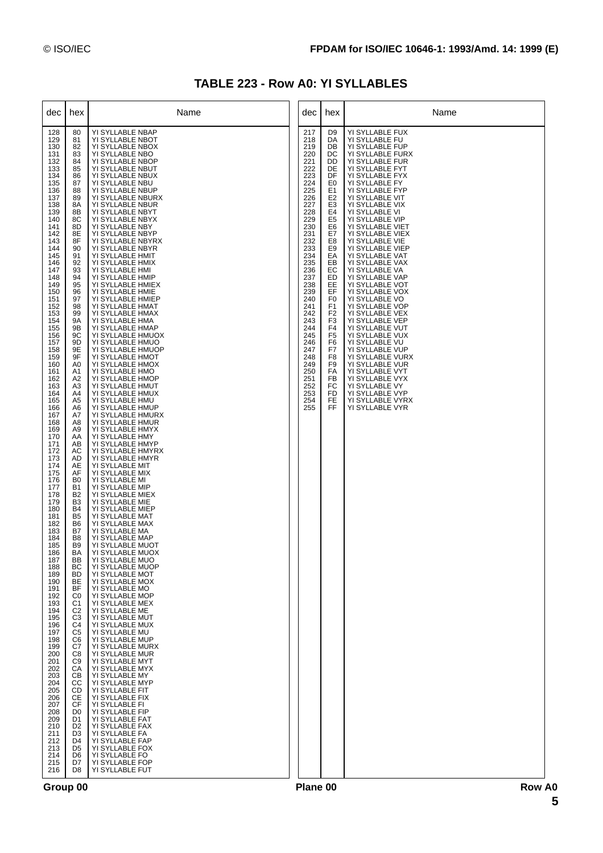| TABLE 223 - Row A0: YI SYLLABLES |  |  |  |  |  |  |
|----------------------------------|--|--|--|--|--|--|
|----------------------------------|--|--|--|--|--|--|

| dec                                                                                                                                                                                                                                                                                                                                                                                                                                                                                                                                                                                                                                         | hex                                                                                                                                                                                                                                                                                                                                                                                                                                                                                                                                                                                                                                                                                                                                                                                                                                                                       | Name                                                                                                                                                                                                                                                                                                                                                                                                                                                                                                                                                                                                                                                                                                                                                                                                                                                                                                                                                                                                                                                                                                                                                                                                                                                                                                                                                                                                                                                                                                                                                                                                                                                                                                                                                                                               | dec                                                                                                                                                                                                                                                                           | hex                                                                                                                                                                                                                                                                                                                                                                        | Name                                                                                                                                                                                                                                                                                                                                                                                                                                                                                                                                                                                                                                                                                                                                                             |
|---------------------------------------------------------------------------------------------------------------------------------------------------------------------------------------------------------------------------------------------------------------------------------------------------------------------------------------------------------------------------------------------------------------------------------------------------------------------------------------------------------------------------------------------------------------------------------------------------------------------------------------------|---------------------------------------------------------------------------------------------------------------------------------------------------------------------------------------------------------------------------------------------------------------------------------------------------------------------------------------------------------------------------------------------------------------------------------------------------------------------------------------------------------------------------------------------------------------------------------------------------------------------------------------------------------------------------------------------------------------------------------------------------------------------------------------------------------------------------------------------------------------------------|----------------------------------------------------------------------------------------------------------------------------------------------------------------------------------------------------------------------------------------------------------------------------------------------------------------------------------------------------------------------------------------------------------------------------------------------------------------------------------------------------------------------------------------------------------------------------------------------------------------------------------------------------------------------------------------------------------------------------------------------------------------------------------------------------------------------------------------------------------------------------------------------------------------------------------------------------------------------------------------------------------------------------------------------------------------------------------------------------------------------------------------------------------------------------------------------------------------------------------------------------------------------------------------------------------------------------------------------------------------------------------------------------------------------------------------------------------------------------------------------------------------------------------------------------------------------------------------------------------------------------------------------------------------------------------------------------------------------------------------------------------------------------------------------------|-------------------------------------------------------------------------------------------------------------------------------------------------------------------------------------------------------------------------------------------------------------------------------|----------------------------------------------------------------------------------------------------------------------------------------------------------------------------------------------------------------------------------------------------------------------------------------------------------------------------------------------------------------------------|------------------------------------------------------------------------------------------------------------------------------------------------------------------------------------------------------------------------------------------------------------------------------------------------------------------------------------------------------------------------------------------------------------------------------------------------------------------------------------------------------------------------------------------------------------------------------------------------------------------------------------------------------------------------------------------------------------------------------------------------------------------|
| 128<br>129<br>130<br>131<br>132<br>133<br>134<br>135<br>136<br>137<br>138<br>139<br>140<br>141<br>142<br>143<br>144<br>145<br>146<br>147<br>148<br>149<br>150<br>151<br>152<br>153<br>154<br>155<br>156<br>157<br>158<br>159<br>160<br>161<br>162<br>163<br>164<br>165<br>166<br>167<br>168<br>169<br>170<br>171<br>172<br>173<br>174<br>175<br>176<br>177<br>178<br>179<br>180<br>181<br>182<br>183<br>184<br>185<br>186<br>187<br>188<br>189<br>190<br>191<br>192<br>193<br>194<br>195<br>196<br>197<br>198<br>199<br>200<br>201<br>202<br>203<br>204<br>205<br>206<br>207<br>208<br>209<br>210<br>211<br>212<br>213<br>214<br>215<br>216 | 80<br>81<br>82<br>83<br>84<br>85<br>86<br>87<br>88<br>89<br>8A<br>8B<br>8C<br>8D<br>8E<br>8F<br>90<br>91<br>92<br>93<br>94<br>95<br>96<br>97<br>98<br>99<br>9Α<br>9Β<br>9C<br>9D<br>9Ε<br>9F<br>A <sub>0</sub><br>A1<br>A2<br>A3<br>A4<br>A <sub>5</sub><br>A6<br>A7<br>A8<br>A <sub>9</sub><br>AA<br>AB<br>АC<br>AD<br>AE<br>AF<br>B <sub>0</sub><br><b>B1</b><br>B <sub>2</sub><br>B <sub>3</sub><br>B4<br>B <sub>5</sub><br>B <sub>6</sub><br>B7<br>B <sub>8</sub><br>B <sub>9</sub><br>BA<br>ВB<br>BС<br><b>BD</b><br><b>BE</b><br>BF<br>C <sub>0</sub><br>C1<br>C <sub>2</sub><br>C <sub>3</sub><br>C <sub>4</sub><br>C <sub>5</sub><br>C <sub>6</sub><br>C7<br>C8<br>C <sub>9</sub><br>CA<br><b>CB</b><br>CC<br>CD<br>СE<br><b>CF</b><br>D <sub>0</sub><br>D1<br>D <sub>2</sub><br>D <sub>3</sub><br>D <sub>4</sub><br>D <sub>5</sub><br>D6<br>D7<br>D <sub>8</sub> | YI SYLLABLE NBAP<br>YI SYLLABLE NBOT<br>YI SYLLABLE NBOX<br>YI SYLLABLE NBO<br>YI SYLLABLE NBOP<br>YI SYLLABLE NBUT<br>YI SYLLABLE NBUX<br>YI SYLLABLE NBU<br>YI SYLLABLE NBUP<br>YI SYLLABLE NBURX<br>YI SYLLABLE NBUR<br>YI SYLLABLE NBYT<br>YI SYLLABLE NBYX<br>YI SYLLABLE NBY<br>YI SYLLABLE NBYP<br>YI SYLLABLE NBYRX<br>YI SYLLABLE NBYR<br>YI SYLLABLE HMIT<br>YI SYLLABLE HMIX<br>YI SYLLABLE HMI<br>YI SYLLABLE HMIP<br>YI SYLLABLE HMIEX<br>YI SYLLABLE HMIE<br>YI SYLLABLE HMIEP<br>YI SYLLABLE HMAT<br>YI SYLLABLE HMAX<br>YI SYLLABLE HMA<br>YI SYLLABLE HMAP<br>YI SYLLABLE HMUOX<br>YI SYLLABLE HMUO<br>YI SYLLABLE HMUOP<br>YI SYLLABLE HMOT<br>YI SYLLABLE HMOX<br>YI SYLLABLE HMO<br>YI SYLLABLE HMOP<br>YI SYLLABLE HMUT<br>YI SYLLABLE HMUX<br>YI SYLLABLE HMU<br>YI SYLLABLE HMUP<br>YI SYLLABLE HMURX<br>YI SYLLABLE HMUR<br>YI SYLLABLE HMYX<br>YI SYLLABLE HMY<br>YI SYLLABLE HMYP<br>YI SYLLABLE HMYRX<br>YI SYLLABLE HMYR<br>YI SYLLABLE MIT<br>YI SYLLABLE MIX<br>YI SYLLABLE MI<br>YI SYLLABLE MIP<br>YI SYLLABLE MIEX<br>YI SYLLABLE MIE<br>YI SYLLABLE MIEP<br>YI SYLLABLE MAT<br>YI SYLLABLE MAX<br>YI SYLLABLE MA<br>YI SYLLABLE MAP<br>YI SYLLABLE MUOT<br>YI SYLLABLE MUOX<br>YI SYLLABLE MUO<br>YI SYLLABLE MUOP<br>YI SYLLABLE MOT<br>YI SYLLABLE MOX<br>YI SYLLABLE MO<br>YI SYLLABLE MOP<br>YI SYLLABLE MEX<br>YI SYLLABLE ME<br>YI SYLLABLE MUT<br>YI SYLLABLE MUX<br>YI SYLLABLE MU<br>YI SYLLABLE MUP<br>YI SYLLABLE MURX<br>YI SYLLABLE MUR<br>YI SYLLABLE MYT<br>YI SYLLABLE MYX<br>YI SYLLABLE MY<br>YI SYLLABLE MYP<br>YI SYLLABLE FIT<br>YI SYLLABLE FIX<br>YI SYLLABLE FI<br>YI SYLLABLE FIP<br>YI SYLLABLE FAT<br>YI SYLLABLE FAX<br>YI SYLLABLE FA<br>YI SYLLABLE FAP<br>YI SYLLABLE FOX<br>YI SYLLABLE FO<br>YI SYLLABLE FOP<br>YI SYLLABLE FUT | 217<br>218<br>219<br>220<br>221<br>222<br>223<br>224<br>225<br>226<br>227<br>228<br>229<br>230<br>231<br>232<br>233<br>234<br>235<br>236<br>237<br>238<br>239<br>240<br>241<br>242<br>243<br>244<br>245<br>246<br>247<br>248<br>249<br>250<br>251<br>252<br>253<br>254<br>255 | D9<br>DA<br>DB<br>DC<br>DD<br>DE<br>DF<br>E <sub>0</sub><br>E1<br>E <sub>2</sub><br>E <sub>3</sub><br>E4<br>E <sub>5</sub><br>E6<br>E7<br>E8<br>E9<br>EA<br>EВ<br>EC<br>ED<br>EE<br>EF<br>F <sub>0</sub><br>F <sub>1</sub><br>F <sub>2</sub><br>F <sub>3</sub><br>F <sub>4</sub><br>F <sub>5</sub><br>F6<br>F7<br>F8<br>F <sub>9</sub><br>FA<br>FB<br>FC<br>FD<br>FE<br>FF | YI SYLLABLE FUX<br>YI SYLLABLE FU<br>YI SYLLABLE FUP<br>YI SYLLABLE FURX<br>YI SYLLABLE FUR<br>YI SYLLABLE FYT<br>YI SYLLABLE FYX<br>YI SYLLABLE FY<br>YI SYLLABLE FYP<br>YI SYLLABLE VIT<br>YI SYLLABLE VIX<br>YI SYLLABLE VI<br>YI SYLLABLE VIP<br>YI SYLLABLE VIET<br>YI SYLLABLE VIEX<br>YI SYLLABLE VIE<br>YI SYLLABLE VIEP<br>YI SYLLABLE VAT<br>YI SYLLABLE VAX<br>YI SYLLABLE VA<br>YI SYLLABLE VAP<br>YI SYLLABLE VOT<br>YI SYLLABLE VOX<br>YI SYLLABLE VO<br>YI SYLLABLE VOP<br>YI SYLLABLE VEX<br>YI SYLLABLE VEP<br>YI SYLLABLE VUT<br>YI SYLLABLE VUX<br>YI SYLLABLE VU<br>YI SYLLABLE VUP<br>YI SYLLABLE VURX<br>YI SYLLABLE VUR<br>YI SYLLABLE VYT<br>YI SYLLABLE VYX<br>YI SYLLABLE VY<br>YI SYLLABLE VYP<br>YI SYLLABLE VYRX<br>YI SYLLABLE VYR |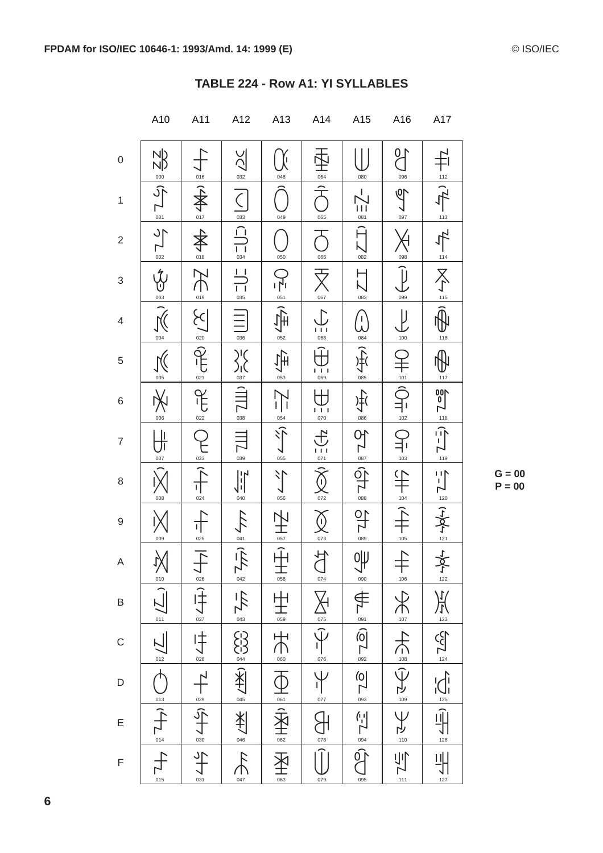|                         | A10                                                                                                                                                                                                             | A11                              | A12                                                                                                                                                                                                                                                                                                                                                                                                                                                   | A13                                                 | A14                                                                                                    | A15                                                                                                  | A16                     | A17                                                                                                                                                                                                                                                                                                                                                                                                                   |
|-------------------------|-----------------------------------------------------------------------------------------------------------------------------------------------------------------------------------------------------------------|----------------------------------|-------------------------------------------------------------------------------------------------------------------------------------------------------------------------------------------------------------------------------------------------------------------------------------------------------------------------------------------------------------------------------------------------------------------------------------------------------|-----------------------------------------------------|--------------------------------------------------------------------------------------------------------|------------------------------------------------------------------------------------------------------|-------------------------|-----------------------------------------------------------------------------------------------------------------------------------------------------------------------------------------------------------------------------------------------------------------------------------------------------------------------------------------------------------------------------------------------------------------------|
| $\mathbf 0$             |                                                                                                                                                                                                                 | 016                              | $\geq$<br>$\frac{032}{2}$                                                                                                                                                                                                                                                                                                                                                                                                                             | 048                                                 | 064                                                                                                    | 080                                                                                                  | $\sqrt{2}$<br>096       | $112$                                                                                                                                                                                                                                                                                                                                                                                                                 |
| $\mathbf{1}$            | $\frac{1}{2}\sum_{i=1}^{\infty}\frac{1}{2}\sum_{i=1}^{\infty}\frac{1}{2}$                                                                                                                                       | 全个<br>$rac{1}{2}$                | $\overline{\zeta}$                                                                                                                                                                                                                                                                                                                                                                                                                                    | 049                                                 | 065                                                                                                    | $\sum_{\frac{081}{2}}$                                                                               | $\sqrt{2}$<br>097       | $\mathcal{F}_{\mathcal{A}}$                                                                                                                                                                                                                                                                                                                                                                                           |
| $\overline{\mathbf{c}}$ | $\frac{1}{2}$                                                                                                                                                                                                   | 全<br>全                           | $\frac{1}{\sqrt{2}}$<br>$\frac{1}{034}$                                                                                                                                                                                                                                                                                                                                                                                                               | 050                                                 | 066                                                                                                    | Ĥ<br>$\sum_{082}$                                                                                    | 098                     | $\frac{113}{113}$<br>$\frac{114}{114}$                                                                                                                                                                                                                                                                                                                                                                                |
| 3                       | $\frac{35}{100}$                                                                                                                                                                                                | $\sum_{\circ \mathfrak{19}}$     | $\frac{1}{1}$<br>035                                                                                                                                                                                                                                                                                                                                                                                                                                  | 0=                                                  | 067                                                                                                    | $\overline{\Delta}$<br>083                                                                           | Ĵ<br>099                | $\sum_{n=1}^{\infty}$                                                                                                                                                                                                                                                                                                                                                                                                 |
| 4                       |                                                                                                                                                                                                                 | $\sum_{i=1}^{n}$<br>020          | $\frac{1}{036}$                                                                                                                                                                                                                                                                                                                                                                                                                                       | 052                                                 | $\frac{1}{1}$ 1                                                                                        | /」<br>人<br>084                                                                                       | $\overline{\mu}$<br>100 | 116                                                                                                                                                                                                                                                                                                                                                                                                                   |
| 5                       | $\frac{1}{\sqrt{2}}$                                                                                                                                                                                            | 021                              | $\frac{\sum_{0.37}^{16} (x^2+y^2)}{x^2}$                                                                                                                                                                                                                                                                                                                                                                                                              | 与<br>053                                            | $\frac{1}{069}$                                                                                        | $\frac{1}{\sqrt{1+\frac{1}{2}}}\cdot$                                                                | $101$                   | 117                                                                                                                                                                                                                                                                                                                                                                                                                   |
| 6                       | 006                                                                                                                                                                                                             | $\widetilde{\mathcal{F}}$<br>022 | $\frac{1}{2}$                                                                                                                                                                                                                                                                                                                                                                                                                                         | $\sum_{i=1}^{n}$<br>$\frac{054}{1}$                 | $\frac{1}{070}$                                                                                        | 手                                                                                                    | 二十二<br>102              | $rac{1}{118}$                                                                                                                                                                                                                                                                                                                                                                                                         |
| $\overline{7}$          | $\frac{1}{\sqrt{1}}$<br>007                                                                                                                                                                                     | 023                              | EZ TIT                                                                                                                                                                                                                                                                                                                                                                                                                                                | $\frac{2}{\sqrt{2}}$                                | 今 三七                                                                                                   | 52 161                                                                                               | $\sum_{103}$            | $\frac{1}{\sqrt{2}}$                                                                                                                                                                                                                                                                                                                                                                                                  |
| 8                       | ${\bf 008}$                                                                                                                                                                                                     | 024                              | $\left\  \cdot \right\ $<br>040                                                                                                                                                                                                                                                                                                                                                                                                                       | $\leq$<br>056                                       | $rac{1}{072}$                                                                                          | $\frac{1}{\sqrt{2}}$                                                                                 | 104                     | $\frac{120}{2}$                                                                                                                                                                                                                                                                                                                                                                                                       |
| 9                       | 009                                                                                                                                                                                                             | 025                              |                                                                                                                                                                                                                                                                                                                                                                                                                                                       | 057                                                 | $\left(\right)$<br>$rac{1}{073}$                                                                       | 약<br>089                                                                                             | 105                     |                                                                                                                                                                                                                                                                                                                                                                                                                       |
| A                       |                                                                                                                                                                                                                 | $\overline{\Gamma}$<br>026       |                                                                                                                                                                                                                                                                                                                                                                                                                                                       | $\overline{\hat{\pm}}$<br>$\frac{1}{\frac{0.58}{}}$ | $\frac{1}{2}$<br>074                                                                                   | Ψ<br>090                                                                                             | $\frac{1}{106}$         | $122 + 64 - 2$                                                                                                                                                                                                                                                                                                                                                                                                        |
| B                       | $\sum_{\substack{\beta \\ \vdots \\ \beta \in \mathbb{Z}}} \frac{1}{\beta} \sum_{\substack{\beta \\ \vdots \\ \beta \in \mathbb{Z}}} \frac{1}{\beta} \sum_{\substack{\beta \\ \vdots \\ \beta \in \mathbb{Z}}}$ |                                  |                                                                                                                                                                                                                                                                                                                                                                                                                                                       |                                                     |                                                                                                        |                                                                                                      |                         |                                                                                                                                                                                                                                                                                                                                                                                                                       |
| C                       |                                                                                                                                                                                                                 | $\frac{1}{\sqrt{1+1}}$           |                                                                                                                                                                                                                                                                                                                                                                                                                                                       |                                                     | $\frac{1}{\sqrt{1-\frac{1}{\sqrt{10}}}}\sum_{\alpha=0}^{\infty}\frac{1}{\sqrt{1-\frac{1}{\sqrt{10}}}}$ |                                                                                                      |                         |                                                                                                                                                                                                                                                                                                                                                                                                                       |
| D                       |                                                                                                                                                                                                                 |                                  |                                                                                                                                                                                                                                                                                                                                                                                                                                                       |                                                     |                                                                                                        |                                                                                                      |                         |                                                                                                                                                                                                                                                                                                                                                                                                                       |
| E                       | $1 + \frac{2}{3} + \frac{1}{2}$                                                                                                                                                                                 | 나을 (수<br>                        | $\frac{1}{\sqrt{1-\frac{1}{2}}}\left\ \frac{1}{\sqrt{1-\frac{1}{2}}}\right\ \frac{1}{\sqrt{1-\frac{1}{2}}}\left\ \frac{1}{\sqrt{1-\frac{1}{2}}}\right\ \frac{1}{\sqrt{1-\frac{1}{2}}}\left\ \frac{1}{\sqrt{1-\frac{1}{2}}}\right\ \frac{1}{\sqrt{1-\frac{1}{2}}}\left\ \frac{1}{\sqrt{1-\frac{1}{2}}}\right\ \frac{1}{\sqrt{1-\frac{1}{2}}}\right\ \frac{1}{\sqrt{1-\frac{1}{2}}}\left\ \frac{1}{\sqrt{1-\frac{1}{2}}}\right\ \frac{1}{\sqrt{1-\frac$ | HR SA TH SA TH SH SH SH                             | $\bigoplus_{\circ \pi}$                                                                                | $\frac{1}{\sqrt{1-\frac{5}{2}}}$ (g $ \frac{2}{3}$ (g $ \frac{2}{3}$ ( $\frac{2}{3}$ ( $\frac{1}{3}$ | 오르 나드의 오르 후로 부          | $\frac{1}{\sqrt{11}} = \frac{1}{\sqrt{11}} = \frac{1}{\sqrt{11}} = \frac{1}{\sqrt{11}} = \frac{1}{\sqrt{11}} = \frac{1}{\sqrt{11}} = \frac{1}{\sqrt{11}} = \frac{1}{\sqrt{11}} = \frac{1}{\sqrt{11}} = \frac{1}{\sqrt{11}} = \frac{1}{\sqrt{11}} = \frac{1}{\sqrt{11}} = \frac{1}{\sqrt{11}} = \frac{1}{\sqrt{11}} = \frac{1}{\sqrt{11}} = \frac{1}{\sqrt{11}} = \frac{1}{\sqrt{11}} = \frac{1}{\sqrt{11}} = \frac{1$ |
| F                       | 015                                                                                                                                                                                                             | 031                              | 047                                                                                                                                                                                                                                                                                                                                                                                                                                                   | 063                                                 | 079                                                                                                    | 095                                                                                                  |                         | 127                                                                                                                                                                                                                                                                                                                                                                                                                   |

#### TABLE 224 - Row A1: YI SYLLABLES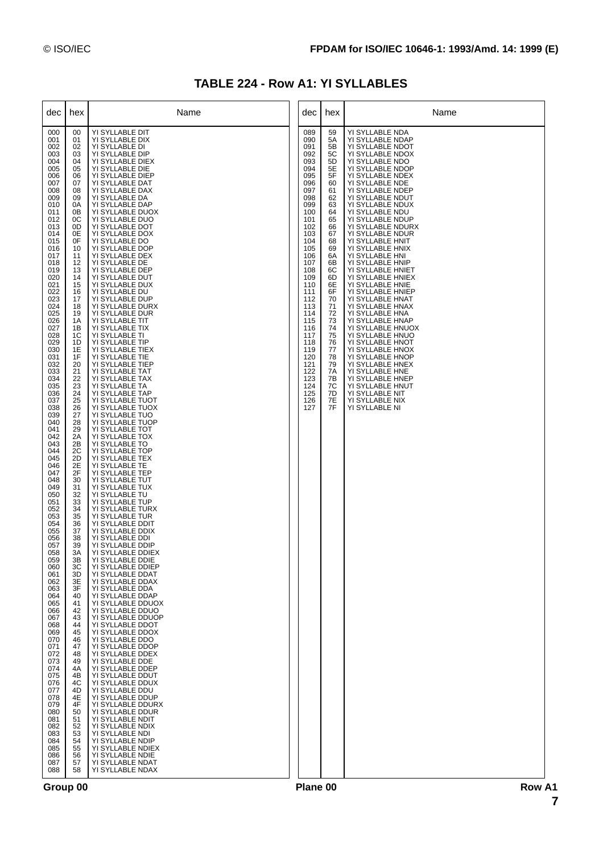|  |  | <b>TABLE 224 - Row A1: YI SYLLABLES</b> |
|--|--|-----------------------------------------|
|--|--|-----------------------------------------|

| dec                                                                                                                                                                                                                                                                                                                                                                                                                                                                                                                                                                                                                                         | hex                                                                                                                                                                                                                                                                                                                                                                                                                                                                                                                                                | Name                                                                                                                                                                                                                                                                                                                                                                                                                                                                                                                                                                                                                                                                                                                                                                                                                                                                                                                                                                                                                                                                                                                                                                                                                                                                                                                                                                                                                                                                                                                                                                                                                                                                                                                                                                                       | dec                                                                                                                                                                                                                                                                           | hex                                                                                                                                                                                                                                    | Name                                                                                                                                                                                                                                                                                                                                                                                                                                                                                                                                                                                                                                                                                                                                                                                               |
|---------------------------------------------------------------------------------------------------------------------------------------------------------------------------------------------------------------------------------------------------------------------------------------------------------------------------------------------------------------------------------------------------------------------------------------------------------------------------------------------------------------------------------------------------------------------------------------------------------------------------------------------|----------------------------------------------------------------------------------------------------------------------------------------------------------------------------------------------------------------------------------------------------------------------------------------------------------------------------------------------------------------------------------------------------------------------------------------------------------------------------------------------------------------------------------------------------|--------------------------------------------------------------------------------------------------------------------------------------------------------------------------------------------------------------------------------------------------------------------------------------------------------------------------------------------------------------------------------------------------------------------------------------------------------------------------------------------------------------------------------------------------------------------------------------------------------------------------------------------------------------------------------------------------------------------------------------------------------------------------------------------------------------------------------------------------------------------------------------------------------------------------------------------------------------------------------------------------------------------------------------------------------------------------------------------------------------------------------------------------------------------------------------------------------------------------------------------------------------------------------------------------------------------------------------------------------------------------------------------------------------------------------------------------------------------------------------------------------------------------------------------------------------------------------------------------------------------------------------------------------------------------------------------------------------------------------------------------------------------------------------------|-------------------------------------------------------------------------------------------------------------------------------------------------------------------------------------------------------------------------------------------------------------------------------|----------------------------------------------------------------------------------------------------------------------------------------------------------------------------------------------------------------------------------------|----------------------------------------------------------------------------------------------------------------------------------------------------------------------------------------------------------------------------------------------------------------------------------------------------------------------------------------------------------------------------------------------------------------------------------------------------------------------------------------------------------------------------------------------------------------------------------------------------------------------------------------------------------------------------------------------------------------------------------------------------------------------------------------------------|
| 000<br>001<br>002<br>003<br>004<br>005<br>006<br>007<br>008<br>009<br>010<br>011<br>012<br>013<br>014<br>015<br>016<br>017<br>018<br>019<br>020<br>021<br>022<br>023<br>024<br>025<br>026<br>027<br>028<br>029<br>030<br>031<br>032<br>033<br>034<br>035<br>036<br>037<br>038<br>039<br>040<br>041<br>042<br>043<br>044<br>045<br>046<br>047<br>048<br>049<br>050<br>051<br>052<br>053<br>054<br>055<br>056<br>057<br>058<br>059<br>060<br>061<br>062<br>063<br>064<br>065<br>066<br>067<br>068<br>069<br>070<br>071<br>072<br>073<br>074<br>075<br>076<br>077<br>078<br>079<br>080<br>081<br>082<br>083<br>084<br>085<br>086<br>087<br>088 | 00<br>01<br>02<br>03<br>04<br>05<br>06<br>07<br>08<br>09<br>0A<br>0B<br>0C<br>0D<br>0E<br>0F<br>10<br>11<br>12<br>13<br>14<br>15<br>16<br>17<br>18<br>19<br>1A<br>1B<br>1C<br>1D<br>1E<br>1F<br>20<br>21<br>22<br>23<br>24<br>25<br>26<br>27<br>28<br>29<br>2A<br>2B<br>2C<br>2D<br>2E<br>2F<br>30<br>31<br>32<br>33<br>34<br>35<br>36<br>37<br>38<br>39<br>3A<br>ЗB<br>ЗC<br>3D<br>3E<br>3F<br>40<br>41<br>42<br>43<br>44<br>45<br>46<br>47<br>48<br>49<br>4A<br>4B<br>4C<br>4D<br>4E<br>4F<br>50<br>51<br>52<br>53<br>54<br>55<br>56<br>57<br>58 | YI SYLLABLE DIT<br>YI SYLLABLE DIX<br>YI SYLLABLE DI<br>YI SYLLABLE DIP<br>YI SYLLABLE DIEX<br>YI SYLLABLE DIE<br>YI SYLLABLE DIEP<br>YI SYLLABLE DAT<br>YI SYLLABLE DAX<br>YI SYLLABLE DA<br>YI SYLLABLE DAP<br>YI SYLLABLE DUOX<br>YI SYLLABLE DUO<br>YI SYLLABLE DOT<br>YI SYLLABLE DOX<br>YI SYLLABLE DO<br>YI SYLLABLE DOP<br>YI SYLLABLE DEX<br>YI SYLLABLE DE<br>YI SYLLABLE DEP<br>YI SYLLABLE DUT<br>YI SYLLABLE DUX<br>YI SYLLABLE DU<br>YI SYLLABLE DUP<br>YI SYLLABLE DURX<br>YI SYLLABLE DUR<br>YI SYLLABLE TIT<br>YI SYLLABLE TIX<br>YI SYLLABLE TI<br>YI SYLLABLE TIP<br>YI SYLLABLE TIEX<br>YI SYLLABLE TIE<br>YI SYLLABLE TIEP<br>YI SYLLABLE TAT<br>YI SYLLABLE TAX<br>YI SYLLABLE TA<br>YI SYLLABLE TAP<br>YI SYLLABLE TUOT<br>YI SYLLABLE TUOX<br>YI SYLLABLE TUO<br>YI SYLLABLE TUOP<br>YI SYLLABLE TOT<br>YI SYLLABLE TOX<br>YI SYLLABLE TO<br>YI SYLLABLE TOP<br>YI SYLLABLE TEX<br>YI SYLLABLE TE<br>YI SYLLABLE TEP<br>YI SYLLABLE TUT<br>YI SYLLABLE TUX<br>YI SYLLABLE TU<br>YI SYLLABLE TUP<br>YI SYLLABLE TURX<br>YI SYLLABLE TUR<br>YI SYLLABLE DDIT<br>YI SYLLABLE DDIX<br>YI SYLLABLE DDI<br>YI SYLLABLE DDIP<br>YI SYLLABLE DDIEX<br>YI SYLLABLE DDIE<br>YI SYLLABLE DDIEP<br>YI SYLLABLE DDAT<br>YI SYLLABLE DDAX<br>YI SYLLABLE DDA<br>YI SYLLABLE DDAP<br>YI SYLLABLE DDUOX<br>YI SYLLABLE DDUO<br>YI SYLLABLE DDUOP<br>YI SYLLABLE DDOT<br>YI SYLLABLE DDOX<br>YI SYLLABLE DDO<br>YI SYLLABLE DDOP<br>YI SYLLABLE DDEX<br>YI SYLLABLE DDE<br>YI SYLLABLE DDEP<br>YI SYLLABLE DDUT<br>YI SYLLABLE DDUX<br>YI SYLLABLE DDU<br>YI SYLLABLE DDUP<br>YI SYLLABLE DDURX<br>YI SYLLABLE DDUR<br>YI SYLLABLE NDIT<br>YI SYLLABLE NDIX<br>YI SYLLABLE NDI<br>YI SYLLABLE NDIP<br>YI SYLLABLE NDIEX<br>YI SYLLABLE NDIE<br>YI SYLLABLE NDAT<br>YI SYLLABLE NDAX | 089<br>090<br>091<br>092<br>093<br>094<br>095<br>096<br>097<br>098<br>099<br>100<br>101<br>102<br>103<br>104<br>105<br>106<br>107<br>108<br>109<br>110<br>111<br>112<br>113<br>114<br>115<br>116<br>117<br>118<br>119<br>120<br>121<br>122<br>123<br>124<br>125<br>126<br>127 | 59<br>5A<br>5B<br>5C<br>5D<br>5E<br>5F<br>60<br>61<br>62<br>63<br>64<br>65<br>66<br>67<br>68<br>69<br>6A<br>6B<br>6C<br>6D<br>6E<br>6F<br>70<br>71<br>72<br>73<br>74<br>75<br>76<br>77<br>78<br>79<br>7A<br>7B<br>7C<br>7D<br>7Е<br>7F | YI SYLLABLE NDA<br>YI SYLLABLE NDAP<br>YI SYLLABLE NDOT<br>YI SYLLABLE NDOX<br>YI SYLLABLE NDO<br>YI SYLLABLE NDOP<br>YI SYLLABLE NDEX<br>YI SYLLABLE NDE<br>YI SYLLABLE NDEP<br>YI SYLLABLE NDUT<br>YI SYLLABLE NDUX<br>YI SYLLABLE NDU<br>YI SYLLABLE NDUP<br>YI SYLLABLE NDURX<br>YI SYLLABLE NDUR<br>YI SYLLABLE HNIT<br>YI SYLLABLE HNIX<br>YI SYLLABLE HNI<br>YI SYLLABLE HNIP<br>YI SYLLABLE HNIET<br>YI SYLLABLE HNIEX<br>YI SYLLABLE HNIE<br>YI SYLLABLE HNIEP<br>YI SYLLABLE HNAT<br>YI SYLLABLE HNAX<br>YI SYLLABLE HNA<br>YI SYLLABLE HNAP<br>YI SYLLABLE HNUOX<br>YI SYLLABLE HNUO<br>YI SYLLABLE HNOT<br>YI SYLLABLE HNOX<br>YI SYLLABLE HNOP<br>YI SYLLABLE HNEX<br>YI SYLLABLE HNE<br>YI SYLLABLE HNEP<br>YI SYLLABLE HNUT<br>YI SYLLABLE NIT<br>YI SYLLABLE NIX<br>YI SYLLABLE NI |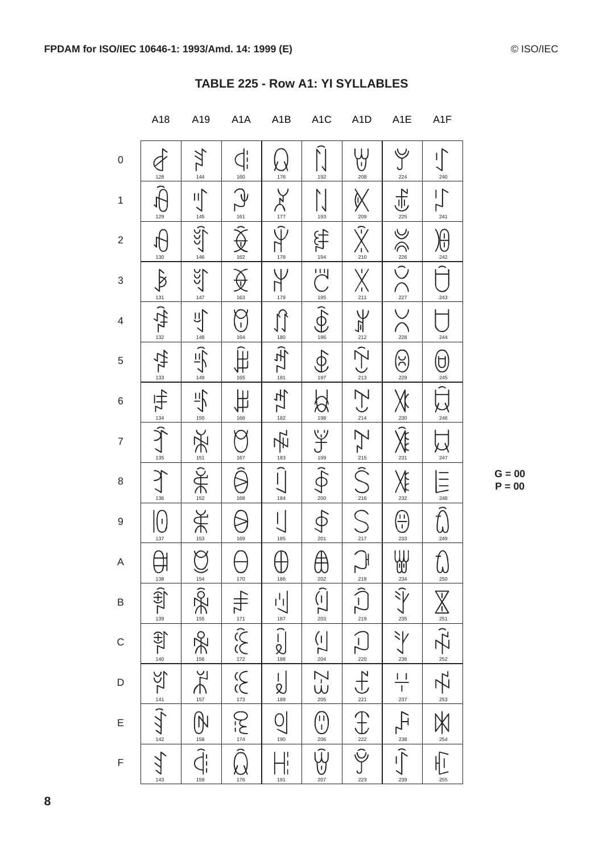|                           | A18                                                                                     | A19                                                                                                                                                                                                                                                                                                                                                                                                                                                                                                       | A <sub>1</sub> A                                                                                                                                                                                                                                                                                                                                                                              | A <sub>1</sub> B                    | A <sub>1</sub> C                                                                                            | A <sub>1</sub> D                                                                                                                                                                                                                                                                                                                                                   | A <sub>1</sub> E              | A <sub>1</sub> F                                                                                                                                            |
|---------------------------|-----------------------------------------------------------------------------------------|-----------------------------------------------------------------------------------------------------------------------------------------------------------------------------------------------------------------------------------------------------------------------------------------------------------------------------------------------------------------------------------------------------------------------------------------------------------------------------------------------------------|-----------------------------------------------------------------------------------------------------------------------------------------------------------------------------------------------------------------------------------------------------------------------------------------------------------------------------------------------------------------------------------------------|-------------------------------------|-------------------------------------------------------------------------------------------------------------|--------------------------------------------------------------------------------------------------------------------------------------------------------------------------------------------------------------------------------------------------------------------------------------------------------------------------------------------------------------------|-------------------------------|-------------------------------------------------------------------------------------------------------------------------------------------------------------|
| $\mathsf{O}\xspace$       | 128                                                                                     | ∎<br>144                                                                                                                                                                                                                                                                                                                                                                                                                                                                                                  | $\operatorname{\mathcal{C}}^{\mathsf{I}}_i$<br>$160$                                                                                                                                                                                                                                                                                                                                          | 176                                 | 192                                                                                                         | Y<br>208                                                                                                                                                                                                                                                                                                                                                           | 224                           | 240                                                                                                                                                         |
| $\mathbf{1}$              | 129                                                                                     | $\mathbb{H}^{\mathbb{N}}_{\mathbb{R}}$<br>$\frac{145}{1}$                                                                                                                                                                                                                                                                                                                                                                                                                                                 |                                                                                                                                                                                                                                                                                                                                                                                               |                                     | 193                                                                                                         | 209                                                                                                                                                                                                                                                                                                                                                                | ポ<br>225                      | 241                                                                                                                                                         |
| $\sqrt{2}$                | $130$                                                                                   | SCC)<br>146                                                                                                                                                                                                                                                                                                                                                                                                                                                                                               | $\frac{161}{2}$<br>$\frac{162}{1}$                                                                                                                                                                                                                                                                                                                                                            | $\frac{177}{177}$<br>178            | 兮<br>$\frac{1}{194}$                                                                                        | $\Gamma$<br>$\frac{7}{210}$                                                                                                                                                                                                                                                                                                                                        |                               | (i<br>U<br>242                                                                                                                                              |
| $\ensuremath{\mathsf{3}}$ |                                                                                         | <u>157</u><br>147                                                                                                                                                                                                                                                                                                                                                                                                                                                                                         | $\bigoplus_{163}$                                                                                                                                                                                                                                                                                                                                                                             | $\overline{\mathsf{V}}$<br>179      |                                                                                                             | $\overline{\vee}$<br>211                                                                                                                                                                                                                                                                                                                                           | $\sum_{221}^{\infty}$         | 243                                                                                                                                                         |
| $\overline{4}$            | $\sum_{i=1}^{n} \left  \frac{1}{i} \sum_{i=1}^{n} \frac{1}{i} \right  \leq \frac{1}{n}$ | <u>이</u><br>148                                                                                                                                                                                                                                                                                                                                                                                                                                                                                           | ာ<br>၂<br>164                                                                                                                                                                                                                                                                                                                                                                                 | $\frac{180}{1}$                     | $\sum_{i=1}^{n} \sum_{i=1}^{n} \left( \sum_{i=1}^{n} \frac{1}{i} \sum_{j=1}^{n} \frac{1}{j} \right)$        |                                                                                                                                                                                                                                                                                                                                                                    | $\sqrt{2}$<br>228             | 244                                                                                                                                                         |
| $\,$ 5 $\,$               | $\frac{1}{3}$                                                                           | 파<br>149                                                                                                                                                                                                                                                                                                                                                                                                                                                                                                  | 165                                                                                                                                                                                                                                                                                                                                                                                           | 庄<br>$\sum_{181}$                   | 197                                                                                                         | $\sum_{213}^{212}$                                                                                                                                                                                                                                                                                                                                                 | <b>C</b><br>229               | U<br>245                                                                                                                                                    |
| $\,6$                     |                                                                                         | $\frac{1}{\sqrt{\frac{150}{150}}}$                                                                                                                                                                                                                                                                                                                                                                                                                                                                        | 166                                                                                                                                                                                                                                                                                                                                                                                           | 十九                                  | $\bigotimes_{198}$                                                                                          | $\bigvee_{214}$                                                                                                                                                                                                                                                                                                                                                    | 230                           | 246                                                                                                                                                         |
| $\overline{7}$            | (수) 실도                                                                                  | 三头                                                                                                                                                                                                                                                                                                                                                                                                                                                                                                        | 167                                                                                                                                                                                                                                                                                                                                                                                           | $\frac{1}{\overline{\overline{z}}}$ | $\frac{\sum\limits_{\mathfrak{g}\in \mathfrak{g}}\mathfrak{g}}{\int\limits_{\mathfrak{g}\in \mathfrak{g}}}$ | $\sum_{\frac{1}{n}}$                                                                                                                                                                                                                                                                                                                                               | $\chi_{\xi_2}$                | 247 <sup>'</sup>                                                                                                                                            |
| $\,8\,$                   | $\frac{9}{136}$                                                                         | $R_{\frac{152}{}}$                                                                                                                                                                                                                                                                                                                                                                                                                                                                                        | 168                                                                                                                                                                                                                                                                                                                                                                                           | $\frac{183}{\sqrt{}}$<br>184        | $\sum_{200}$                                                                                                | $\frac{216}{2}$                                                                                                                                                                                                                                                                                                                                                    | 232                           | 248                                                                                                                                                         |
| $\boldsymbol{9}$          | $\left(\frac{1}{2}\right)$<br>137                                                       | 光                                                                                                                                                                                                                                                                                                                                                                                                                                                                                                         | 169                                                                                                                                                                                                                                                                                                                                                                                           | 185                                 | 201                                                                                                         |                                                                                                                                                                                                                                                                                                                                                                    | (i)<br>233                    | 249                                                                                                                                                         |
| A                         |                                                                                         |                                                                                                                                                                                                                                                                                                                                                                                                                                                                                                           |                                                                                                                                                                                                                                                                                                                                                                                               | $\frac{186}{186}$                   | $\bigoplus_{202}$                                                                                           |                                                                                                                                                                                                                                                                                                                                                                    |                               | $\bigoplus_{250}$                                                                                                                                           |
| B                         |                                                                                         |                                                                                                                                                                                                                                                                                                                                                                                                                                                                                                           |                                                                                                                                                                                                                                                                                                                                                                                               |                                     | $\bigcap_{203}$                                                                                             |                                                                                                                                                                                                                                                                                                                                                                    | $\sum_{236}^{128}$            |                                                                                                                                                             |
| $\mathsf C$               |                                                                                         |                                                                                                                                                                                                                                                                                                                                                                                                                                                                                                           |                                                                                                                                                                                                                                                                                                                                                                                               | $\frac{1}{\sqrt{\frac{187}{188}}}$  |                                                                                                             |                                                                                                                                                                                                                                                                                                                                                                    |                               |                                                                                                                                                             |
| D                         | UT = (H)L = (H)L = (H)L = (+77 = 1+77                                                   | $\sum_{\alpha} \frac{1}{\alpha} \sum_{\alpha} \left( \frac{1}{\alpha} \sum_{\alpha} \frac{1}{\alpha} \sum_{\alpha} \frac{1}{\alpha} \sum_{\alpha} \frac{1}{\alpha} \sum_{\alpha} \frac{1}{\alpha} \sum_{\alpha} \frac{1}{\alpha} \sum_{\alpha} \frac{1}{\alpha} \sum_{\alpha} \frac{1}{\alpha} \sum_{\alpha} \frac{1}{\alpha} \sum_{\alpha} \frac{1}{\alpha} \sum_{\alpha} \frac{1}{\alpha} \sum_{\alpha} \frac{1}{\alpha} \sum_{\alpha} \frac{1}{\alpha} \sum_{\alpha} \frac{1}{\alpha} \sum_{\alpha} \$ | $\frac{1}{\sqrt{2}}\sum_{124}^{\frac{1}{12}}\frac{1}{\sqrt{2}}\sum_{124}^{\frac{1}{12}}\left(\sum_{124}^{12}\left(\sum_{134}^{12}\left(\sum_{134}^{12}\left(\sum_{134}^{12}\left(\sum_{134}^{12}\left(\sum_{134}^{12}\left(\sum_{134}^{12}\left(\sum_{134}^{12}\left(\sum_{134}^{12}\left(\sum_{134}^{12}\left(\sum_{134}^{12}\left(\sum_{134}^{12}\left(\sum_{134}^{12}\left(\sum_{134}^{12$ | $\sum_{189}$                        | $\begin{array}{c}\n\begin{array}{c}\n\hline\n204 \\ \hline\n205\n\end{array}\n\end{array}$                  | $\sum_{223}^{247} \frac{1}{2} \left  \sum_{21}^{12} \frac{1}{2} \sum_{12}^{13} \left( \frac{1}{2} \sum_{13}^{12} \frac{1}{2} \sum_{22}^{13} \frac{1}{2} \sum_{23}^{13} \frac{1}{2} \sum_{223}^{13} \frac{1}{2} \sum_{23}^{13} \frac{1}{2} \sum_{23}^{13} \frac{1}{2} \sum_{23}^{13} \frac{1}{2} \sum_{23}^{13} \frac{1}{2} \sum_{23}^{13} \frac{1}{2} \sum_{23}^{$ | $\frac{1}{1}$ $\frac{1}{237}$ | $\sum_{\frac{254}{25}} \frac{1}{2} \sum_{\frac{25}{25}} \frac{1}{2} \sum_{\frac{25}{25}} \frac{1}{2} \sum_{\frac{25}{25}} \frac{1}{2} \sum_{\frac{25}{25}}$ |
| E                         |                                                                                         | $\begin{picture}(40,40) \put(0,0){\line(1,0){10}} \put(15,0){\line(1,0){10}} \put(15,0){\line(1,0){10}} \put(15,0){\line(1,0){10}} \put(15,0){\line(1,0){10}} \put(15,0){\line(1,0){10}} \put(15,0){\line(1,0){10}} \put(15,0){\line(1,0){10}} \put(15,0){\line(1,0){10}} \put(15,0){\line(1,0){10}} \put(15,0){\line(1,0){10}} \put(15,0){\line(1$                                                                                                                                                       |                                                                                                                                                                                                                                                                                                                                                                                               | 190                                 | $\begin{pmatrix} 1 \\ 0 \\ 0 \\ 0 \\ 0 \end{pmatrix}$                                                       |                                                                                                                                                                                                                                                                                                                                                                    | $\frac{1}{\sqrt{2}}$          |                                                                                                                                                             |
| $\mathsf F$               | 143                                                                                     | 159                                                                                                                                                                                                                                                                                                                                                                                                                                                                                                       | $\frac{1}{176}$                                                                                                                                                                                                                                                                                                                                                                               | $\frac{1}{2}$<br>191                | 207                                                                                                         |                                                                                                                                                                                                                                                                                                                                                                    | 239                           |                                                                                                                                                             |

| TABLE 225 - Row A1: YI SYLLABLES |  |  |
|----------------------------------|--|--|
|                                  |  |  |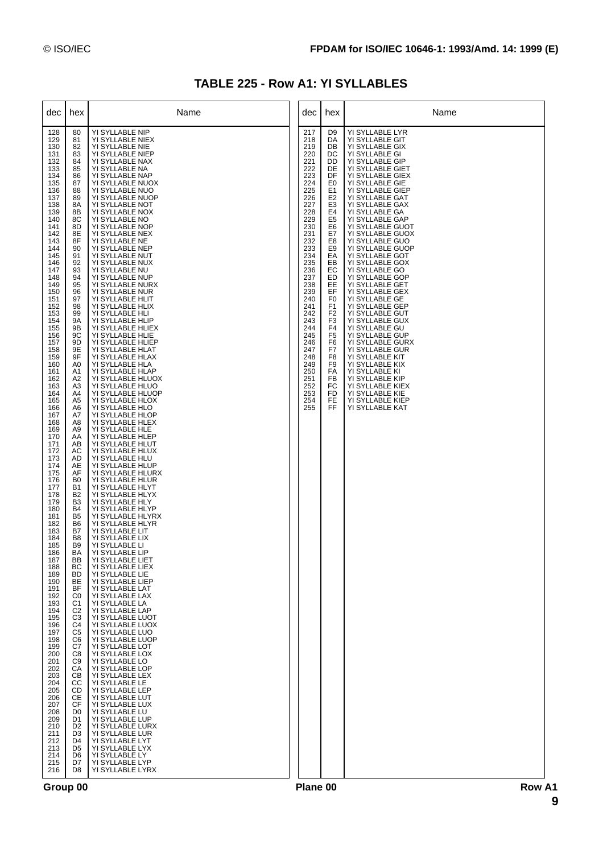|  |  | <b>TABLE 225 - Row A1: YI SYLLABLES</b> |  |
|--|--|-----------------------------------------|--|
|--|--|-----------------------------------------|--|

| dec                                                                                                                                                                                                                                                                                                                                                                                                                                                                                                                                                                                                                                         | hex                                                                                                                                                                                                                                                                                                                                                                                                                                                                                                                                                                                                                                                                                                                                                                                                                                                    | Name                                                                                                                                                                                                                                                                                                                                                                                                                                                                                                                                                                                                                                                                                                                                                                                                                                                                                                                                                                                                                                                                                                                                                                                                                                                                                                                                                                                                                                                                                                                                                                                                                                                                                                                                                                                       | dec                                                                                                                                                                                                                                                                           | hex                                                                                                                                                                                                                                                                                                                                                                        | Name                                                                                                                                                                                                                                                                                                                                                                                                                                                                                                                                                                                                                                                                                                                                                                 |
|---------------------------------------------------------------------------------------------------------------------------------------------------------------------------------------------------------------------------------------------------------------------------------------------------------------------------------------------------------------------------------------------------------------------------------------------------------------------------------------------------------------------------------------------------------------------------------------------------------------------------------------------|--------------------------------------------------------------------------------------------------------------------------------------------------------------------------------------------------------------------------------------------------------------------------------------------------------------------------------------------------------------------------------------------------------------------------------------------------------------------------------------------------------------------------------------------------------------------------------------------------------------------------------------------------------------------------------------------------------------------------------------------------------------------------------------------------------------------------------------------------------|--------------------------------------------------------------------------------------------------------------------------------------------------------------------------------------------------------------------------------------------------------------------------------------------------------------------------------------------------------------------------------------------------------------------------------------------------------------------------------------------------------------------------------------------------------------------------------------------------------------------------------------------------------------------------------------------------------------------------------------------------------------------------------------------------------------------------------------------------------------------------------------------------------------------------------------------------------------------------------------------------------------------------------------------------------------------------------------------------------------------------------------------------------------------------------------------------------------------------------------------------------------------------------------------------------------------------------------------------------------------------------------------------------------------------------------------------------------------------------------------------------------------------------------------------------------------------------------------------------------------------------------------------------------------------------------------------------------------------------------------------------------------------------------------|-------------------------------------------------------------------------------------------------------------------------------------------------------------------------------------------------------------------------------------------------------------------------------|----------------------------------------------------------------------------------------------------------------------------------------------------------------------------------------------------------------------------------------------------------------------------------------------------------------------------------------------------------------------------|----------------------------------------------------------------------------------------------------------------------------------------------------------------------------------------------------------------------------------------------------------------------------------------------------------------------------------------------------------------------------------------------------------------------------------------------------------------------------------------------------------------------------------------------------------------------------------------------------------------------------------------------------------------------------------------------------------------------------------------------------------------------|
| 128<br>129<br>130<br>131<br>132<br>133<br>134<br>135<br>136<br>137<br>138<br>139<br>140<br>141<br>142<br>143<br>144<br>145<br>146<br>147<br>148<br>149<br>150<br>151<br>152<br>153<br>154<br>155<br>156<br>157<br>158<br>159<br>160<br>161<br>162<br>163<br>164<br>165<br>166<br>167<br>168<br>169<br>170<br>171<br>172<br>173<br>174<br>175<br>176<br>177<br>178<br>179<br>180<br>181<br>182<br>183<br>184<br>185<br>186<br>187<br>188<br>189<br>190<br>191<br>192<br>193<br>194<br>195<br>196<br>197<br>198<br>199<br>200<br>201<br>202<br>203<br>204<br>205<br>206<br>207<br>208<br>209<br>210<br>211<br>212<br>213<br>214<br>215<br>216 | 80<br>81<br>82<br>83<br>84<br>85<br>86<br>87<br>88<br>89<br>8A<br>8B<br>8C<br>8D<br>8E<br>8F<br>90<br>91<br>92<br>93<br>94<br>95<br>96<br>97<br>98<br>99<br>9Α<br>9Β<br>9C<br>9D<br>9E<br>9F<br>A0<br>A1<br>A2<br>A <sub>3</sub><br>A4<br>A <sub>5</sub><br>A6<br>A7<br>A8<br>A <sub>9</sub><br>AA<br>AB<br>AC<br>AD<br>AE<br>AF<br>B <sub>0</sub><br>B1<br>B <sub>2</sub><br>B <sub>3</sub><br><b>B4</b><br>B <sub>5</sub><br>B6<br>B7<br>B8<br>B <sub>9</sub><br>BA<br>BB<br>ВC<br><b>BD</b><br>BE<br>BF<br>C <sub>0</sub><br>C <sub>1</sub><br>C <sub>2</sub><br>C <sub>3</sub><br>C4<br>C <sub>5</sub><br>C <sub>6</sub><br>C7<br>C8<br>C <sub>9</sub><br>CA<br>СB<br>CС<br><b>CD</b><br><b>CE</b><br>CF<br>D <sub>0</sub><br>D1<br>D <sub>2</sub><br>D <sub>3</sub><br>D <sub>4</sub><br>D <sub>5</sub><br>D <sub>6</sub><br>D7<br>D <sub>8</sub> | YI SYLLABLE NIP<br>YI SYLLABLE NIEX<br>YI SYLLABLE NIE<br>YI SYLLABLE NIEP<br>YI SYLLABLE NAX<br>YI SYLLABLE NA<br>YI SYLLABLE NAP<br>YI SYLLABLE NUOX<br>YI SYLLABLE NUO<br>YI SYLLABLE NUOP<br>YI SYLLABLE NOT<br>YI SYLLABLE NOX<br>YI SYLLABLE NO<br>YI SYLLABLE NOP<br>YI SYLLABLE NEX<br>YI SYLLABLE NE<br>YI SYLLABLE NEP<br>YI SYLLABLE NUT<br>YI SYLLABLE NUX<br>YI SYLLABLE NU<br>YI SYLLABLE NUP<br>YI SYLLABLE NURX<br>YI SYLLABLE NUR<br>YI SYLLABLE HLIT<br>YI SYLLABLE HLIX<br>YI SYLLABLE HLI<br>YI SYLLABLE HLIP<br>YI SYLLABLE HLIEX<br>YI SYLLABLE HLIE<br>YI SYLLABLE HLIEP<br>YI SYLLABLE HLAT<br>YI SYLLABLE HLAX<br>YI SYLLABLE HLA<br>YI SYLLABLE HLAP<br>YI SYLLABLE HLUOX<br>YI SYLLABLE HLUO<br>YI SYLLABLE HLUOP<br>YI SYLLABLE HLOX<br>YI SYLLABLE HLO<br>YI SYLLABLE HLOP<br>YI SYLLABLE HLEX<br>YI SYLLABLE HLE<br>YI SYLLABLE HLEP<br>YI SYLLABLE HLUT<br>YI SYLLABLE HLUX<br>YI SYLLABLE HLU<br>YI SYLLABLE HLUP<br>YI SYLLABLE HLURX<br>YI SYLLABLE HLUR<br>YI SYLLABLE HLYT<br>YI SYLLABLE HLYX<br>YI SYLLABLE HLY<br>YI SYLLABLE HLYP<br>YI SYLLABLE HLYRX<br>YI SYLLABLE HLYR<br>YI SYLLABLE LIT<br>YI SYLLABLE LIX<br>YI SYLLABLE LI<br>YI SYLLABLE LIP<br>YI SYLLABLE LIET<br>YI SYLLABLE LIEX<br>YI SYLLABLE LIE<br>YI SYLLABLE LIEP<br>YI SYLLABLE LAT<br>YI SYLLABLE LAX<br>YI SYLLABLE LA<br>YI SYLLABLE LAP<br>YI SYLLABLE LUOT<br>YI SYLLABLE LUOX<br>YI SYLLABLE LUO<br>YI SYLLABLE LUOP<br>YI SYLLABLE LOT<br>YI SYLLABLE LOX<br>YI SYLLABLE LO<br>YI SYLLABLE LOP<br>YI SYLLABLE LEX<br>YI SYLLABLE LE<br>YI SYLLABLE LEP<br>YI SYLLABLE LUT<br>YI SYLLABLE LUX<br>YI SYLLABLE LU<br>YI SYLLABLE LUP<br>YI SYLLABLE LURX<br>YI SYLLABLE LUR<br>YI SYLLABLE LYT<br>YI SYLLABLE LYX<br>YI SYLLABLE LY<br>YI SYLLABLE LYP<br>YI SYLLABLE LYRX | 217<br>218<br>219<br>220<br>221<br>222<br>223<br>224<br>225<br>226<br>227<br>228<br>229<br>230<br>231<br>232<br>233<br>234<br>235<br>236<br>237<br>238<br>239<br>240<br>241<br>242<br>243<br>244<br>245<br>246<br>247<br>248<br>249<br>250<br>251<br>252<br>253<br>254<br>255 | D9<br>DA<br>DB<br>DC<br>DD<br>DE<br>DF<br>E0<br>E <sub>1</sub><br>E <sub>2</sub><br>E <sub>3</sub><br>E4<br>E <sub>5</sub><br>E6<br>E7<br>E8<br>E9<br>EA<br>EB<br>EC<br>ED<br>EE<br>EF<br>F <sub>0</sub><br>F <sub>1</sub><br>F <sub>2</sub><br>F <sub>3</sub><br>F <sub>4</sub><br>F <sub>5</sub><br>F6<br>F7<br>F8<br>F <sub>9</sub><br>FA<br>FB<br>FC<br>FD<br>FE<br>FF | YI SYLLABLE LYR<br>YI SYLLABLE GIT<br>YI SYLLABLE GIX<br>YI SYLLABLE GI<br>YI SYLLABLE GIP<br>YI SYLLABLE GIET<br>YI SYLLABLE GIEX<br>YI SYLLABLE GIE<br>YI SYLLABLE GIEP<br>YI SYLLABLE GAT<br>YI SYLLABLE GAX<br>YI SYLLABLE GA<br>YI SYLLABLE GAP<br>YI SYLLABLE GUOT<br>YI SYLLABLE GUOX<br>YI SYLLABLE GUO<br>YI SYLLABLE GUOP<br>YI SYLLABLE GOT<br>YI SYLLABLE GOX<br>YI SYLLABLE GO<br>YI SYLLABLE GOP<br>YI SYLLABLE GET<br>YI SYLLABLE GEX<br>YI SYLLABLE GE<br>YI SYLLABLE GEP<br>YI SYLLABLE GUT<br>YI SYLLABLE GUX<br>YI SYLLABLE GU<br>YI SYLLABLE GUP<br>YI SYLLABLE GURX<br>YI SYLLABLE GUR<br>YI SYLLABLE KIT<br>YI SYLLABLE KIX<br>YI SYLLABLE KI<br>YI SYLLABLE KIP<br>YI SYLLABLE KIEX<br>YI SYLLABLE KIE<br>YI SYLLABLE KIEP<br>YI SYLLABLE KAT |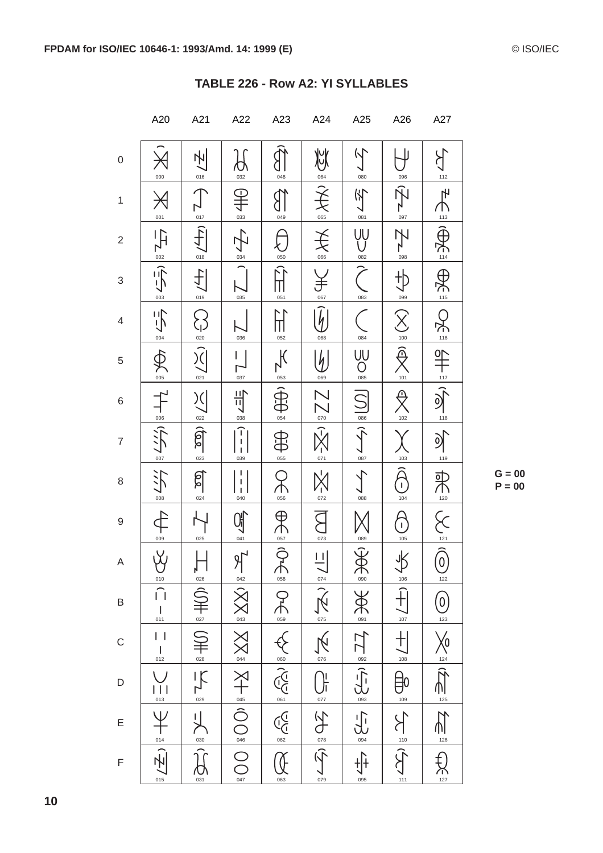|                           | A20                                                                             | A21                                                                                                                                                                                                                                                                                                                                                                                           | A22                                                                                                                                                                                                                                                                    | A23                                                                                                                               | A24                                                                                                                                                                                                                                                                                                                                                                                                                                                                        | A25                                                                                                                                                                                                                                                                                                                                                                                    | A26                                         | A27                                        |
|---------------------------|---------------------------------------------------------------------------------|-----------------------------------------------------------------------------------------------------------------------------------------------------------------------------------------------------------------------------------------------------------------------------------------------------------------------------------------------------------------------------------------------|------------------------------------------------------------------------------------------------------------------------------------------------------------------------------------------------------------------------------------------------------------------------|-----------------------------------------------------------------------------------------------------------------------------------|----------------------------------------------------------------------------------------------------------------------------------------------------------------------------------------------------------------------------------------------------------------------------------------------------------------------------------------------------------------------------------------------------------------------------------------------------------------------------|----------------------------------------------------------------------------------------------------------------------------------------------------------------------------------------------------------------------------------------------------------------------------------------------------------------------------------------------------------------------------------------|---------------------------------------------|--------------------------------------------|
| $\mathsf{O}\xspace$       | 000                                                                             | 센<br>016                                                                                                                                                                                                                                                                                                                                                                                      | 032                                                                                                                                                                                                                                                                    | 048                                                                                                                               | 炒<br>064                                                                                                                                                                                                                                                                                                                                                                                                                                                                   | $\sqrt{}$<br>080                                                                                                                                                                                                                                                                                                                                                                       | 096                                         | $112$                                      |
| $\mathbf{1}$              | $\cancel{\rtimes}$<br>001                                                       | 017                                                                                                                                                                                                                                                                                                                                                                                           | 半<br>$\frac{033}{2}$                                                                                                                                                                                                                                                   | 049                                                                                                                               | $\hat{\widehat{\mathcal{F}}}$<br>065                                                                                                                                                                                                                                                                                                                                                                                                                                       | 子<br>081                                                                                                                                                                                                                                                                                                                                                                               | 097                                         | $\mathbb{F}$<br>113                        |
| $\sqrt{2}$                | $\overline{H}$<br>$rac{002}{1}$                                                 | $\widehat{f}$<br>018                                                                                                                                                                                                                                                                                                                                                                          | 子<br>034                                                                                                                                                                                                                                                               | 050                                                                                                                               | 关<br>066                                                                                                                                                                                                                                                                                                                                                                                                                                                                   | ŲŲ<br>082                                                                                                                                                                                                                                                                                                                                                                              | Z<br>098                                    | $\bigcap_{114}$                            |
| $\ensuremath{\mathsf{3}}$ | $\overline{5}$<br>003                                                           | 小<br>019                                                                                                                                                                                                                                                                                                                                                                                      | 035                                                                                                                                                                                                                                                                    | ║<br>051                                                                                                                          | 067                                                                                                                                                                                                                                                                                                                                                                                                                                                                        | 083                                                                                                                                                                                                                                                                                                                                                                                    | 099                                         | AC il                                      |
| $\overline{\mathcal{L}}$  | 与<br>004                                                                        | $\overline{\mathcal{E}}$<br>020                                                                                                                                                                                                                                                                                                                                                               | 036                                                                                                                                                                                                                                                                    | 052                                                                                                                               | $\widehat{\xi}_1$<br>068                                                                                                                                                                                                                                                                                                                                                                                                                                                   | 084                                                                                                                                                                                                                                                                                                                                                                                    | $\widehat{\times}$<br>100                   | $\sum_{116}$                               |
| $\,$ 5 $\,$               | 005                                                                             | $\widehat{\mathcal{X}}$<br>021                                                                                                                                                                                                                                                                                                                                                                | 037                                                                                                                                                                                                                                                                    | $\frac{1}{k}$<br>$\frac{053}{2}$                                                                                                  | $\frac{1}{2}$<br>069                                                                                                                                                                                                                                                                                                                                                                                                                                                       | $\bigcup_{\mathbf{0}\in\mathbf{S}}$                                                                                                                                                                                                                                                                                                                                                    | $\widehat{\R}$<br>101                       | $\frac{1}{\frac{117}{5}}$                  |
| $\,6$                     | $\uparrow$<br>006                                                               | $\sum_{i=1}^{n}$<br>022                                                                                                                                                                                                                                                                                                                                                                       | 当<br>038                                                                                                                                                                                                                                                               | $\bigoplus_{054}$                                                                                                                 | $\sum_{\text{070}}$                                                                                                                                                                                                                                                                                                                                                                                                                                                        | $\overline{\mathbb{S}}$<br>086                                                                                                                                                                                                                                                                                                                                                         | 102                                         | $\sum_{118}$                               |
| $\overline{7}$            | $\sum_{i=1}^{n}$<br>007                                                         | $\widehat{\mathbb{G}}$<br>023                                                                                                                                                                                                                                                                                                                                                                 | $\begin{bmatrix} 1 \\ 1 \\ 1 \end{bmatrix}$<br>039                                                                                                                                                                                                                     | <b>OFD</b>                                                                                                                        | $\frac{1}{\sqrt{2}}$                                                                                                                                                                                                                                                                                                                                                                                                                                                       | $(5 - 1)$                                                                                                                                                                                                                                                                                                                                                                              | 103                                         | $\mathcal{D}$<br>119                       |
| $\,8\,$                   | 沪<br>008                                                                        | <u>ଶି</u><br>024                                                                                                                                                                                                                                                                                                                                                                              | 1<br>040                                                                                                                                                                                                                                                               | $\breve{\uparrow}$<br>056                                                                                                         | $X_1$                                                                                                                                                                                                                                                                                                                                                                                                                                                                      | 088                                                                                                                                                                                                                                                                                                                                                                                    | $\bigcap$<br>104                            |                                            |
| $\boldsymbol{9}$          | 009                                                                             | 025                                                                                                                                                                                                                                                                                                                                                                                           | 041                                                                                                                                                                                                                                                                    | $\frac{\Theta}{\Theta}$                                                                                                           | 073                                                                                                                                                                                                                                                                                                                                                                                                                                                                        | 089                                                                                                                                                                                                                                                                                                                                                                                    | $\mathbf{I}$<br>105                         | PR = 20 12 12 12                           |
| $\boldsymbol{\mathsf{A}}$ | $\breve{\S}$<br>010                                                             | $\frac{\prod_{0\geq 6}}{2}$                                                                                                                                                                                                                                                                                                                                                                   | $\frac{9}{1042}$                                                                                                                                                                                                                                                       | $\overbrace{ }^{\frac{057}{}}\overbrace{ }^{\frac{057}{}}$                                                                        |                                                                                                                                                                                                                                                                                                                                                                                                                                                                            | BRS                                                                                                                                                                                                                                                                                                                                                                                    | $\frac{1}{\sqrt{2}}$                        |                                            |
| $\sf B$                   | $\widehat{\Box}$<br>$\overline{\phantom{a}}$<br>011                             |                                                                                                                                                                                                                                                                                                                                                                                               |                                                                                                                                                                                                                                                                        |                                                                                                                                   |                                                                                                                                                                                                                                                                                                                                                                                                                                                                            |                                                                                                                                                                                                                                                                                                                                                                                        | $\frac{1}{\sqrt{107}}$                      | $\bigcirc$ <sub>123</sub>                  |
| $\mathsf{C}$              | $\vert \ \vert$<br>$\mathsf I$<br>012                                           |                                                                                                                                                                                                                                                                                                                                                                                               |                                                                                                                                                                                                                                                                        |                                                                                                                                   |                                                                                                                                                                                                                                                                                                                                                                                                                                                                            |                                                                                                                                                                                                                                                                                                                                                                                        |                                             | $\frac{1}{24}$                             |
| $\mathsf{D}%$             | $\frac{1}{\frac{013}{}}$                                                        | $\frac{1}{\sqrt{2}}\sum_{i=1}^{\infty}\frac{1}{i} \sum_{i=1}^{\infty}\frac{1}{i} \sum_{i=1}^{\infty}\frac{1}{i} \sum_{i=1}^{\infty}\frac{1}{i} \sum_{i=1}^{\infty}\frac{1}{i} \sum_{i=1}^{\infty}\frac{1}{i} \sum_{i=1}^{\infty}\frac{1}{i} \sum_{i=1}^{\infty}\frac{1}{i} \sum_{i=1}^{\infty}\frac{1}{i} \sum_{i=1}^{\infty}\frac{1}{i} \sum_{i=1}^{\infty}\frac{1}{i} \sum_{i=1}^{\infty}\$ |                                                                                                                                                                                                                                                                        |                                                                                                                                   |                                                                                                                                                                                                                                                                                                                                                                                                                                                                            | $\frac{1}{2} \sum_{i=1}^{\infty} \left( \frac{1}{2} \sum_{i=1}^{\infty} \frac{1}{i} \sum_{i=1}^{\infty} \frac{1}{i} \sum_{i=1}^{\infty} \frac{1}{i} \sum_{i=1}^{\infty} \frac{1}{i} \sum_{i=1}^{\infty} \frac{1}{i} \sum_{i=1}^{\infty} \frac{1}{i} \sum_{i=1}^{\infty} \frac{1}{i} \sum_{i=1}^{\infty} \frac{1}{i} \sum_{i=1}^{\infty} \frac{1}{i} \sum_{i=1}^{\infty} \frac{1}{i} \$ | $\frac{1}{\sqrt{2}}$                        | $\prod_{125}$                              |
| E                         |                                                                                 | $\overline{\mathbb{L}}$                                                                                                                                                                                                                                                                                                                                                                       | $\sum_{\alpha}^{\infty} \left[ \begin{array}{c c} \mathbb{R} & \mathbb{R} & \mathbb{R}^n \end{array} \right] \times \mathbb{R} \longrightarrow \mathbb{R} \longrightarrow \mathbb{R} \longrightarrow \mathbb{R} \longrightarrow \mathbb{R} \longrightarrow \mathbb{R}$ | $\frac{1}{2}\sum_{n=1}^{\infty}\sum_{n=1}^{\infty}\left \sum_{n=1}^{\infty}\left(\sum_{n=1}^{n}\right)^{n}\right \geq\frac{1}{2}$ | $\frac{1}{\sqrt{2}}\sqrt{\frac{2}{\sqrt{2}}}\sqrt{\frac{2}{\sqrt{2}}}\sqrt{\frac{2}{\sqrt{2}}}\sqrt{\frac{2}{\sqrt{2}}}\sqrt{\frac{2}{\sqrt{2}}}\sqrt{\frac{2}{\sqrt{2}}}\sqrt{\frac{2}{\sqrt{2}}}\sqrt{\frac{2}{\sqrt{2}}}\sqrt{\frac{2}{\sqrt{2}}}\sqrt{\frac{2}{\sqrt{2}}}\sqrt{\frac{2}{\sqrt{2}}}\sqrt{\frac{2}{\sqrt{2}}}\sqrt{\frac{2}{\sqrt{2}}}\sqrt{\frac{2}{\sqrt{2}}}\sqrt{\frac{2}{\sqrt{2}}}\sqrt{\frac{2}{\sqrt{2}}}\sqrt{\frac{2}{\sqrt{2}}}\sqrt{\frac{2$ | $\frac{1}{\sqrt{1-\frac{1}{2}}}$                                                                                                                                                                                                                                                                                                                                                       |                                             | $\overline{\mathsf{M}}$<br>$\frac{126}{1}$ |
| $\mathsf F$               | $\frac{1}{\frac{1}{\omega^2}}\sum_{i=1}^{\infty}\frac{1}{i}=\frac{1}{\omega^2}$ | $\sum_{\infty \atop \alpha_{31}}$                                                                                                                                                                                                                                                                                                                                                             |                                                                                                                                                                                                                                                                        | Œ<br>063                                                                                                                          |                                                                                                                                                                                                                                                                                                                                                                                                                                                                            | $+(-1)$<br>095                                                                                                                                                                                                                                                                                                                                                                         | $\sum_{i=1}^{n} \frac{1}{2} \sum_{i=1}^{n}$ | $\sum_{127}$                               |

#### TABLE 226 - Row A2: YI SYLLABLES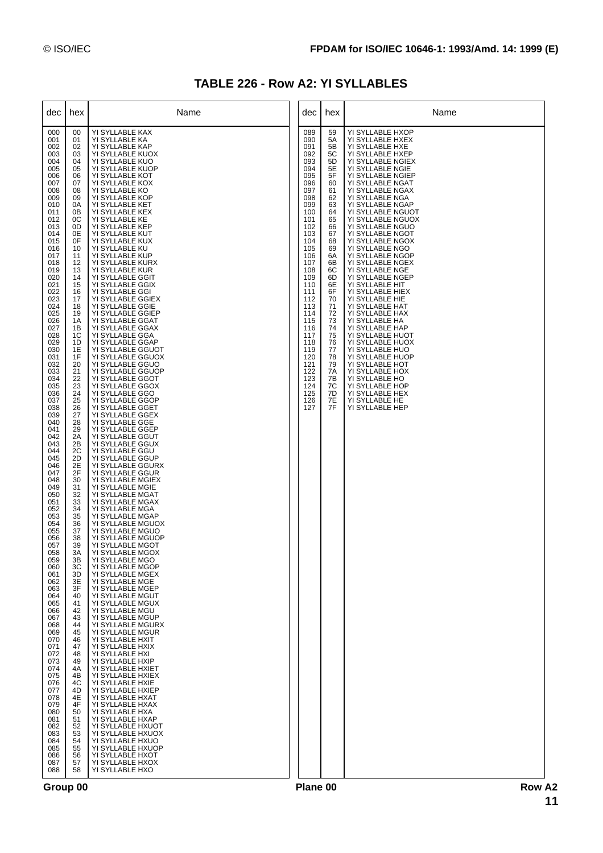| TABLE 226 - Row A2: YI SYLLABLES |  |  |  |
|----------------------------------|--|--|--|
|----------------------------------|--|--|--|

| dec                                                                                                                                                                                                                                                                                                                                                                                                                                                                                                                                                                                                                                         | hex                                                                                                                                                                                                                                                                                                                                                                                                                                                                                                                                                | Name                                                                                                                                                                                                                                                                                                                                                                                                                                                                                                                                                                                                                                                                                                                                                                                                                                                                                                                                                                                                                                                                                                                                                                                                                                                                                                                                                                                                                                                                                                                                                                                                                                                                                                                                                                                                                            | dec                                                                                                                                                                                                                                                                           | hex                                                                                                                                                                                                                                    | Name                                                                                                                                                                                                                                                                                                                                                                                                                                                                                                                                                                                                                                                                                                                                                                                    |
|---------------------------------------------------------------------------------------------------------------------------------------------------------------------------------------------------------------------------------------------------------------------------------------------------------------------------------------------------------------------------------------------------------------------------------------------------------------------------------------------------------------------------------------------------------------------------------------------------------------------------------------------|----------------------------------------------------------------------------------------------------------------------------------------------------------------------------------------------------------------------------------------------------------------------------------------------------------------------------------------------------------------------------------------------------------------------------------------------------------------------------------------------------------------------------------------------------|---------------------------------------------------------------------------------------------------------------------------------------------------------------------------------------------------------------------------------------------------------------------------------------------------------------------------------------------------------------------------------------------------------------------------------------------------------------------------------------------------------------------------------------------------------------------------------------------------------------------------------------------------------------------------------------------------------------------------------------------------------------------------------------------------------------------------------------------------------------------------------------------------------------------------------------------------------------------------------------------------------------------------------------------------------------------------------------------------------------------------------------------------------------------------------------------------------------------------------------------------------------------------------------------------------------------------------------------------------------------------------------------------------------------------------------------------------------------------------------------------------------------------------------------------------------------------------------------------------------------------------------------------------------------------------------------------------------------------------------------------------------------------------------------------------------------------------|-------------------------------------------------------------------------------------------------------------------------------------------------------------------------------------------------------------------------------------------------------------------------------|----------------------------------------------------------------------------------------------------------------------------------------------------------------------------------------------------------------------------------------|-----------------------------------------------------------------------------------------------------------------------------------------------------------------------------------------------------------------------------------------------------------------------------------------------------------------------------------------------------------------------------------------------------------------------------------------------------------------------------------------------------------------------------------------------------------------------------------------------------------------------------------------------------------------------------------------------------------------------------------------------------------------------------------------|
| 000<br>001<br>002<br>003<br>004<br>005<br>006<br>007<br>008<br>009<br>010<br>011<br>012<br>013<br>014<br>015<br>016<br>017<br>018<br>019<br>020<br>021<br>022<br>023<br>024<br>025<br>026<br>027<br>028<br>029<br>030<br>031<br>032<br>033<br>034<br>035<br>036<br>037<br>038<br>039<br>040<br>041<br>042<br>043<br>044<br>045<br>046<br>047<br>048<br>049<br>050<br>051<br>052<br>053<br>054<br>055<br>056<br>057<br>058<br>059<br>060<br>061<br>062<br>063<br>064<br>065<br>066<br>067<br>068<br>069<br>070<br>071<br>072<br>073<br>074<br>075<br>076<br>077<br>078<br>079<br>080<br>081<br>082<br>083<br>084<br>085<br>086<br>087<br>088 | 00<br>01<br>02<br>03<br>04<br>05<br>06<br>07<br>08<br>09<br>0A<br>0B<br>0C<br>0D<br>0E<br>0F<br>10<br>11<br>12<br>13<br>14<br>15<br>16<br>17<br>18<br>19<br>1A<br>1Β<br>1C<br>1D<br>1E<br>1F<br>20<br>21<br>22<br>23<br>24<br>25<br>26<br>27<br>28<br>29<br>2A<br>2B<br>2C<br>2D<br>2E<br>2F<br>30<br>31<br>32<br>33<br>34<br>35<br>36<br>37<br>38<br>39<br>3A<br>ЗB<br>ЗC<br>3D<br>3E<br>3F<br>40<br>41<br>42<br>43<br>44<br>45<br>46<br>47<br>48<br>49<br>4A<br>4Β<br>4C<br>4D<br>4E<br>4F<br>50<br>51<br>52<br>53<br>54<br>55<br>56<br>57<br>58 | YI SYLLABLE KAX<br>YI SYLLABLE KA<br>YI SYLLABLE KAP<br>YI SYLLABLE KUOX<br>YI SYLLABLE KUO<br>YI SYLLABLE KUOP<br>YI SYLLABLE KOT<br>YI SYLLABLE KOX<br>YI SYLLABLE KO<br>YI SYLLABLE KOP<br>YI SYLLABLE KET<br>YI SYLLABLE KEX<br>YI SYLLABLE KE<br>YI SYLLABLE KEP<br>YI SYLLABLE KUT<br>YI SYLLABLE KUX<br>YI SYLLABLE KU<br>YI SYLLABLE KUP<br>YI SYLLABLE KURX<br>YI SYLLABLE KUR<br>YI SYLLABLE GGIT<br>YI SYLLABLE GGIX<br>YI SYLLABLE GGI<br>YI SYLLABLE GGIEX<br>YI SYLLABLE GGIE<br>YI SYLLABLE GGIEP<br>YI SYLLABLE GGAT<br>YI SYLLABLE GGAX<br>YI SYLLABLE GGA<br>YI SYLLABLE GGAP<br>YI SYLLABLE GGUOT<br>YI SYLLABLE GGUOX<br>YI SYLLABLE GGUO<br>YI SYLLABLE GGUOP<br>YI SYLLABLE GGOT<br>YI SYLLABLE GGOX<br>YI SYLLABLE GGO<br>YI SYLLABLE GGOP<br>YI SYLLABLE GGET<br>YI SYLLABLE GGEX<br>YI SYLLABLE GGE<br>YI SYLLABLE GGEP<br>YI SYLLABLE GGUT<br>YI SYLLABLE GGUX<br>YI SYLLABLE GGU<br>YI SYLLABLE GGUP<br>YI SYLLABLE GGURX<br>YI SYLLABLE GGUR<br>YI SYLLABLE MGIEX<br>YI SYLLABLE MGIE<br>YI SYLLABLE MGAT<br>YI SYLLABLE MGAX<br>YI SYLLABLE MGA<br>YI SYLLABLE MGAP<br>YI SYLLABLE MGUOX<br>YI SYLLABLE MGUO<br>YI SYLLABLE MGUOP<br>YI SYLLABLE MGOT<br>YI SYLLABLE MGOX<br>YI SYLLABLE MGO<br>YI SYLLABLE MGOP<br>YI SYLLABLE MGEX<br>YI SYLLABLE MGE<br>YI SYLLABLE MGEP<br>YI SYLLABLE MGUT<br>YI SYLLABLE MGUX<br>YI SYLLABLE MGU<br>YI SYLLABLE MGUP<br>YI SYLLABLE MGURX<br>YI SYLLABLE MGUR<br>YI SYLLABLE HXIT<br>YI SYLLABLE HXIX<br>YI SYLLABLE HXI<br>YI SYLLABLE HXIP<br>YI SYLLABLE HXIET<br>YI SYLLABLE HXIEX<br>YI SYLLABLE HXIE<br>YI SYLLABLE HXIEP<br>YI SYLLABLE HXAT<br>YI SYLLABLE HXAX<br>YI SYLLABLE HXA<br>YI SYLLABLE HXAP<br>YI SYLLABLE HXUOT<br>YI SYLLABLE HXUOX<br>YI SYLLABLE HXUO<br>YI SYLLABLE HXUOP<br>YI SYLLABLE HXOT<br>YI SYLLABLE HXOX<br>YI SYLLABLE HXO | 089<br>090<br>091<br>092<br>093<br>094<br>095<br>096<br>097<br>098<br>099<br>100<br>101<br>102<br>103<br>104<br>105<br>106<br>107<br>108<br>109<br>110<br>111<br>112<br>113<br>114<br>115<br>116<br>117<br>118<br>119<br>120<br>121<br>122<br>123<br>124<br>125<br>126<br>127 | 59<br>5A<br>5B<br>5C<br>5D<br>5E<br>5F<br>60<br>61<br>62<br>63<br>64<br>65<br>66<br>67<br>68<br>69<br>6A<br>6B<br>6C<br>6D<br>6E<br>6F<br>70<br>71<br>72<br>73<br>74<br>75<br>76<br>77<br>78<br>79<br>7A<br>7B<br>7С<br>7D<br>7E<br>7F | YI SYLLABLE HXOP<br>YI SYLLABLE HXEX<br>YI SYLLABLE HXE<br>YI SYLLABLE HXEP<br>YI SYLLABLE NGIEX<br>YI SYLLABLE NGIE<br>YI SYLLABLE NGIEP<br>YI SYLLABLE NGAT<br>YI SYLLABLE NGAX<br>YI SYLLABLE NGA<br>YI SYLLABLE NGAP<br>YI SYLLABLE NGUOT<br>YI SYLLABLE NGUOX<br>YI SYLLABLE NGUO<br>YI SYLLABLE NGOT<br>YI SYLLABLE NGOX<br>YI SYLLABLE NGO<br>YI SYLLABLE NGOP<br>YI SYLLABLE NGEX<br>YI SYLLABLE NGE<br>YI SYLLABLE NGEP<br>YI SYLLABLE HIT<br>YI SYLLABLE HIEX<br>YI SYLLABLE HIE<br>YI SYLLABLE HAT<br>YI SYLLABLE HAX<br>YI SYLLABLE HA<br>YI SYLLABLE HAP<br>YI SYLLABLE HUOT<br>YI SYLLABLE HUOX<br>YI SYLLABLE HUO<br>YI SYLLABLE HUOP<br>YI SYLLABLE HOT<br>YI SYLLABLE HOX<br>YI SYLLABLE HO<br>YI SYLLABLE HOP<br>YI SYLLABLE HEX<br>YI SYLLABLE HE<br>YI SYLLABLE HEP |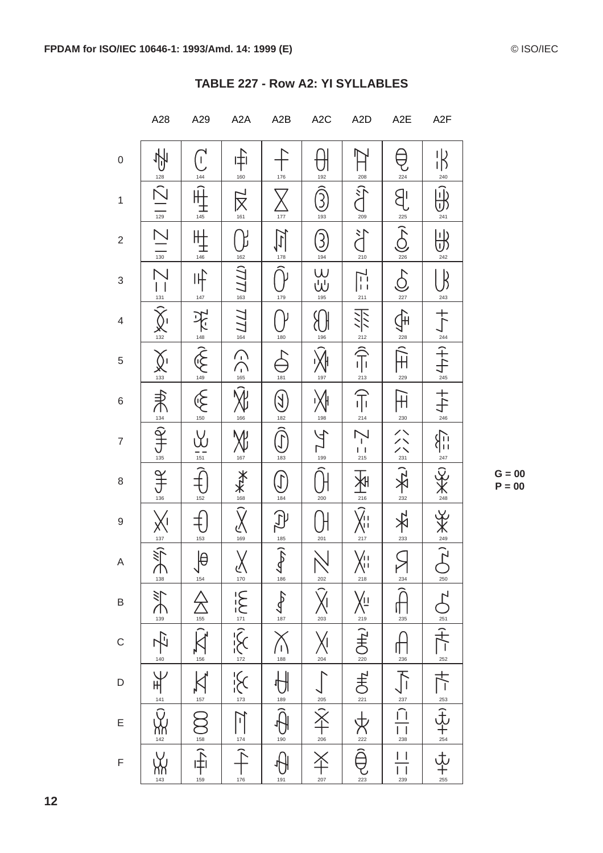|                         | A28                                                | A29                                                                    | A <sub>2</sub> A                                                                                                                                                                                         | A2B                                              | A <sub>2</sub> C                                | A <sub>2</sub> D                                                                                                 | A <sub>2</sub> E                                     | A <sub>2</sub> F               |
|-------------------------|----------------------------------------------------|------------------------------------------------------------------------|----------------------------------------------------------------------------------------------------------------------------------------------------------------------------------------------------------|--------------------------------------------------|-------------------------------------------------|------------------------------------------------------------------------------------------------------------------|------------------------------------------------------|--------------------------------|
| $\boldsymbol{0}$        | 128                                                | $\overline{C}$<br>144                                                  | ⊩†i<br>160                                                                                                                                                                                               | 176                                              | 192                                             | 208                                                                                                              | 224                                                  | $\frac{1}{2}$<br>240           |
| $\mathbf{1}$            | $ \bar{\triangle} $<br>$\frac{1}{129}$             | 145                                                                    | $\sum_{\alpha=1}^{\infty}$                                                                                                                                                                               | 177                                              | $\widehat{\mathfrak{Z}}$<br>193                 | <u>ी</u><br>209                                                                                                  | B<br>225                                             | ِنَ)<br>241                    |
| $\overline{\mathbf{c}}$ | $\frac{1}{\sqrt{130}}$                             | 146                                                                    | 162                                                                                                                                                                                                      | 178                                              | 3<br>194                                        | 江<br>210                                                                                                         | $\sum_{226}$                                         | l۱b<br>242                     |
| 3                       | $\sum_{131}$                                       | 卟<br>$147\,$                                                           | 163                                                                                                                                                                                                      | 179                                              | $\bigcup_{\frac{195}{1}}$                       | $\frac{1}{211}$                                                                                                  | $\sum_{227}$                                         | $\beta$<br>243                 |
| $\overline{4}$          | $\chi$<br>$\frac{132}{132}$                        | 医三头                                                                    | 777<br>164                                                                                                                                                                                               | 180                                              | 196                                             |                                                                                                                  | $\bigoplus_{i=1}^n$<br>$\frac{228}{2}$               |                                |
| $\,$ 5 $\,$             | $\chi_{\frac{133}{2}}$                             | 149                                                                    | $\bigcap_{\frac{165}{5}}$                                                                                                                                                                                | 181                                              | 197                                             | $\frac{212}{213}$                                                                                                | $\frac{1}{2}$<br>229                                 |                                |
| 6                       | 未早                                                 | $\bigotimes_{150}$                                                     | $\widehat{\lambda}_{\mu}^{0}$<br>166                                                                                                                                                                     | $(\sum$<br>182                                   | 198                                             | 亓<br>214                                                                                                         | $\mathbb H$<br>$\frac{230}{2}$                       | $+ +$                          |
| $\overline{7}$          | 135                                                | 151                                                                    | 167                                                                                                                                                                                                      | 183                                              | 199                                             | $\begin{array}{c} 1 \\ 215 \end{array}$                                                                          | $\frac{1}{2}$                                        | $\sum_{247}$                   |
| $\,8\,$                 | $J_{\frac{136}{136}}$                              | 152                                                                    | ※<br>※                                                                                                                                                                                                   | 184                                              | 200                                             | $\frac{1}{216}$                                                                                                  | $\sum_{232}$                                         | $rac{X}{248}$                  |
| $\boldsymbol{9}$        | $\frac{2}{\sqrt{2}}\sum_{i=1}^{\infty}$            | 153                                                                    | 169                                                                                                                                                                                                      | 185                                              | 201                                             | $\widehat{\mathcal{X}}_{\mathsf{H}}$<br>217                                                                      | 233                                                  | $\frac{1}{2}$                  |
| A                       |                                                    | $\bigoplus_{154}$                                                      |                                                                                                                                                                                                          | $\sum_{186}$                                     |                                                 |                                                                                                                  | ◯                                                    |                                |
| B                       |                                                    |                                                                        |                                                                                                                                                                                                          | $\frac{187}{187}$                                |                                                 |                                                                                                                  | $\sum_{234}$                                         |                                |
| $\mathsf{C}$            |                                                    |                                                                        |                                                                                                                                                                                                          | $\times$<br>$\frac{188}{1}$                      |                                                 |                                                                                                                  | $\begin{array}{c}\n\frac{236}{11}\n\end{array}$      |                                |
| $\mathsf{D}$            | E and a set of the set of the set of $\frac{1}{2}$ | $\sum_{i=1}^{n} \frac{1}{2} \sum_{i=1}^{n} \frac{1}{2} \sum_{i=1}^{n}$ | $\frac{1}{\sqrt{2}}\sum_{i=1}^{\infty}\frac{1}{i}\sum_{i=1}^{\infty}\frac{1}{i}\sum_{i=1}^{\infty}\frac{1}{i}\sum_{i=1}^{\infty}\frac{1}{i}\exp\left(-\frac{1}{i}\sum_{i=1}^{\infty}\frac{1}{i}\right).$ | $\overline{\mathbb{H}}$<br>$\frac{189}{189}$     | <u>∠∞</u><br>(☆//∞////∞<br>(☆//∞/////∞<br>(☆/// | NET AND IS NOTE OF AND IS NOT THE VISIT OF A SAMPLE STATE OF A SAMPLE STATE OF A SAMPLE STATE OF A SAMPLE STATES |                                                      | ) [2] 【〇] [十/—   七/—  (北十》  北十 |
| E                       |                                                    |                                                                        |                                                                                                                                                                                                          | $\overline{\widehat{\theta}}$<br>$\frac{6}{190}$ |                                                 |                                                                                                                  | $\frac{1}{\sqrt{1+\frac{1}{\sqrt{1+\frac{1}{23}}}}}$ |                                |
| $\mathsf F$             | уу<br>Ж<br>143                                     | $\sum_{159}$                                                           | 176                                                                                                                                                                                                      | 191                                              | 207                                             |                                                                                                                  | $\vert \ \ \vert$<br>239                             |                                |

#### TABLE 227 - Row A2: YI SYLLABLES

 $G = 00$  $P = 00$ 

 $12$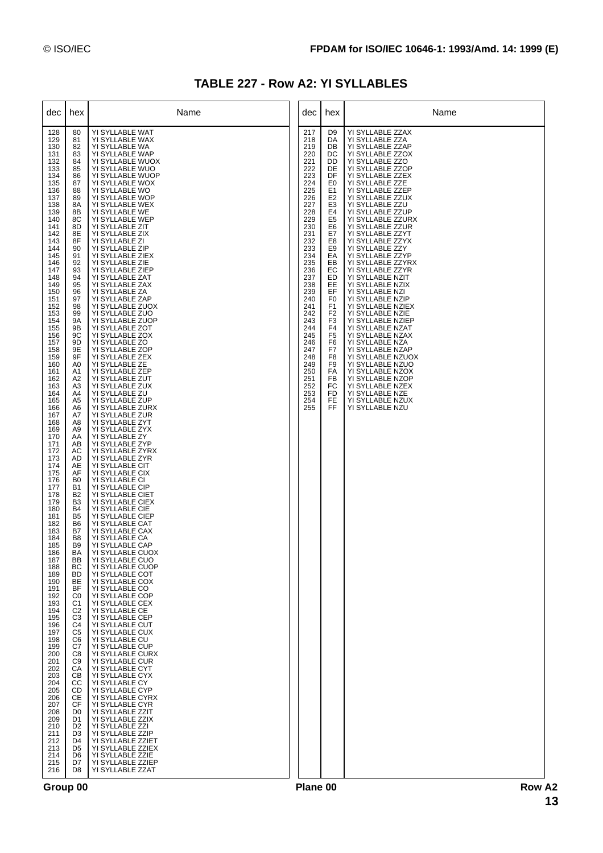| TABLE 227 - Row A2: YI SYLLABLES |  |  |  |  |  |
|----------------------------------|--|--|--|--|--|
|----------------------------------|--|--|--|--|--|

| dec                                                                                                                                                                                                                                                                                                                                                                                                                                                                                                                                                                                                                                         | hex                                                                                                                                                                                                                                                                                                                                                                                                                                                                                                                                                                                                                                                                                                                                                                                              | Name                                                                                                                                                                                                                                                                                                                                                                                                                                                                                                                                                                                                                                                                                                                                                                                                                                                                                                                                                                                                                                                                                                                                                                                                                                                                                                                                                                                                                                                                                                                                                                                                                                                                                                                                                               | dec                                                                                                                                                                                                                                                                           | hex                                                                                                                                                                                                                                                                                                                                                                        | Name                                                                                                                                                                                                                                                                                                                                                                                                                                                                                                                                                                                                                                                                                                                                                                                                 |
|---------------------------------------------------------------------------------------------------------------------------------------------------------------------------------------------------------------------------------------------------------------------------------------------------------------------------------------------------------------------------------------------------------------------------------------------------------------------------------------------------------------------------------------------------------------------------------------------------------------------------------------------|--------------------------------------------------------------------------------------------------------------------------------------------------------------------------------------------------------------------------------------------------------------------------------------------------------------------------------------------------------------------------------------------------------------------------------------------------------------------------------------------------------------------------------------------------------------------------------------------------------------------------------------------------------------------------------------------------------------------------------------------------------------------------------------------------|--------------------------------------------------------------------------------------------------------------------------------------------------------------------------------------------------------------------------------------------------------------------------------------------------------------------------------------------------------------------------------------------------------------------------------------------------------------------------------------------------------------------------------------------------------------------------------------------------------------------------------------------------------------------------------------------------------------------------------------------------------------------------------------------------------------------------------------------------------------------------------------------------------------------------------------------------------------------------------------------------------------------------------------------------------------------------------------------------------------------------------------------------------------------------------------------------------------------------------------------------------------------------------------------------------------------------------------------------------------------------------------------------------------------------------------------------------------------------------------------------------------------------------------------------------------------------------------------------------------------------------------------------------------------------------------------------------------------------------------------------------------------|-------------------------------------------------------------------------------------------------------------------------------------------------------------------------------------------------------------------------------------------------------------------------------|----------------------------------------------------------------------------------------------------------------------------------------------------------------------------------------------------------------------------------------------------------------------------------------------------------------------------------------------------------------------------|------------------------------------------------------------------------------------------------------------------------------------------------------------------------------------------------------------------------------------------------------------------------------------------------------------------------------------------------------------------------------------------------------------------------------------------------------------------------------------------------------------------------------------------------------------------------------------------------------------------------------------------------------------------------------------------------------------------------------------------------------------------------------------------------------|
| 128<br>129<br>130<br>131<br>132<br>133<br>134<br>135<br>136<br>137<br>138<br>139<br>140<br>141<br>142<br>143<br>144<br>145<br>146<br>147<br>148<br>149<br>150<br>151<br>152<br>153<br>154<br>155<br>156<br>157<br>158<br>159<br>160<br>161<br>162<br>163<br>164<br>165<br>166<br>167<br>168<br>169<br>170<br>171<br>172<br>173<br>174<br>175<br>176<br>177<br>178<br>179<br>180<br>181<br>182<br>183<br>184<br>185<br>186<br>187<br>188<br>189<br>190<br>191<br>192<br>193<br>194<br>195<br>196<br>197<br>198<br>199<br>200<br>201<br>202<br>203<br>204<br>205<br>206<br>207<br>208<br>209<br>210<br>211<br>212<br>213<br>214<br>215<br>216 | 80<br>81<br>82<br>83<br>84<br>85<br>86<br>87<br>88<br>89<br>8A<br>8B<br>8C<br>8D<br>8E<br>8F<br>90<br>91<br>92<br>93<br>94<br>95<br>96<br>97<br>98<br>99<br>9A<br>9B<br>9C<br>9D<br>9E<br>9F<br>A0<br>A1<br>A2<br>A <sub>3</sub><br>A4<br>A <sub>5</sub><br>A6<br>A7<br>A8<br>A <sub>9</sub><br>AA<br>AB<br>АC<br>AD<br>AE<br>AF<br>B <sub>0</sub><br><b>B1</b><br>B <sub>2</sub><br>B <sub>3</sub><br><b>B4</b><br>B <sub>5</sub><br>B <sub>6</sub><br>B7<br>B <sub>8</sub><br>B <sub>9</sub><br>BA<br>ВB<br>BС<br>BD.<br>BE<br>BF<br>C0<br>C1<br>C <sub>2</sub><br>C <sub>3</sub><br>C4<br>C <sub>5</sub><br>C6<br>C7<br>C8<br>C <sub>9</sub><br>CA<br>CВ<br>CС<br>CD<br>СE<br><b>CF</b><br>D <sub>0</sub><br>D1<br>D <sub>2</sub><br>D3<br>D <sub>4</sub><br>D <sub>5</sub><br>D6<br>D7<br>D8 | YI SYLLABLE WAT<br>YI SYLLABLE WAX<br>YI SYLLABLE WA<br>YI SYLLABLE WAP<br>YI SYLLABLE WUOX<br>YI SYLLABLE WUO<br>YI SYLLABLE WUOP<br>YI SYLLABLE WOX<br>YI SYLLABLE WO<br>YI SYLLABLE WOP<br>YI SYLLABLE WEX<br>YI SYLLABLE WE<br>YI SYLLABLE WEP<br>YI SYLLABLE ZIT<br>YI SYLLABLE ZIX<br>YI SYLLABLE ZI<br>YI SYLLABLE ZIP<br>YI SYLLABLE ZIEX<br>YI SYLLABLE ZIE<br>YI SYLLABLE ZIEP<br>YI SYLLABLE ZAT<br>YI SYLLABLE ZAX<br>YI SYLLABLE ZA<br>YI SYLLABLE ZAP<br>YI SYLLABLE ZUOX<br>YI SYLLABLE ZUO<br>YI SYLLABLE ZUOP<br>YI SYLLABLE ZOT<br>YI SYLLABLE ZOX<br>YI SYLLABLE ZO<br>YI SYLLABLE ZOP<br>YI SYLLABLE ZEX<br>YI SYLLABLE ZE<br>YI SYLLABLE ZEP<br>YI SYLLABLE ZUT<br>YI SYLLABLE ZUX<br>YI SYLLABLE ZU<br>YI SYLLABLE ZUP<br>YI SYLLABLE ZURX<br>YI SYLLABLE ZUR<br>YI SYLLABLE ZYT<br>YI SYLLABLE ZYX<br>YI SYLLABLE ZY<br>YI SYLLABLE ZYP<br>YI SYLLABLE ZYRX<br>YI SYLLABLE ZYR<br>YI SYLLABLE CIT<br>YI SYLLABLE CIX<br>YI SYLLABLE CI<br>YI SYLLABLE CIP<br>YI SYLLABLE CIET<br>YI SYLLABLE CIEX<br>YI SYLLABLE CIE<br>YI SYLLABLE CIEP<br>YI SYLLABLE CAT<br>YI SYLLABLE CAX<br>YI SYLLABLE CA<br>YI SYLLABLE CAP<br>YI SYLLABLE CUOX<br>YI SYLLABLE CUO<br>YI SYLLABLE CUOP<br>YI SYLLABLE COT<br>YI SYLLABLE COX<br>YI SYLLABLE CO<br>YI SYLLABLE COP<br>YI SYLLABLE CEX<br>YI SYLLABLE CE<br>YI SYLLABLE CEP<br>YI SYLLABLE CUT<br>YI SYLLABLE CUX<br>YI SYLLABLE CU<br>YI SYLLABLE CUP<br>YI SYLLABLE CURX<br>YI SYLLABLE CUR<br>YI SYLLABLE CYT<br>YI SYLLABLE CYX<br>YI SYLLABLE CY<br>YI SYLLABLE CYP<br>YI SYLLABLE CYRX<br>YI SYLLABLE CYR<br>YI SYLLABLE ZZIT<br>YI SYLLABLE ZZIX<br>YI SYLLABLE ZZI<br>YI SYLLABLE ZZIP<br>YI SYLLABLE ZZIET<br>YI SYLLABLE ZZIEX<br>YI SYLLABLE ZZIE<br>YI SYLLABLE ZZIEP<br>YI SYLLABLE ZZAT | 217<br>218<br>219<br>220<br>221<br>222<br>223<br>224<br>225<br>226<br>227<br>228<br>229<br>230<br>231<br>232<br>233<br>234<br>235<br>236<br>237<br>238<br>239<br>240<br>241<br>242<br>243<br>244<br>245<br>246<br>247<br>248<br>249<br>250<br>251<br>252<br>253<br>254<br>255 | D9<br>DA<br>DB<br>DC<br>DD<br>DE<br>DF<br>E <sub>0</sub><br>E1<br>E2<br>E <sub>3</sub><br>E4<br>E <sub>5</sub><br>E6<br>E7<br>E8<br>E <sub>9</sub><br>EA<br>EВ<br>EC<br>ED<br>EE<br>EF<br>F <sub>0</sub><br>F <sub>1</sub><br>F <sub>2</sub><br>F <sub>3</sub><br>F <sub>4</sub><br>F <sub>5</sub><br>F6<br>F7<br>F8<br>F <sub>9</sub><br>FA<br>FB<br>FC<br>FD<br>FE<br>FF | YI SYLLABLE ZZAX<br>YI SYLLABLE ZZA<br>YI SYLLABLE ZZAP<br>YI SYLLABLE ZZOX<br>YI SYLLABLE ZZO<br>YI SYLLABLE ZZOP<br>YI SYLLABLE ZZEX<br>YI SYLLABLE ZZE<br>YI SYLLABLE ZZEP<br>YI SYLLABLE ZZUX<br>YI SYLLABLE ZZU<br>YI SYLLABLE ZZUP<br>YI SYLLABLE ZZURX<br>YI SYLLABLE ZZUR<br>YI SYLLABLE ZZYT<br>YI SYLLABLE ZZYX<br>YI SYLLABLE ZZY<br>YI SYLLABLE ZZYP<br>YI SYLLABLE ZZYRX<br>YI SYLLABLE ZZYR<br>YI SYLLABLE NZIT<br>YI SYLLABLE NZIX<br>YI SYLLABLE NZI<br>YI SYLLABLE NZIP<br>YI SYLLABLE NZIEX<br>YI SYLLABLE NZIE<br>YI SYLLABLE NZIEP<br>YI SYLLABLE NZAT<br>YI SYLLABLE NZAX<br>YI SYLLABLE NZA<br>YI SYLLABLE NZAP<br>YI SYLLABLE NZUOX<br>YI SYLLABLE NZUO<br>YI SYLLABLE NZOX<br>YI SYLLABLE NZOP<br>YI SYLLABLE NZEX<br>YI SYLLABLE NZE<br>YI SYLLABLE NZUX<br>YI SYLLABLE NZU |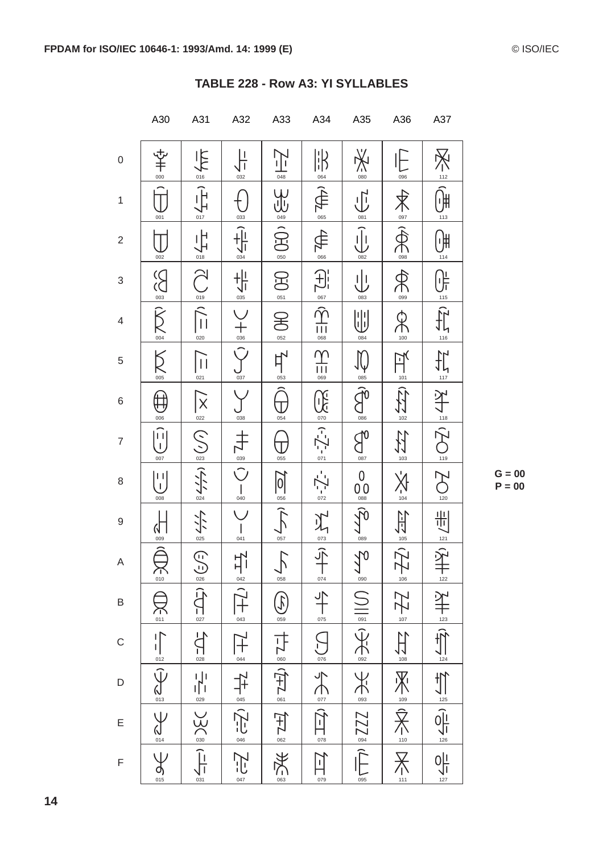|                     | A30                                                                                                                                                                                                     | A31                                                                                                          | A32                                                                                                                                                                                                                               | A33                  | A34                                                                                                                                                                | A35                                       | A36                                                                                                                                                                                                                                                                                                                                                      | A37                                                                                                       |
|---------------------|---------------------------------------------------------------------------------------------------------------------------------------------------------------------------------------------------------|--------------------------------------------------------------------------------------------------------------|-----------------------------------------------------------------------------------------------------------------------------------------------------------------------------------------------------------------------------------|----------------------|--------------------------------------------------------------------------------------------------------------------------------------------------------------------|-------------------------------------------|----------------------------------------------------------------------------------------------------------------------------------------------------------------------------------------------------------------------------------------------------------------------------------------------------------------------------------------------------------|-----------------------------------------------------------------------------------------------------------|
| $\mathsf{O}\xspace$ | $rac{1}{2}$                                                                                                                                                                                             | $\frac{1}{\sqrt{2\pi}}$                                                                                      | μ<br>032                                                                                                                                                                                                                          | 上<br>048             | $\parallel \parallel$<br>064                                                                                                                                       | $X_{\text{on}}$                           | 096                                                                                                                                                                                                                                                                                                                                                      | $\sum_{112}$                                                                                              |
| $\mathbf 1$         | 001                                                                                                                                                                                                     | $\hat{\mathbb{F}}$<br>017                                                                                    | 033                                                                                                                                                                                                                               | <b>GES</b><br>GES    | $\bigoplus_{\infty}$                                                                                                                                               | $\overline{\bigoplus}$<br>$\frac{081}{1}$ | $\overline{\mathbb{X}}$<br>$\frac{097}{5}$                                                                                                                                                                                                                                                                                                               | $\widehat{\mathbb{H}}$<br>113                                                                             |
| $\overline{c}$      | 002                                                                                                                                                                                                     | 信                                                                                                            | $\frac{1}{034}$                                                                                                                                                                                                                   | 050                  | $\bigoplus_{\text{res}}$                                                                                                                                           | $\bigcup_{\frac{082}{2}}$                 | $\sum_{098}$                                                                                                                                                                                                                                                                                                                                             | ਼)∰<br>114                                                                                                |
| 3                   | $\sum_{\infty}$                                                                                                                                                                                         | $\frac{1}{\sqrt{2}}$                                                                                         | $rac{1}{\sqrt{1}}$                                                                                                                                                                                                                | B<br>051             |                                                                                                                                                                    | 业<br>083                                  | AC.                                                                                                                                                                                                                                                                                                                                                      |                                                                                                           |
| $\overline{4}$      | $\sum_{\circ\alpha}$                                                                                                                                                                                    | 020                                                                                                          | $+$ <sub>036</sub>                                                                                                                                                                                                                | E<br>052             | $\underbrace{\overbrace{\overline{\mathbb{F}}}}_{\text{max}}\left \overline{\mathbb{F}}\right\rangle\left \overline{\mathbb{F}}\right\rangle\overline{\mathbb{F}}$ | ⋓<br>084                                  | 100                                                                                                                                                                                                                                                                                                                                                      | $\frac{1}{\sqrt{2\pi}}\sum_{i=1}^{\infty}\left \frac{1}{i}\sum_{i=1}^{n}\frac{1}{i}\sum_{j=1}^{n}\right $ |
| 5                   | K                                                                                                                                                                                                       | $\overline{\mathsf{I}}$<br>021                                                                               | $\hat{\mathcal{C}}$<br>$rac{6}{037}$                                                                                                                                                                                              | 与                    | Υ<br>$\frac{1}{111}$                                                                                                                                               | $\bigcup_{085}$                           | 可以                                                                                                                                                                                                                                                                                                                                                       | $\frac{1}{\sqrt{1}}$                                                                                      |
| 6                   | $\oplus$<br>006                                                                                                                                                                                         |                                                                                                              | 038                                                                                                                                                                                                                               | 054                  |                                                                                                                                                                    |                                           | $\prod_{102}$                                                                                                                                                                                                                                                                                                                                            |                                                                                                           |
| $\overline{7}$      | $\begin{pmatrix} \widehat{\mathbf{u}} \\ \mathbf{u} \end{pmatrix}$<br>007                                                                                                                               | $\sqrt{\sum_{023}}$                                                                                          | キッシ                                                                                                                                                                                                                               | 055                  | $\sum_{n=1}^{\infty}$ -7-1 $\approx$ 5.52                                                                                                                          | $\sum_{\text{ORZ}}$                       | <b>THE</b>                                                                                                                                                                                                                                                                                                                                               | SH = 02 = 42                                                                                              |
| 8                   | $\begin{pmatrix} 1 & 1 \ 1 & 1 \end{pmatrix}$<br>008                                                                                                                                                    | $\frac{1}{224}$                                                                                              | $\begin{array}{c} 1 \\ 040 \end{array}$                                                                                                                                                                                           | $\frac{1}{\sqrt{2}}$ | $\frac{1}{\frac{072}{}}$                                                                                                                                           | $0\atop{0.080}$                           | $X_{\frac{104}{104}}$                                                                                                                                                                                                                                                                                                                                    | $\frac{120}{120}$                                                                                         |
| $\hbox{9}$          | $\mathsf{N}$<br>009                                                                                                                                                                                     | $\frac{1}{\sqrt{1.1}}$                                                                                       | 041                                                                                                                                                                                                                               | 057                  | 不言之                                                                                                                                                                | $\sum_{089}$                              | $\begin{picture}(20,5) \put(0,0) {\put(0,0){\line(1,0){10}} \put(1,0){\line(1,0){10}} \put(1,0){\line(1,0){10}} \put(1,0){\line(1,0){10}} \put(1,0){\line(1,0){10}} \put(1,0){\line(1,0){10}} \put(1,0){\line(1,0){10}} \put(1,0){\line(1,0){10}} \put(1,0){\line(1,0){10}} \put(1,0){\line(1,0){10}} \put(1,0){\line(1,0){10}} \put(1,0){\line(1,0){10$ | 制                                                                                                         |
| Α                   | $\sum_{\text{on}}$                                                                                                                                                                                      |                                                                                                              |                                                                                                                                                                                                                                   | $\sum_{\text{obs}}$  | 074                                                                                                                                                                |                                           |                                                                                                                                                                                                                                                                                                                                                          | $\frac{1}{2}$<br>$+$<br>$122$                                                                             |
| B                   | $\sum_{011}$                                                                                                                                                                                            | $\frac{1}{\sqrt{2}}\sum_{n=1}^{\infty}\frac{1}{n}\left(\frac{1}{n}\sum_{i=1}^{\infty}\frac{1}{n}\right)^{n}$ |                                                                                                                                                                                                                                   | $\bigcirc$           | $\frac{1}{\sqrt{2}}$                                                                                                                                               |                                           |                                                                                                                                                                                                                                                                                                                                                          |                                                                                                           |
| $\mathsf{C}$        |                                                                                                                                                                                                         | $\frac{1}{2}$<br>028                                                                                         |                                                                                                                                                                                                                                   |                      |                                                                                                                                                                    |                                           |                                                                                                                                                                                                                                                                                                                                                          |                                                                                                           |
| D                   | $\frac{1}{\sqrt{1-\frac{1}{\sigma}}}\sum_{\alpha=0}^{\infty}\frac{1}{\alpha}=\sum_{\alpha=0}^{\infty}\frac{1}{\alpha}\sum_{\alpha=0}^{\infty}\frac{1}{\alpha}=\sum_{\alpha=0}^{\infty}\frac{1}{\alpha}$ | $\begin{array}{c}\n1 \\ 1 \\ \hline\n029\n\end{array}$                                                       | $\frac{1}{1+\frac{1}{2}}\left \frac{1}{1+\frac{1}{2}}\right \frac{1}{1+\frac{1}{2}}\left \frac{1}{1+\frac{1}{2}}\right \frac{1}{1+\frac{1}{2}}\left \frac{1}{1+\frac{1}{2}}\right \frac{1}{1+\frac{1}{2}}\frac{1}{1+\frac{1}{2}}$ | 七日(午上四四)             | DDS SES (FILES                                                                                                                                                     | $\exists p \in \mathbb{Z}$                | 空气空气的 家具不足                                                                                                                                                                                                                                                                                                                                               | $\frac{1}{2}$                                                                                             |
| E                   |                                                                                                                                                                                                         | $\sum$ SC                                                                                                    |                                                                                                                                                                                                                                   |                      |                                                                                                                                                                    |                                           |                                                                                                                                                                                                                                                                                                                                                          |                                                                                                           |
| F                   |                                                                                                                                                                                                         | 031                                                                                                          |                                                                                                                                                                                                                                   | 063                  | $\overline{\mathbb{H}}$<br>079                                                                                                                                     | 095                                       | $111$                                                                                                                                                                                                                                                                                                                                                    | $\frac{1}{\sqrt{1}}$                                                                                      |

| TABLE 228 - Row A3: YI SYLLABLES |  |
|----------------------------------|--|
|                                  |  |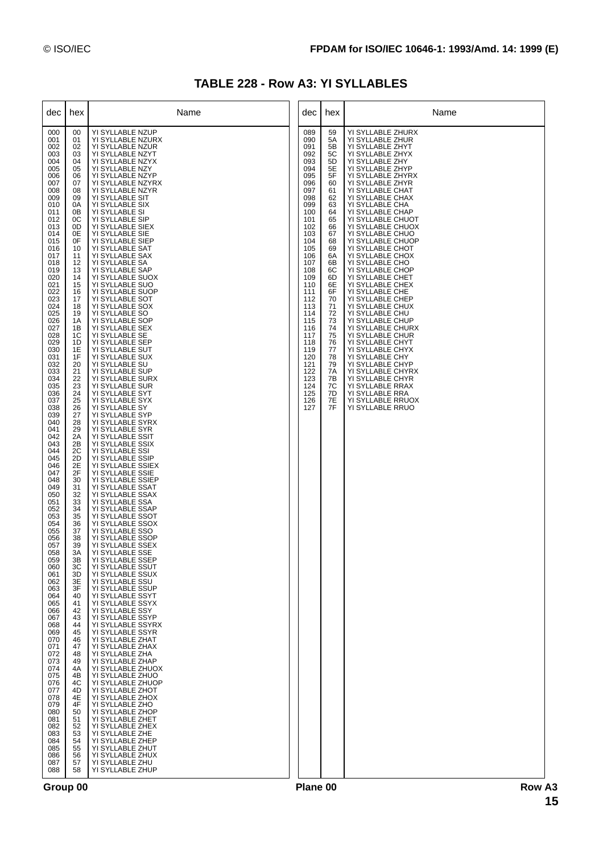## **TABLE 228 - Row A3: YI SYLLABLES**

| dec                                                                                                                                                                                                                                                                                                                                                                                                                                                                                                                                                                                                                                         | hex                                                                                                                                                                                                                                                                                                                                                                                                                                                                                                                                                | Name                                                                                                                                                                                                                                                                                                                                                                                                                                                                                                                                                                                                                                                                                                                                                                                                                                                                                                                                                                                                                                                                                                                                                                                                                                                                                                                                                                                                                                                                                                                                                                                                                                                                                                                                                                                                         | dec                                                                                                                                                                                                                                                                           | hex                                                                                                                                                                                                                                    | Name                                                                                                                                                                                                                                                                                                                                                                                                                                                                                                                                                                                                                                                                                                                                                                                                      |
|---------------------------------------------------------------------------------------------------------------------------------------------------------------------------------------------------------------------------------------------------------------------------------------------------------------------------------------------------------------------------------------------------------------------------------------------------------------------------------------------------------------------------------------------------------------------------------------------------------------------------------------------|----------------------------------------------------------------------------------------------------------------------------------------------------------------------------------------------------------------------------------------------------------------------------------------------------------------------------------------------------------------------------------------------------------------------------------------------------------------------------------------------------------------------------------------------------|--------------------------------------------------------------------------------------------------------------------------------------------------------------------------------------------------------------------------------------------------------------------------------------------------------------------------------------------------------------------------------------------------------------------------------------------------------------------------------------------------------------------------------------------------------------------------------------------------------------------------------------------------------------------------------------------------------------------------------------------------------------------------------------------------------------------------------------------------------------------------------------------------------------------------------------------------------------------------------------------------------------------------------------------------------------------------------------------------------------------------------------------------------------------------------------------------------------------------------------------------------------------------------------------------------------------------------------------------------------------------------------------------------------------------------------------------------------------------------------------------------------------------------------------------------------------------------------------------------------------------------------------------------------------------------------------------------------------------------------------------------------------------------------------------------------|-------------------------------------------------------------------------------------------------------------------------------------------------------------------------------------------------------------------------------------------------------------------------------|----------------------------------------------------------------------------------------------------------------------------------------------------------------------------------------------------------------------------------------|-----------------------------------------------------------------------------------------------------------------------------------------------------------------------------------------------------------------------------------------------------------------------------------------------------------------------------------------------------------------------------------------------------------------------------------------------------------------------------------------------------------------------------------------------------------------------------------------------------------------------------------------------------------------------------------------------------------------------------------------------------------------------------------------------------------|
| 000<br>001<br>002<br>003<br>004<br>005<br>006<br>007<br>008<br>009<br>010<br>011<br>012<br>013<br>014<br>015<br>016<br>017<br>018<br>019<br>020<br>021<br>022<br>023<br>024<br>025<br>026<br>027<br>028<br>029<br>030<br>031<br>032<br>033<br>034<br>035<br>036<br>037<br>038<br>039<br>040<br>041<br>042<br>043<br>044<br>045<br>046<br>047<br>048<br>049<br>050<br>051<br>052<br>053<br>054<br>055<br>056<br>057<br>058<br>059<br>060<br>061<br>062<br>063<br>064<br>065<br>066<br>067<br>068<br>069<br>070<br>071<br>072<br>073<br>074<br>075<br>076<br>077<br>078<br>079<br>080<br>081<br>082<br>083<br>084<br>085<br>086<br>087<br>088 | 00<br>01<br>02<br>03<br>04<br>05<br>06<br>07<br>08<br>09<br>0A<br>0Β<br>0C<br>0D<br>0E<br>0F<br>10<br>11<br>12<br>13<br>14<br>15<br>16<br>17<br>18<br>19<br>1A<br>1B<br>1C<br>1D<br>1E<br>1F<br>20<br>21<br>22<br>23<br>24<br>25<br>26<br>27<br>28<br>29<br>2A<br>2B<br>2C<br>2D<br>2E<br>2F<br>30<br>31<br>32<br>33<br>34<br>35<br>36<br>37<br>38<br>39<br>3A<br>ЗB<br>ЗC<br>3D<br>3E<br>3F<br>40<br>41<br>42<br>43<br>44<br>45<br>46<br>47<br>48<br>49<br>4A<br>4B<br>4C<br>4D<br>4E<br>4F<br>50<br>51<br>52<br>53<br>54<br>55<br>56<br>57<br>58 | YI SYLLABLE NZUP<br>YI SYLLABLE NZURX<br>YI SYLLABLE NZUR<br>YI SYLLABLE NZYT<br>YI SYLLABLE NZYX<br>YI SYLLABLE NZY<br>YI SYLLABLE NZYP<br>YI SYLLABLE NZYRX<br>YI SYLLABLE NZYR<br>YI SYLLABLE SIT<br>YI SYLLABLE SIX<br>YI SYLLABLE SI<br>YI SYLLABLE SIP<br>YI SYLLABLE SIEX<br>YI SYLLABLE SIE<br>YI SYLLABLE SIEP<br>YI SYLLABLE SAT<br>YI SYLLABLE SAX<br>YI SYLLABLE SA<br>YI SYLLABLE SAP<br>YI SYLLABLE SUOX<br>YI SYLLABLE SUO<br>YI SYLLABLE SUOP<br>YI SYLLABLE SOT<br>YI SYLLABLE SOX<br>YI SYLLABLE SO<br>YI SYLLABLE SOP<br>YI SYLLABLE SEX<br>YI SYLLABLE SE<br>YI SYLLABLE SEP<br>YI SYLLABLE SUT<br>YI SYLLABLE SUX<br>YI SYLLABLE SU<br>YI SYLLABLE SUP<br>YI SYLLABLE SURX<br>YI SYLLABLE SUR<br>YI SYLLABLE SYT<br>YI SYLLABLE SYX<br>YI SYLLABLE SY<br>YI SYLLABLE SYP<br>YI SYLLABLE SYRX<br>YI SYLLABLE SYR<br>YI SYLLABLE SSIT<br>YI SYLLABLE SSIX<br>YI SYLLABLE SSI<br>YI SYLLABLE SSIP<br>YI SYLLABLE SSIEX<br>YI SYLLABLE SSIE<br>YI SYLLABLE SSIEP<br>YI SYLLABLE SSAT<br>YI SYLLABLE SSAX<br>YI SYLLABLE SSA<br>YI SYLLABLE SSAP<br>YI SYLLABLE SSOT<br>YI SYLLABLE SSOX<br>YI SYLLABLE SSO<br>YI SYLLABLE SSOP<br>YI SYLLABLE SSEX<br>YI SYI LABLE SSE<br>YI SYLLABLE SSEP<br>YI SYLLABLE SSUT<br>YI SYLLABLE SSUX<br>YI SYLLABLE SSU<br>YI SYLLABLE SSUP<br>YI SYLLABLE SSYT<br>YI SYLLABLE SSYX<br>YI SYLLABLE SSY<br>YI SYLLABLE SSYP<br>YI SYLLABLE SSYRX<br>YI SYLLABLE SSYR<br>YI SYLLABLE ZHAT<br>YI SYLLABLE ZHAX<br>YI SYLLABLE ZHA<br>YI SYLLABLE ZHAP<br>YI SYLLABLE ZHUOX<br>YI SYLLABLE ZHUO<br>YI SYLLABLE ZHUOP<br>YI SYLLABLE ZHOT<br>YI SYLLABLE ZHOX<br>YI SYLLABLE ZHO<br>YI SYLLABLE ZHOP<br>YI SYLLABLE ZHET<br>YI SYLLABLE ZHEX<br>YI SYLLABLE ZHE<br>YI SYLLABLE ZHEP<br>YI SYLLABLE ZHUT<br>YI SYLLABLE ZHUX<br>YI SYLLABLE ZHU<br>YI SYLLABLE ZHUP | 089<br>090<br>091<br>092<br>093<br>094<br>095<br>096<br>097<br>098<br>099<br>100<br>101<br>102<br>103<br>104<br>105<br>106<br>107<br>108<br>109<br>110<br>111<br>112<br>113<br>114<br>115<br>116<br>117<br>118<br>119<br>120<br>121<br>122<br>123<br>124<br>125<br>126<br>127 | 59<br>5A<br>5B<br>5C<br>5D<br>5E<br>5F<br>60<br>61<br>62<br>63<br>64<br>65<br>66<br>67<br>68<br>69<br>6A<br>6B<br>6C<br>6D<br>6E<br>6F<br>70<br>71<br>72<br>73<br>74<br>75<br>76<br>77<br>78<br>79<br>7A<br>7В<br>7C<br>7D<br>7E<br>7F | YI SYLLABLE ZHURX<br>YI SYLLABLE ZHUR<br>YI SYLLABLE ZHYT<br>YI SYLLABLE ZHYX<br>YI SYLLABLE ZHY<br>YI SYLLABLE ZHYP<br>YI SYLLABLE ZHYRX<br>YI SYLLABLE ZHYR<br>YI SYLLABLE CHAT<br>YI SYLLABLE CHAX<br>YI SYLLABLE CHA<br>YI SYLLABLE CHAP<br>YI SYLLABLE CHUOT<br>YI SYLLABLE CHUOX<br>YI SYLLABLE CHUO<br>YI SYLLABLE CHUOP<br>YI SYLLABLE CHOT<br>YI SYLLABLE CHOX<br>YI SYLLABLE CHO<br>YI SYLLABLE CHOP<br>YI SYLLABLE CHET<br>YI SYLLABLE CHEX<br>YI SYLLABLE CHE<br>YI SYLLABLE CHEP<br>YI SYLLABLE CHUX<br>YI SYLLABLE CHU<br>YI SYLLABLE CHUP<br>YI SYLLABLE CHURX<br>YI SYLLABLE CHUR<br>YI SYLLABLE CHYT<br>YI SYLLABLE CHYX<br>YI SYLLABLE CHY<br>YI SYLLABLE CHYP<br>YI SYLLABLE CHYRX<br>YI SYLLABLE CHYR<br>YI SYLLABLE RRAX<br>YI SYLLABLE RRA<br>YI SYLLABLE RRUOX<br>YI SYLLABLE RRUO |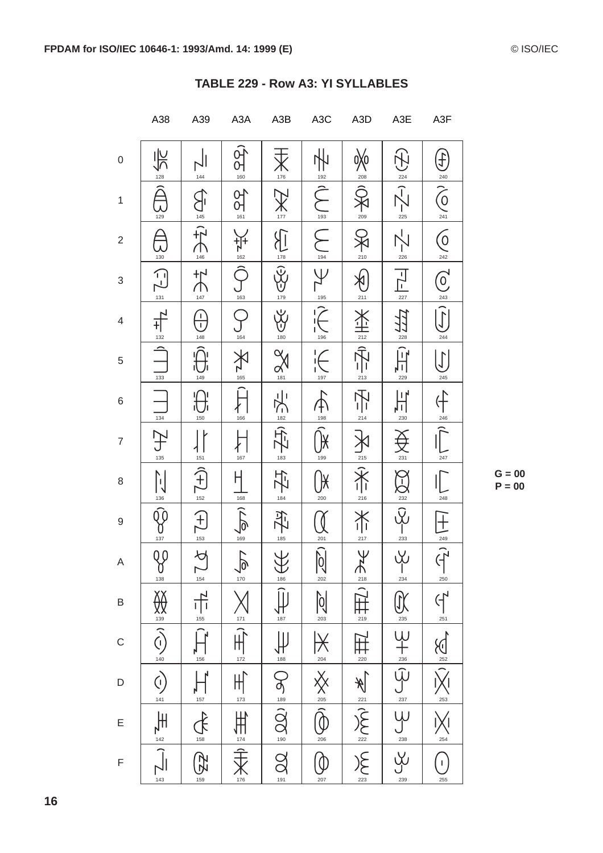|                           | A38                                                                                                                                                                                                                                                                                                                                                 | A39                                                             | A <sub>3</sub> A                  | A3B                                    | A <sub>3</sub> C                    | A <sub>3</sub> D                                                                                           | A3E                                                                                                                                                                                                                    | A3F                                                                                       |
|---------------------------|-----------------------------------------------------------------------------------------------------------------------------------------------------------------------------------------------------------------------------------------------------------------------------------------------------------------------------------------------------|-----------------------------------------------------------------|-----------------------------------|----------------------------------------|-------------------------------------|------------------------------------------------------------------------------------------------------------|------------------------------------------------------------------------------------------------------------------------------------------------------------------------------------------------------------------------|-------------------------------------------------------------------------------------------|
| $\boldsymbol{0}$          | 飞<br>128                                                                                                                                                                                                                                                                                                                                            | 144                                                             | $\frac{\partial}{\partial t}$     | $\mathsf{X}_{\scriptscriptstyle{176}}$ | 192                                 | <br>208                                                                                                    | $\bigoplus$<br>224                                                                                                                                                                                                     | )<br>七                                                                                    |
| $\mathbf{1}$              | $\widehat{\triangle}$                                                                                                                                                                                                                                                                                                                               | 145                                                             | $\sum_{161}$                      | 177                                    | $\overline{\widehat{\zeta}}$<br>193 | 209                                                                                                        | $\sqrt{-1}$<br>225                                                                                                                                                                                                     | $\overbrace{O}^{240}$                                                                     |
| $\sqrt{2}$                | 130                                                                                                                                                                                                                                                                                                                                                 | $\dot{f}$<br>$\bigcap_{146}$                                    | $\frac{1}{162}$                   | $\overline{\mathbb{R}}$<br>178         | $\sum$<br>194                       | 210                                                                                                        | 226                                                                                                                                                                                                                    | $\frac{1}{242}$                                                                           |
| $\ensuremath{\mathsf{3}}$ | $\begin{picture}(20,5) \put(0,0){\line(1,0){15}} \put(15,0){\line(1,0){15}} \put(15,0){\line(1,0){15}} \put(15,0){\line(1,0){15}} \put(15,0){\line(1,0){15}} \put(15,0){\line(1,0){15}} \put(15,0){\line(1,0){15}} \put(15,0){\line(1,0){15}} \put(15,0){\line(1,0){15}} \put(15,0){\line(1,0){15}} \put(15,0){\line(1,0){15}} \put(15,0){\line(1,$ | $\sum_{\frac{147}{}}$                                           | $\sum_{163}$                      | $\frac{1}{\sqrt{2}}$                   | と言い                                 | ∮<br>211                                                                                                   | $\frac{1}{227}$                                                                                                                                                                                                        | $\frac{1}{243}$                                                                           |
| $\overline{4}$            | 132                                                                                                                                                                                                                                                                                                                                                 | $\frac{1}{1}$<br>148                                            | 164                               | y<br>V<br>180                          | 196                                 | 212                                                                                                        | 圩<br>228                                                                                                                                                                                                               | $\widehat{J}$<br>244                                                                      |
| $\,$ 5 $\,$               | 133                                                                                                                                                                                                                                                                                                                                                 | 149                                                             | 165                               | $\alpha$<br>$\alpha$                   | $\frac{1}{2}$<br>$\frac{197}{1}$    | $\sum_{i=1}^{n}$<br>213                                                                                    | Û<br>╹╹<br>229                                                                                                                                                                                                         | $\left(\int\right)$<br>245                                                                |
| 6                         | $\frac{1}{134}$                                                                                                                                                                                                                                                                                                                                     | 150                                                             | 166                               | 义<br>182                               | 198                                 | $\frac{1}{\sqrt{2}}$<br>214                                                                                | ן ו ן<br>ᇿ<br>230                                                                                                                                                                                                      |                                                                                           |
| $\overline{7}$            | 135                                                                                                                                                                                                                                                                                                                                                 | 151                                                             | 167                               | 心<br>183                               | 199                                 | 215                                                                                                        | 231                                                                                                                                                                                                                    | $\frac{246}{\boxed{}}$<br>247                                                             |
| 8                         | $\mathbb{N}$<br>136                                                                                                                                                                                                                                                                                                                                 | $\sum_{152}$                                                    | $\frac{1}{168}$                   | 门<br>门<br>184                          | 200                                 | 216                                                                                                        | O-O<br>232                                                                                                                                                                                                             | 248                                                                                       |
| $\boldsymbol{9}$          | Q (<br>137                                                                                                                                                                                                                                                                                                                                          | $\left(\begin{matrix} + \end{matrix}\right)$<br>$rac{153}{153}$ | $\widehat{\delta}$<br>169         | 孕<br>185                               | 201                                 | 丫<br>217                                                                                                   | ပို့<br>233                                                                                                                                                                                                            | ⊺                                                                                         |
| A                         | QQ<br>$\alpha$ <sup>138</sup>                                                                                                                                                                                                                                                                                                                       | $\forall$<br>$\sum_{154}$                                       |                                   | $\frac{1}{186}$                        | $\widehat{\mathbb{Q}}$<br>202       | $\overline{Y}$                                                                                             | ιXι<br>Î<br>$\frac{234}{2}$                                                                                                                                                                                            | $\frac{1}{249}$<br>250                                                                    |
| $\sf B$                   |                                                                                                                                                                                                                                                                                                                                                     | $\frac{1}{\sqrt{1}}$                                            |                                   | $\prod_{187}$                          | $\frac{\sum_{203}}{203}$            | $\sum_{218}^{218}$                                                                                         |                                                                                                                                                                                                                        |                                                                                           |
| $\mathsf{C}$              |                                                                                                                                                                                                                                                                                                                                                     | $ \hat{\mathbf{H}}$<br>156                                      |                                   | $\frac{1}{\sqrt{188}}$                 |                                     |                                                                                                            |                                                                                                                                                                                                                        |                                                                                           |
| D                         | $\sum_{140}^{130}$ (c) $\sum_{140}$                                                                                                                                                                                                                                                                                                                 | $\prod_{157}$                                                   | API ANTI THE THE THE THE THE TANK |                                        | $\frac{1}{\sum_{204}^{204}}$        | $\frac{1}{\frac{22}{22}}\sum_{223}^{\infty}\frac{1}{\frac{22}{2}}\sum_{23}^{\infty}\frac{1}{\frac{22}{2}}$ | $\underbrace{\begin{array}{c} \text{as} \\ \text{as} \end{array}}_{238} \underbrace{\begin{array}{c} \text{as} \\ \text{as} \end{array}}_{238} \underbrace{\begin{array}{c} \text{as} \\ \text{as} \end{array}}_{238}$ | $\frac{C_1}{C_2}$ $\frac{C_3}{C_3}$ $\frac{C_4}{C_4}$ $\frac{C_5}{C_5}$ $\frac{C_6}{C_5}$ |
| E                         |                                                                                                                                                                                                                                                                                                                                                     | A                                                               |                                   | OS : 100 : 20 20                       |                                     |                                                                                                            |                                                                                                                                                                                                                        |                                                                                           |
| F                         | $\frac{1}{\sqrt{1}}\sum_{\frac{1}{143}}$                                                                                                                                                                                                                                                                                                            | $\bigoplus_{\frac{1}{100}}$                                     |                                   |                                        | 207                                 |                                                                                                            |                                                                                                                                                                                                                        | $\bigcap$<br>255                                                                          |

| TABLE 229 - Row A3: YI SYLLABLES |  |  |
|----------------------------------|--|--|
|                                  |  |  |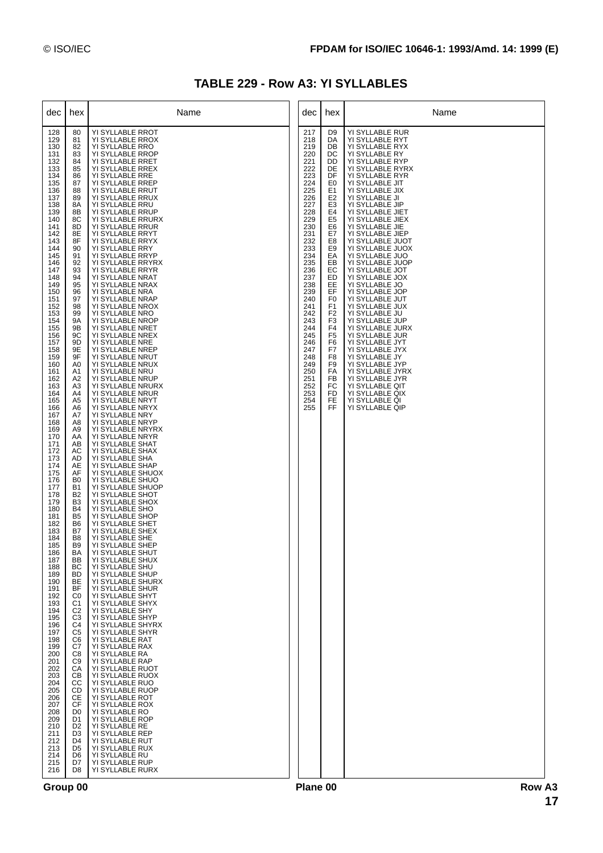## **TABLE 229 - Row A3: YI SYLLABLES**

| dec                                                                                                                                                                                                                                                                                                                                                                                                                                                                                                                                                                                                                                         | hex                                                                                                                                                                                                                                                                                                                                                                                                                                                                                                                                                                                                                                                                                                                                                                                                    | Name                                                                                                                                                                                                                                                                                                                                                                                                                                                                                                                                                                                                                                                                                                                                                                                                                                                                                                                                                                                                                                                                                                                                                                                                                                                                                                                                                                                                                                                                                                                                                                                                                                                                                                                                                                                                                    | dec                                                                                                                                                                                                                                                                           | hex                                                                                                                                                                                                                                                                                                                                                                                                | Name                                                                                                                                                                                                                                                                                                                                                                                                                                                                                                                                                                                                                                                                                                                                                                 |
|---------------------------------------------------------------------------------------------------------------------------------------------------------------------------------------------------------------------------------------------------------------------------------------------------------------------------------------------------------------------------------------------------------------------------------------------------------------------------------------------------------------------------------------------------------------------------------------------------------------------------------------------|--------------------------------------------------------------------------------------------------------------------------------------------------------------------------------------------------------------------------------------------------------------------------------------------------------------------------------------------------------------------------------------------------------------------------------------------------------------------------------------------------------------------------------------------------------------------------------------------------------------------------------------------------------------------------------------------------------------------------------------------------------------------------------------------------------|-------------------------------------------------------------------------------------------------------------------------------------------------------------------------------------------------------------------------------------------------------------------------------------------------------------------------------------------------------------------------------------------------------------------------------------------------------------------------------------------------------------------------------------------------------------------------------------------------------------------------------------------------------------------------------------------------------------------------------------------------------------------------------------------------------------------------------------------------------------------------------------------------------------------------------------------------------------------------------------------------------------------------------------------------------------------------------------------------------------------------------------------------------------------------------------------------------------------------------------------------------------------------------------------------------------------------------------------------------------------------------------------------------------------------------------------------------------------------------------------------------------------------------------------------------------------------------------------------------------------------------------------------------------------------------------------------------------------------------------------------------------------------------------------------------------------------|-------------------------------------------------------------------------------------------------------------------------------------------------------------------------------------------------------------------------------------------------------------------------------|----------------------------------------------------------------------------------------------------------------------------------------------------------------------------------------------------------------------------------------------------------------------------------------------------------------------------------------------------------------------------------------------------|----------------------------------------------------------------------------------------------------------------------------------------------------------------------------------------------------------------------------------------------------------------------------------------------------------------------------------------------------------------------------------------------------------------------------------------------------------------------------------------------------------------------------------------------------------------------------------------------------------------------------------------------------------------------------------------------------------------------------------------------------------------------|
| 128<br>129<br>130<br>131<br>132<br>133<br>134<br>135<br>136<br>137<br>138<br>139<br>140<br>141<br>142<br>143<br>144<br>145<br>146<br>147<br>148<br>149<br>150<br>151<br>152<br>153<br>154<br>155<br>156<br>157<br>158<br>159<br>160<br>161<br>162<br>163<br>164<br>165<br>166<br>167<br>168<br>169<br>170<br>171<br>172<br>173<br>174<br>175<br>176<br>177<br>178<br>179<br>180<br>181<br>182<br>183<br>184<br>185<br>186<br>187<br>188<br>189<br>190<br>191<br>192<br>193<br>194<br>195<br>196<br>197<br>198<br>199<br>200<br>201<br>202<br>203<br>204<br>205<br>206<br>207<br>208<br>209<br>210<br>211<br>212<br>213<br>214<br>215<br>216 | 80<br>81<br>82<br>83<br>84<br>85<br>86<br>87<br>88<br>89<br>8A<br>8B<br>8C<br>8D<br>8E<br>8F<br>90<br>91<br>92<br>93<br>94<br>95<br>96<br>97<br>98<br>99<br>9Α<br>9Β<br>9C<br>9D<br>9E<br>9F<br>A0<br>A1<br>A2<br>A3<br>A4<br>A5<br>A6<br>A7<br>A8<br>A9<br>AA<br>AB<br>AC<br>AD<br>AE<br>AF<br>B <sub>0</sub><br><b>B1</b><br>B <sub>2</sub><br>B <sub>3</sub><br><b>B4</b><br>B <sub>5</sub><br>B6<br>B7<br>B <sub>8</sub><br>B <sub>9</sub><br>BA<br>BB<br>ВC<br><b>BD</b><br>BE<br>BF<br>C <sub>0</sub><br>C <sub>1</sub><br>C <sub>2</sub><br>C <sub>3</sub><br>C4<br>C <sub>5</sub><br>C <sub>6</sub><br>C7<br>C8<br>C <sub>9</sub><br>CA<br>CВ<br>CС<br>CD<br><b>CE</b><br>CF<br>D <sub>0</sub><br>D1<br>D <sub>2</sub><br>D <sub>3</sub><br>D4<br>D <sub>5</sub><br>D6<br>D7<br>D <sub>8</sub> | YI SYLLABLE RROT<br>YI SYLLABLE RROX<br>YI SYLLABLE RRO<br>YI SYLLABLE RROP<br>YI SYLLABLE RRET<br>YI SYLLABLE RREX<br>YI SYLLABLE RRE<br>YI SYLLABLE RREP<br>YI SYLLABLE RRUT<br>YI SYLLABLE RRUX<br>YI SYLLABLE RRU<br>YI SYLLABLE RRUP<br>YI SYLLABLE RRURX<br>YI SYLLABLE RRUR<br>YI SYLLABLE RRYT<br>YI SYLLABLE RRYX<br>YI SYLLABLE RRY<br>YI SYLLABLE RRYP<br>YI SYLLABLE RRYRX<br>YI SYLLABLE RRYR<br>YI SYLLABLE NRAT<br>YI SYLLABLE NRAX<br>YI SYLLABLE NRA<br>YI SYLLABLE NRAP<br>YI SYLLABLE NROX<br>YI SYLLABLE NRO<br>YI SYLLABLE NROP<br>YI SYLLABLE NRET<br>YI SYLLABLE NREX<br>YI SYLLABLE NRE<br>YI SYLLABLE NREP<br>YI SYLLABLE NRUT<br>YI SYLLABLE NRUX<br>YI SYLLABLE NRU<br>YI SYLLABLE NRUP<br>YI SYLLABLE NRURX<br>YI SYLLABLE NRUR<br>YI SYLLABLE NRYT<br>YI SYLLABLE NRYX<br>YI SYLLABLE NRY<br>YI SYLLABLE NRYP<br>YI SYLLABLE NRYRX<br>YI SYLLABLE NRYR<br>YI SYLLABLE SHAT<br>YI SYLLABLE SHAX<br>YI SYLLABLE SHA<br>YI SYLLABLE SHAP<br>YI SYLLABLE SHUOX<br>YI SYLLABLE SHUO<br>YI SYLLABLE SHUOP<br>YI SYLLABLE SHOT<br>YI SYLLABLE SHOX<br>YI SYLLABLE SHO<br>YI SYLLABLE SHOP<br>YI SYLLABLE SHET<br>YI SYLLABLE SHEX<br>YI SYLLABLE SHE<br>YI SYLLABLE SHEP<br>YI SYLLABLE SHUT<br>YI SYLLABLE SHUX<br>YI SYLLABLE SHU<br>YI SYLLABLE SHUP<br>YI SYLLABLE SHURX<br>YI SYLLABLE SHUR<br>YI SYLLABLE SHYT<br>YI SYLLABLE SHYX<br>YI SYLLABLE SHY<br>YI SYLLABLE SHYP<br>YI SYLLABLE SHYRX<br>YI SYLLABLE SHYR<br>YI SYLLABLE RAT<br>YI SYLLABLE RAX<br>YI SYLLABLE RA<br>YI SYLLABLE RAP<br>YI SYLLABLE RUOT<br>YI SYLLABLE RUOX<br>YI SYLLABLE RUO<br>YI SYLLABLE RUOP<br>YI SYLLABLE ROT<br>YI SYLLABLE ROX<br>YI SYLLABLE RO<br>YI SYLLABLE ROP<br>YI SYLLABLE RE<br>YI SYLLABLE REP<br>YI SYLLABLE RUT<br>YI SYLLABLE RUX<br>YI SYLLABLE RU<br>YI SYLLABLE RUP<br>YI SYLLABLE RURX | 217<br>218<br>219<br>220<br>221<br>222<br>223<br>224<br>225<br>226<br>227<br>228<br>229<br>230<br>231<br>232<br>233<br>234<br>235<br>236<br>237<br>238<br>239<br>240<br>241<br>242<br>243<br>244<br>245<br>246<br>247<br>248<br>249<br>250<br>251<br>252<br>253<br>254<br>255 | D9<br>DA<br>DB<br>DC<br>DD<br>DE<br>DF<br>E0<br>E <sub>1</sub><br>E <sub>2</sub><br>E <sub>3</sub><br>E4<br>E <sub>5</sub><br>E6<br>E7<br>E8<br>E <sub>9</sub><br>EА<br>EB<br>EС<br>ED<br>EE<br>EF<br>F <sub>0</sub><br>F <sub>1</sub><br>F <sub>2</sub><br>F <sub>3</sub><br>F <sub>4</sub><br>F <sub>5</sub><br>F6<br>F7<br>F <sub>8</sub><br>F <sub>9</sub><br>FA<br>FB<br>FC<br>FD<br>FE<br>FF | YI SYLLABLE RUR<br>YI SYLLABLE RYT<br>YI SYLLABLE RYX<br>YI SYLLABLE RY<br>YI SYLLABLE RYP<br>YI SYLLABLE RYRX<br>YI SYLLABLE RYR<br>YI SYLLABLE JIT<br>YI SYLLABLE JIX<br>YI SYLLABLE JI<br>YI SYLLABLE JIP<br>YI SYLLABLE JIET<br>YI SYLLABLE JIEX<br>YI SYLLABLE JIE<br>YI SYLLABLE JIEP<br>YI SYLLABLE JUOT<br>YI SYLLABLE JUOX<br>YI SYLLABLE JUO<br>YI SYLLABLE JUOP<br>YI SYLLABLE JOT<br>YI SYLLABLE JOX<br>YI SYLLABLE JO<br>YI SYLLABLE JOP<br>YI SYLLABLE JUT<br>YI SYLLABLE JUX<br>YI SYLLABLE JU<br>YI SYLLABLE JUP<br>YI SYLLABLE JURX<br>YI SYLLABLE JUR<br>YI SYLLABLE JYT<br>YI SYLLABLE JYX<br>YI SYLLABLE JY<br>YI SYLLABLE JYP<br>YI SYLLABLE JYRX<br>YI SYLLABLE JYR<br>YI SYLLABLE QIT<br>YI SYLLABLE QIX<br>YI SYLLABLE QI<br>YI SYLLABLE QIP |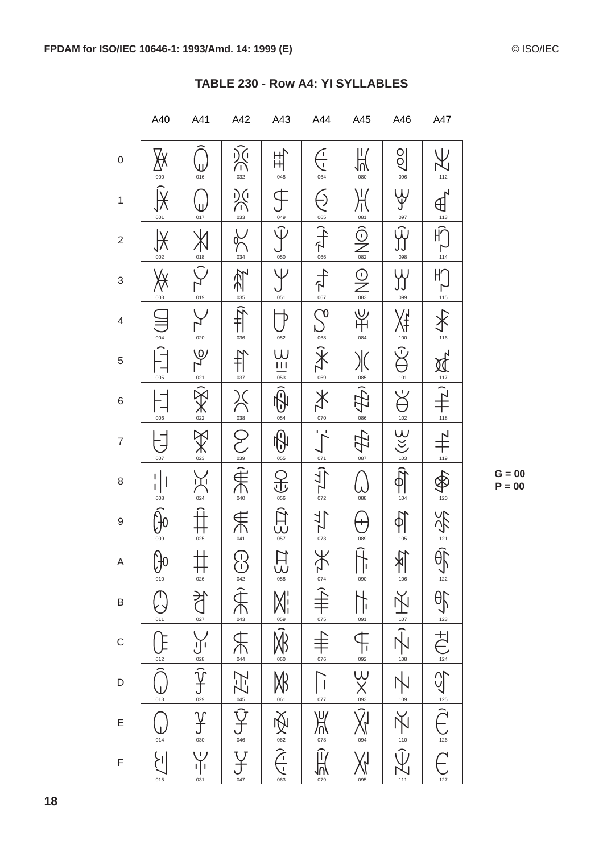|                          | A40                     | A41                                                                                                                                                                                                                                                                                                                                                                         | A42                                                                                                                                                                                                                                                                                                                                                                         | A43                                                           | A44                                                                                                                                              | A45                                                                                                                                                                                                                                                                                                                                                 | A46                                   | A47                                                                                                                                                                                                                                                                 |
|--------------------------|-------------------------|-----------------------------------------------------------------------------------------------------------------------------------------------------------------------------------------------------------------------------------------------------------------------------------------------------------------------------------------------------------------------------|-----------------------------------------------------------------------------------------------------------------------------------------------------------------------------------------------------------------------------------------------------------------------------------------------------------------------------------------------------------------------------|---------------------------------------------------------------|--------------------------------------------------------------------------------------------------------------------------------------------------|-----------------------------------------------------------------------------------------------------------------------------------------------------------------------------------------------------------------------------------------------------------------------------------------------------------------------------------------------------|---------------------------------------|---------------------------------------------------------------------------------------------------------------------------------------------------------------------------------------------------------------------------------------------------------------------|
| $\mathsf 0$              | 000                     | П<br>016                                                                                                                                                                                                                                                                                                                                                                    | )<br>(<br>032                                                                                                                                                                                                                                                                                                                                                               | 出<br>048                                                      | $\frac{1}{2}$<br>064                                                                                                                             | 当<br>080                                                                                                                                                                                                                                                                                                                                            | $\frac{1}{2}$<br>096                  | \ J<br>112                                                                                                                                                                                                                                                          |
| $\mathbf{1}$             | 001                     | $\overline{\mathbf{u}}$<br>017                                                                                                                                                                                                                                                                                                                                              | $\sum_{033}$                                                                                                                                                                                                                                                                                                                                                                | 049                                                           | Ş<br>065                                                                                                                                         |                                                                                                                                                                                                                                                                                                                                                     | r<br>P<br>097                         | $\begin{picture}(120,115)(-10,115)(-10,115)(-10,115)(-10,115)(-10,115)(-10,115)(-10,115)(-10,115)(-10,115)(-10,115)(-10,115)(-10,115)(-10,115)(-10,115)(-10,115)(-10,115)(-10,115)(-10,115)(-10,115)(-10,115)(-10,115)(-10,115)(-10,115)(-10,115)(-10,115)(-10,115$ |
| $\overline{\mathbf{c}}$  | 002                     | 018                                                                                                                                                                                                                                                                                                                                                                         | 034                                                                                                                                                                                                                                                                                                                                                                         | $\widehat{\psi}$<br>050                                       | (1/2)                                                                                                                                            | $\overline{\bigodot_{082}}$                                                                                                                                                                                                                                                                                                                         | $\Gamma$<br>098                       | $H \widehat{\cap}$<br>┍<br>114                                                                                                                                                                                                                                      |
| 3                        | ∰<br>003                | 019                                                                                                                                                                                                                                                                                                                                                                         | $\sum_{\text{obs}}$                                                                                                                                                                                                                                                                                                                                                         | $\mathsf \Psi$<br>051                                         | 卡                                                                                                                                                | $\frac{1}{\sqrt{2}}\sum_{\alpha\in\mathcal{S}}$                                                                                                                                                                                                                                                                                                     | 099                                   | $H \bigcap$<br>$\mathsf{L}$<br>115                                                                                                                                                                                                                                  |
| $\overline{\mathcal{A}}$ | 004                     | 020                                                                                                                                                                                                                                                                                                                                                                         | $\begin{matrix} \widehat{H} \end{matrix}$<br>036                                                                                                                                                                                                                                                                                                                            | 052                                                           | $\sum_{\mathbf{O}}$<br>068                                                                                                                       | 当<br>中<br>084                                                                                                                                                                                                                                                                                                                                       | 100                                   | 116                                                                                                                                                                                                                                                                 |
| 5                        | 005                     | ष्ट्र<br>र<br>021                                                                                                                                                                                                                                                                                                                                                           | $\begin{picture}(20,5) \put(0,0){\vector(0,1){10}} \put(15,0){\vector(0,1){10}} \put(15,0){\vector(0,1){10}} \put(15,0){\vector(0,1){10}} \put(15,0){\vector(0,1){10}} \put(15,0){\vector(0,1){10}} \put(15,0){\vector(0,1){10}} \put(15,0){\vector(0,1){10}} \put(15,0){\vector(0,1){10}} \put(15,0){\vector(0,1){10}} \put(15,0){\vector(0,1){10}} \put(15,0){\vector(0,$ | $\underbrace{\overline{\mathsf{L}}\mathsf{L}}_{\mathsf{053}}$ | $\overline{\mathbf{X}}$                                                                                                                          | 085                                                                                                                                                                                                                                                                                                                                                 | $\bigcap$<br>101                      | $\frac{1}{2}$                                                                                                                                                                                                                                                       |
| 6                        | 006                     | 《关》                                                                                                                                                                                                                                                                                                                                                                         | $\approx$<br>038                                                                                                                                                                                                                                                                                                                                                            | ନି<br>6<br>054                                                | $\overline{\mathsf{X}}$<br>070                                                                                                                   | 086                                                                                                                                                                                                                                                                                                                                                 | $\overleftrightarrow{S}$<br>102       | $\frac{1}{118}$                                                                                                                                                                                                                                                     |
| $\overline{7}$           | 007                     | $\chi$<br>023                                                                                                                                                                                                                                                                                                                                                               | Z<br>039                                                                                                                                                                                                                                                                                                                                                                    | 0<br>心<br>055                                                 | 071                                                                                                                                              | 087                                                                                                                                                                                                                                                                                                                                                 | $Q$                                   | 119                                                                                                                                                                                                                                                                 |
| 8                        | $\mathbf{I}$<br>008     | 兴<br>024                                                                                                                                                                                                                                                                                                                                                                    | A                                                                                                                                                                                                                                                                                                                                                                           | $\overline{\mathbb{F}}$<br>056                                | $\widehat{I}$<br>$\sum_{072}$                                                                                                                    | 088                                                                                                                                                                                                                                                                                                                                                 | 104                                   | 120                                                                                                                                                                                                                                                                 |
| $\hbox{9}$               | 009                     | 025                                                                                                                                                                                                                                                                                                                                                                         | A                                                                                                                                                                                                                                                                                                                                                                           | 行业                                                            | 与<br>073                                                                                                                                         | 089                                                                                                                                                                                                                                                                                                                                                 | 105                                   |                                                                                                                                                                                                                                                                     |
| A                        | Þ<br>010                | $\frac{+}{0.26}$                                                                                                                                                                                                                                                                                                                                                            |                                                                                                                                                                                                                                                                                                                                                                             | $\overline{\mathsf{S}}$<br>$\overline{\mathsf{S}}$            | $\frac{\displaystyle\sum\limits_{074}^{074}}$                                                                                                    | $\overline{f}$<br>090                                                                                                                                                                                                                                                                                                                               | $\frac{\sum_{106}}{1}$                | 《守制》                                                                                                                                                                                                                                                                |
| B                        | $\overline{011}$        | $\begin{picture}(220,20) \put(0,0){\vector(0,1){10}} \put(15,0){\vector(0,1){10}} \put(15,0){\vector(0,1){10}} \put(15,0){\vector(0,1){10}} \put(15,0){\vector(0,1){10}} \put(15,0){\vector(0,1){10}} \put(15,0){\vector(0,1){10}} \put(15,0){\vector(0,1){10}} \put(15,0){\vector(0,1){10}} \put(15,0){\vector(0,1){10}} \put(15,0){\vector(0,1){10}} \put(15,0){\vector($ |                                                                                                                                                                                                                                                                                                                                                                             |                                                               |                                                                                                                                                  | $\frac{1}{\sqrt{1}}$                                                                                                                                                                                                                                                                                                                                | 贞                                     |                                                                                                                                                                                                                                                                     |
| $\mathsf{C}$             | 012                     |                                                                                                                                                                                                                                                                                                                                                                             |                                                                                                                                                                                                                                                                                                                                                                             | $\frac{\sum\limits_{000}^{300} \frac{1}{100}}{200}$           |                                                                                                                                                  |                                                                                                                                                                                                                                                                                                                                                     | $rac{1}{\sqrt{2}}$<br>$rac{108}{108}$ |                                                                                                                                                                                                                                                                     |
| D                        | 013                     | $\underbrace{\overbrace{\phantom{125}}^{\phantom{1}}\mathop{\phantom{125}}^{\phantom{1}}}_{\phantom{125}\underline{028}}\underbrace{\phantom{125}}_{\phantom{125}\underline{028}}$                                                                                                                                                                                          |                                                                                                                                                                                                                                                                                                                                                                             |                                                               | $\frac{1}{\sqrt{1+\frac{1}{10}}}\left \frac{1}{1+\frac{1}{10}}\right  \leq \frac{1}{\sqrt{1+\frac{1}{10}}}\left \frac{1}{1+\frac{1}{10}}\right $ | $\begin{picture}(42,115) \put(0,0){\line(1,0){15}} \put(15,0){\line(1,0){15}} \put(15,0){\line(1,0){15}} \put(15,0){\line(1,0){15}} \put(15,0){\line(1,0){15}} \put(15,0){\line(1,0){15}} \put(15,0){\line(1,0){15}} \put(15,0){\line(1,0){15}} \put(15,0){\line(1,0){15}} \put(15,0){\line(1,0){15}} \put(15,0){\line(1,0){15}} \put(15,0){\line($ | 109                                   |                                                                                                                                                                                                                                                                     |
| E                        | 014                     | $\frac{\gamma}{\gamma}$                                                                                                                                                                                                                                                                                                                                                     | <b>CO I THE I AF I DAY OF I DAY</b>                                                                                                                                                                                                                                                                                                                                         | 1919 1920 1920                                                | $\frac{1}{\sqrt{\frac{2}{\pi}}}$                                                                                                                 | $\sum_{\circ a}$                                                                                                                                                                                                                                                                                                                                    | 不顺                                    | O E CO E CO E CO E CO E                                                                                                                                                                                                                                             |
| F                        | $\sum_{i=1}^{n}$<br>015 | Ŵ<br>ıŢı<br>031                                                                                                                                                                                                                                                                                                                                                             | $rac{6}{047}$                                                                                                                                                                                                                                                                                                                                                               |                                                               | $\frac{1}{N}$<br>079                                                                                                                             | 095                                                                                                                                                                                                                                                                                                                                                 | $111$                                 | 127                                                                                                                                                                                                                                                                 |

| <b>TABLE 230 - Row A4: YI SYLLABLES</b> |  |  |  |
|-----------------------------------------|--|--|--|
|-----------------------------------------|--|--|--|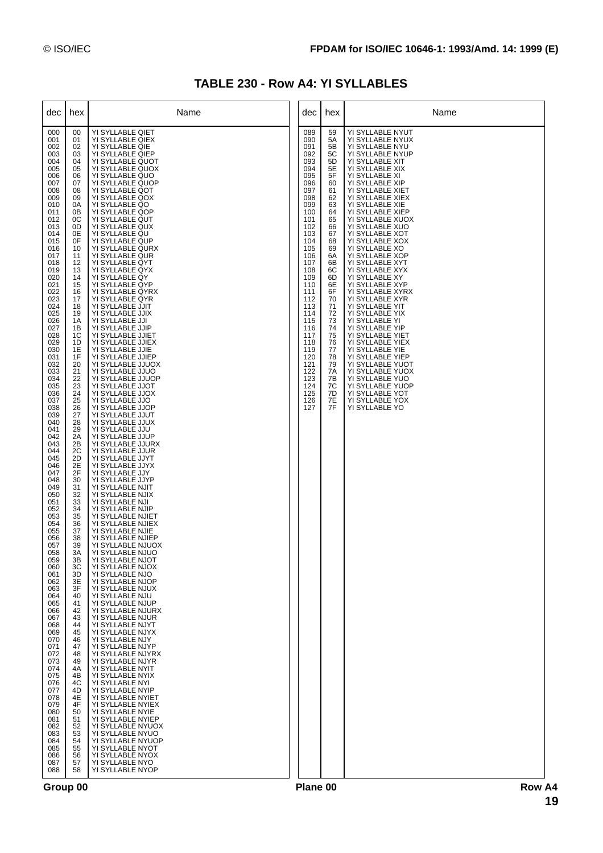## **TABLE 230 - Row A4: YI SYLLABLES**

| dec                                                                                                                                                                                                                                                                                                                                                                                                                                                                                                                                                                                                                                         | hex                                                                                                                                                                                                                                                                                                                                                                                                                                                                                                                                                | Name                                                                                                                                                                                                                                                                                                                                                                                                                                                                                                                                                                                                                                                                                                                                                                                                                                                                                                                                                                                                                                                                                                                                                                                                                                                                                                                                                                                                                                                                                                                                                                                                                                                                                                                                                                                                                                 | dec                                                                                                                                                                                                                                                                           | hex                                                                                                                                                                                                                                    | Name                                                                                                                                                                                                                                                                                                                                                                                                                                                                                                                                                                                                                                                                                                                                                                       |
|---------------------------------------------------------------------------------------------------------------------------------------------------------------------------------------------------------------------------------------------------------------------------------------------------------------------------------------------------------------------------------------------------------------------------------------------------------------------------------------------------------------------------------------------------------------------------------------------------------------------------------------------|----------------------------------------------------------------------------------------------------------------------------------------------------------------------------------------------------------------------------------------------------------------------------------------------------------------------------------------------------------------------------------------------------------------------------------------------------------------------------------------------------------------------------------------------------|--------------------------------------------------------------------------------------------------------------------------------------------------------------------------------------------------------------------------------------------------------------------------------------------------------------------------------------------------------------------------------------------------------------------------------------------------------------------------------------------------------------------------------------------------------------------------------------------------------------------------------------------------------------------------------------------------------------------------------------------------------------------------------------------------------------------------------------------------------------------------------------------------------------------------------------------------------------------------------------------------------------------------------------------------------------------------------------------------------------------------------------------------------------------------------------------------------------------------------------------------------------------------------------------------------------------------------------------------------------------------------------------------------------------------------------------------------------------------------------------------------------------------------------------------------------------------------------------------------------------------------------------------------------------------------------------------------------------------------------------------------------------------------------------------------------------------------------|-------------------------------------------------------------------------------------------------------------------------------------------------------------------------------------------------------------------------------------------------------------------------------|----------------------------------------------------------------------------------------------------------------------------------------------------------------------------------------------------------------------------------------|----------------------------------------------------------------------------------------------------------------------------------------------------------------------------------------------------------------------------------------------------------------------------------------------------------------------------------------------------------------------------------------------------------------------------------------------------------------------------------------------------------------------------------------------------------------------------------------------------------------------------------------------------------------------------------------------------------------------------------------------------------------------------|
| 000<br>001<br>002<br>003<br>004<br>005<br>006<br>007<br>008<br>009<br>010<br>011<br>012<br>013<br>014<br>015<br>016<br>017<br>018<br>019<br>020<br>021<br>022<br>023<br>024<br>025<br>026<br>027<br>028<br>029<br>030<br>031<br>032<br>033<br>034<br>035<br>036<br>037<br>038<br>039<br>040<br>041<br>042<br>043<br>044<br>045<br>046<br>047<br>048<br>049<br>050<br>051<br>052<br>053<br>054<br>055<br>056<br>057<br>058<br>059<br>060<br>061<br>062<br>063<br>064<br>065<br>066<br>067<br>068<br>069<br>070<br>071<br>072<br>073<br>074<br>075<br>076<br>077<br>078<br>079<br>080<br>081<br>082<br>083<br>084<br>085<br>086<br>087<br>088 | 00<br>01<br>02<br>03<br>04<br>05<br>06<br>07<br>08<br>09<br>0A<br>0В<br>0C<br>0D<br>0E<br>0F<br>10<br>11<br>12<br>13<br>14<br>15<br>16<br>17<br>18<br>19<br>1A<br>1В<br>1C<br>1D<br>1E<br>1F<br>20<br>21<br>22<br>23<br>24<br>25<br>26<br>27<br>28<br>29<br>2A<br>2B<br>2C<br>2D<br>2E<br>2F<br>30<br>31<br>32<br>33<br>34<br>35<br>36<br>37<br>38<br>39<br>3A<br>ЗB<br>ЗC<br>3D<br>3E<br>3F<br>40<br>41<br>42<br>43<br>44<br>45<br>46<br>47<br>48<br>49<br>4A<br>4B<br>4C<br>4D<br>4E<br>4F<br>50<br>51<br>52<br>53<br>54<br>55<br>56<br>57<br>58 | YI SYLLABLE QIET<br>YI SYLLABLE QIEX<br>YI SYLLABLE QIE<br>YI SYLLABLE QIEP<br>YI SYLLABLE QUOT<br>YI SYLLABLE QUOX<br>YI SYLLABLE QUO<br>YI SYLLABLE QUOP<br>YI SYLLABLE QOT<br>YI SYLLABLE QOX<br>YI SYLLABLE QO<br>YI SYLLABLE QOP<br>YI SYLLABLE QUT<br>YI SYLLABLE QUX<br>YI SYLLABLE QU<br>YI SYLLABLE QUP<br>YI SYLLABLE QURX<br>YI SYLLABLE QUR<br>YI SYLLABLE QYT<br>YI SYLLABLE QYX<br>YI SYLLABLE QY<br>YI SYLLABLE QYP<br>YI SYLLABLE QYRX<br>YI SYLLABLE QYR<br>YI SYLLABLE JJIT<br>YI SYLLABLE JJIX<br>YI SYLLABLE JJI<br>YI SYLLABLE JJIP<br>YI SYLLABLE JJIET<br>YI SYLLABLE JJIEX<br>YI SYLLABLE JJIE<br>YI SYLLABLE JJIEP<br>YI SYLLABLE JJUOX<br>YI SYLLABLE JJUO<br>YI SYLLABLE JJUOP<br>YI SYLLABLE JJOT<br>YI SYLLABLE JJOX<br>YI SYLLABLE JJO<br>YI SYLLABLE JJOP<br>YI SYLLABLE JJUT<br>YI SYLLABLE JJUX<br>YI SYLLABLE JJU<br>YI SYLLABLE JJUP<br>YI SYLLABLE JJURX<br>YI SYLLABLE JJUR<br>YI SYLLABLE JJYT<br>YI SYLLABLE JJYX<br>YI SYLLABLE JJY<br>YI SYLLABLE JJYP<br>YI SYLLABLE NJIT<br>YI SYLLABLE NJIX<br>YI SYLLABLE NJI<br>YI SYLLABLE NJIP<br>YI SYLLABLE NJIET<br>YI SYLLABLE NJIEX<br>YI SYLLABLE NJIE<br>YI SYLLABLE NJIEP<br>YI SYLLABLE NJUOX<br>YI SYLLABLE NJUO<br>YI SYLLABLE NJOT<br>YI SYLLABLE NJOX<br>YI SYLLABLE NJO<br>YI SYLLABLE NJOP<br>YI SYLLABLE NJUX<br>YI SYLLABLE NJU<br>YI SYLLABLE NJUP<br>YI SYLLABLE NJURX<br>YI SYLLABLE NJUR<br>YI SYLLABLE NJYT<br>YI SYLLABLE NJYX<br>YI SYLLABLE NJY<br>YI SYLLABLE NJYP<br>YI SYLLABLE NJYRX<br>YI SYLLABLE NJYR<br>YI SYLLABLE NYIT<br>YI SYLLABLE NYIX<br>YI SYLLABLE NYI<br>YI SYLLABLE NYIP<br>YI SYLLABLE NYIET<br>YI SYLLABLE NYIEX<br>YI SYLLABLE NYIE<br>YI SYLLABLE NYIEP<br>YI SYLLABLE NYUOX<br>YI SYLLABLE NYUO<br>YI SYLLABLE NYUOP<br>YI SYLLABLE NYOT<br>YI SYLLABLE NYOX<br>YI SYLLABLE NYO<br>YI SYLLABLE NYOP | 089<br>090<br>091<br>092<br>093<br>094<br>095<br>096<br>097<br>098<br>099<br>100<br>101<br>102<br>103<br>104<br>105<br>106<br>107<br>108<br>109<br>110<br>111<br>112<br>113<br>114<br>115<br>116<br>117<br>118<br>119<br>120<br>121<br>122<br>123<br>124<br>125<br>126<br>127 | 59<br>5A<br>5B<br>5C<br>5D<br>5E<br>5F<br>60<br>61<br>62<br>63<br>64<br>65<br>66<br>67<br>68<br>69<br>6A<br>6B<br>6C<br>6D<br>6E<br>6F<br>70<br>71<br>72<br>73<br>74<br>75<br>76<br>77<br>78<br>79<br>7A<br>7B<br>7C<br>7D<br>7E<br>7F | YI SYLLABLE NYUT<br>YI SYLLABLE NYUX<br>YI SYLLABLE NYU<br>YI SYLLABLE NYUP<br>YI SYLLABLE XIT<br>YI SYLLABLE XIX<br>YI SYLLABLE XI<br>YI SYLLABLE XIP<br>YI SYLLABLE XIET<br>YI SYLLABLE XIEX<br>YI SYLLABLE XIE<br>YI SYLLABLE XIEP<br>YI SYLLABLE XUOX<br>YI SYLLABLE XUO<br>YI SYLLABLE XOT<br>YI SYLLABLE XOX<br>YI SYLLABLE XO<br>YI SYLLABLE XOP<br>YI SYLLABLE XYT<br>YI SYLLABLE XYX<br>YI SYLLABLE XY<br>YI SYLLABLE XYP<br>YI SYLLABLE XYRX<br>YI SYLLABLE XYR<br>YI SYLLABLE YIT<br>YI SYLLABLE YIX<br>YI SYLLABLE YI<br>YI SYLLABLE YIP<br>YI SYLLABLE YIET<br>YI SYLLABLE YIEX<br>YI SYLLABLE YIE<br>YI SYLLABLE YIEP<br>YI SYLLABLE YUOT<br>YI SYLLABLE YUOX<br>YI SYLLABLE YUO<br>YI SYLLABLE YUOP<br>YI SYLLABLE YOT<br>YI SYLLABLE YOX<br>YI SYLLABLE YO |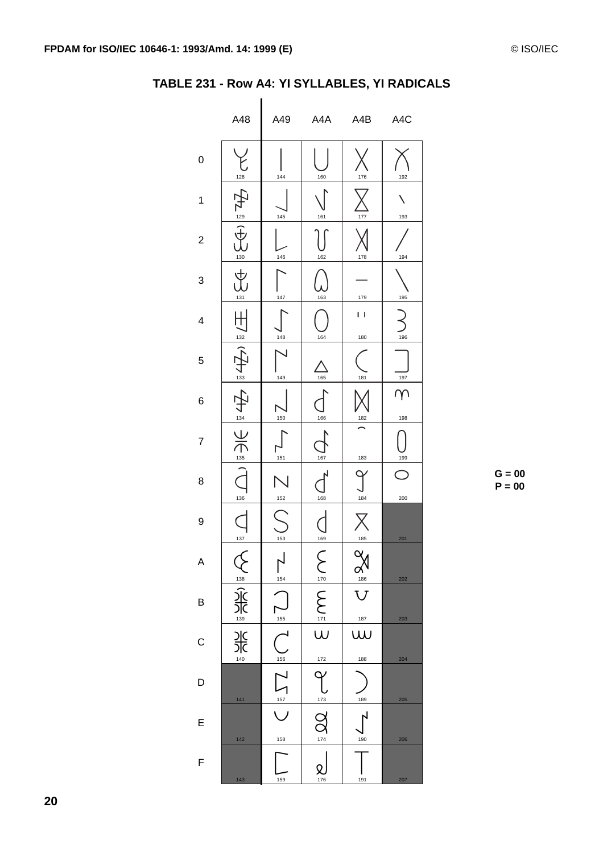|                | A48                                         | A49                      | A4A                                         | A4B                             | A4C             |
|----------------|---------------------------------------------|--------------------------|---------------------------------------------|---------------------------------|-----------------|
| 0              | 128                                         | 144                      | 160                                         | 176                             | 192             |
| 1              |                                             | 145                      | 161                                         | 177                             | 193             |
| $\overline{2}$ | $\frac{129}{12}$<br>$rac{1}{\frac{130}{2}}$ | 146                      | 162                                         | 178                             | 194             |
| 3              | $\overline{\mathrm{L}}$<br>131              | 147                      | 163                                         | 179                             | 195             |
| 4              | 132                                         | 148                      | 164                                         | 1 I<br>180                      | 196             |
| 5              | 133                                         | 149                      | 165                                         | 181                             | 197             |
| 6              | 134                                         | 150                      | 166                                         | 182                             | $\gamma$<br>198 |
| $\overline{7}$ | $rac{1}{\sqrt{2}}$                          | 151                      | 167                                         | 183                             | 199             |
| 8              | 136                                         | 152                      | 168                                         | 184                             | 200             |
| 9              | 137                                         | 153                      | 169                                         | 185                             | 201             |
| A              |                                             | 154                      |                                             | $\Im$                           | 202             |
| B              |                                             | $\frac{155}{1}$          | $\sum_{i=1}^{N} \frac{1}{i} \sum_{i=1}^{N}$ | $\frac{a_1}{a_1}$<br><u>187</u> | 203             |
| $\mathsf{C}$   | ASIAN ASIAN ASIAN                           | $\overline{\mathcal{C}}$ | $172$                                       | w<br>188                        | 204             |
| $\mathsf{D}$   | 141                                         | $\frac{156}{\sqrt{157}}$ | $\frac{173}{173}$                           | 189                             | 205             |
| E              | 142                                         | 158                      | $\sum_{174}$                                | 190                             | 206             |
| $\overline{F}$ | 143                                         | 159                      | 176                                         | 191                             | 207             |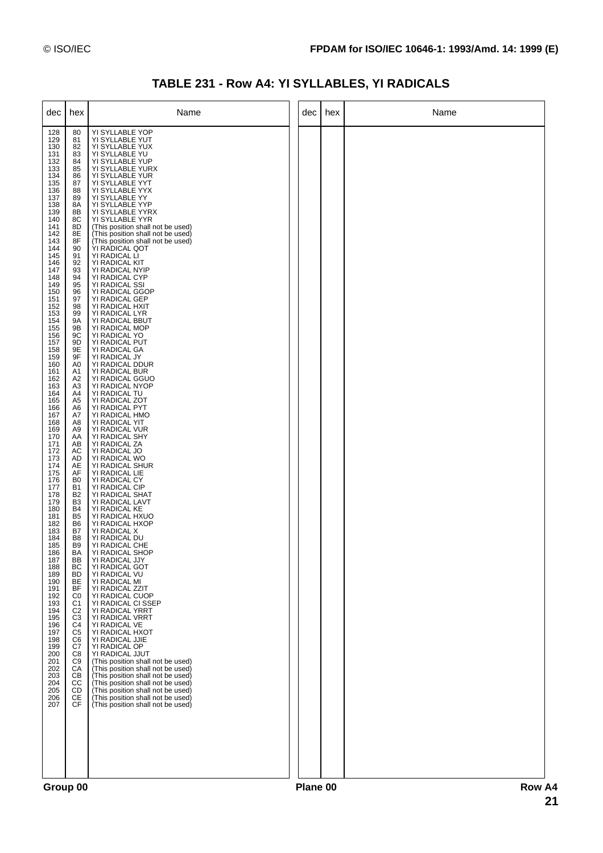## TABLE 231 - Row A4: YI SYLLABLES, YI RADICALS

| dec                                                                                                                                                                                                                                                                                                                                                                                                                                                                                                                                                                          | hex                                                                                                                                                                                                                                                                                                                                                                                                                                                                                                                                                                                                                                                                                                                                                     | Name                                                                                                                                                                                                                                                                                                                                                                                                                                                                                                                                                                                                                                                                                                                                                                                                                                                                                                                                                                                                                                                                                                                                                                                                                                                                                                                                                                                                                                                                                                                                                                                                                                                                                                           | dec      | hex | Name     |
|------------------------------------------------------------------------------------------------------------------------------------------------------------------------------------------------------------------------------------------------------------------------------------------------------------------------------------------------------------------------------------------------------------------------------------------------------------------------------------------------------------------------------------------------------------------------------|---------------------------------------------------------------------------------------------------------------------------------------------------------------------------------------------------------------------------------------------------------------------------------------------------------------------------------------------------------------------------------------------------------------------------------------------------------------------------------------------------------------------------------------------------------------------------------------------------------------------------------------------------------------------------------------------------------------------------------------------------------|----------------------------------------------------------------------------------------------------------------------------------------------------------------------------------------------------------------------------------------------------------------------------------------------------------------------------------------------------------------------------------------------------------------------------------------------------------------------------------------------------------------------------------------------------------------------------------------------------------------------------------------------------------------------------------------------------------------------------------------------------------------------------------------------------------------------------------------------------------------------------------------------------------------------------------------------------------------------------------------------------------------------------------------------------------------------------------------------------------------------------------------------------------------------------------------------------------------------------------------------------------------------------------------------------------------------------------------------------------------------------------------------------------------------------------------------------------------------------------------------------------------------------------------------------------------------------------------------------------------------------------------------------------------------------------------------------------------|----------|-----|----------|
| 128<br>129<br>130<br>131<br>132<br>133<br>134<br>135<br>136<br>137<br>138<br>139<br>140<br>141<br>142<br>143<br>144<br>145<br>146<br>147<br>148<br>149<br>150<br>151<br>152<br>153<br>154<br>155<br>156<br>157<br>158<br>159<br>160<br>161<br>162<br>163<br>164<br>165<br>166<br>167<br>168<br>169<br>170<br>171<br>172<br>173<br>174<br>175<br>176<br>177<br>178<br>179<br>180<br>181<br>182<br>183<br>184<br>185<br>186<br>187<br>188<br>189<br>190<br>191<br>192<br>193<br>194<br>195<br>196<br>197<br>198<br>199<br>200<br>201<br>202<br>203<br>204<br>205<br>206<br>207 | 80<br>81<br>82<br>83<br>84<br>85<br>86<br>87<br>88<br>89<br>8A<br>8Β<br>8C<br>8D<br>8E<br>8F<br>90<br>91<br>92<br>93<br>94<br>95<br>96<br>97<br>98<br>99<br>9A<br>9Β<br>9C<br>9D<br>9E<br>9F<br>A0<br>A1<br>A2<br>A <sub>3</sub><br>A4<br>A <sub>5</sub><br>A6<br>A7<br>A8<br>A <sub>9</sub><br>AA<br>AB<br>AC<br>AD<br>AE<br>AF<br>B <sub>0</sub><br><b>B1</b><br>B <sub>2</sub><br>B <sub>3</sub><br><b>B4</b><br>B <sub>5</sub><br>B <sub>6</sub><br>B7<br>B <sub>8</sub><br>B <sub>9</sub><br><b>BA</b><br>BB<br>BC<br><b>BD</b><br>BE<br><b>BF</b><br>C <sub>0</sub><br>C <sub>1</sub><br>C <sub>2</sub><br>C <sub>3</sub><br>C <sub>4</sub><br>C <sub>5</sub><br>C <sub>6</sub><br>C7<br>C8<br>C <sub>9</sub><br>СA<br>CВ<br>CC<br>CD<br>CE<br>CF | YI SYLLABLE YOP<br>YI SYLLABLE YUT<br>YI SYLLABLE YUX<br>YI SYLLABLE YU<br>YI SYLLABLE YUP<br>YI SYLLABLE YURX<br>YI SYLLABLE YUR<br>YI SYLLABLE YYT<br>YI SYLLABLE YYX<br>YI SYLLABLE YY<br>YI SYLLABLE YYP<br>YI SYLLABLE YYRX<br>YI SYLLABLE YYR<br>(This position shall not be used)<br>(This position shall not be used)<br>(This position shall not be used)<br>YI RADICAL QOT<br>YI RADICAL LI<br>YI RADICAL KIT<br>YI RADICAL NYIP<br>YI RADICAL CYP<br>YI RADICAL SSI<br>YI RADICAL GGOP<br>YI RADICAL GEP<br>YI RADICAL HXIT<br>YI RADICAL LYR<br>YI RADICAL BBUT<br>YI RADICAL MOP<br>YI RADICAL YO<br>YI RADICAL PUT<br>YI RADICAL GA<br>YI RADICAL JY<br>YI RADICAL DDUR<br>YI RADICAL BUR<br>YI RADICAL GGUO<br>YI RADICAL NYOP<br>YI RADICAL TU<br>YI RADICAL ZOT<br>YI RADICAL PYT<br>YI RADICAL HMO<br>YI RADICAL YIT<br>YI RADICAL VUR<br>YI RADICAL SHY<br>YI RADICAL ZA<br>YI RADICAL JO<br>YI RADICAL WO<br>YI RADICAL SHUR<br>YI RADICAL LIE<br>YI RADICAL CY<br>YI RADICAL CIP<br>YI RADICAL SHAT<br>YI RADICAL LAVT<br>YI RADICAL KE<br>YI RADICAL HXUO<br>YI RADICAL HXOP<br>YI RADICAL X<br>YI RADICAL DU<br>YI RADICAL CHE<br>YI RADICAL SHOP<br>YI RADICAL JJY<br>YI RADICAL GOT<br>YI RADICAL VU<br>YI RADICAL MI<br>YI RADICAL ZZIT<br>YI RADICAL CUOP<br>YI RADICAL CI SSEP<br>YI RADICAL YRRT<br>YI RADICAL VRRT<br>YI RADICAL VE<br>YI RADICAL HXOT<br>YI RADICAL JJIE<br>YI RADICAL OP<br>YI RADICAL JJUT<br>(This position shall not be used)<br>(This position shall not be used)<br>(This position shall not be used)<br>(This position shall not be used)<br>(This position shall not be used)<br>(This position shall not be used)<br>(This position shall not be used) |          |     |          |
|                                                                                                                                                                                                                                                                                                                                                                                                                                                                                                                                                                              | $C$ roun 00                                                                                                                                                                                                                                                                                                                                                                                                                                                                                                                                                                                                                                                                                                                                             |                                                                                                                                                                                                                                                                                                                                                                                                                                                                                                                                                                                                                                                                                                                                                                                                                                                                                                                                                                                                                                                                                                                                                                                                                                                                                                                                                                                                                                                                                                                                                                                                                                                                                                                | Diano 00 |     | $D_{OM}$ |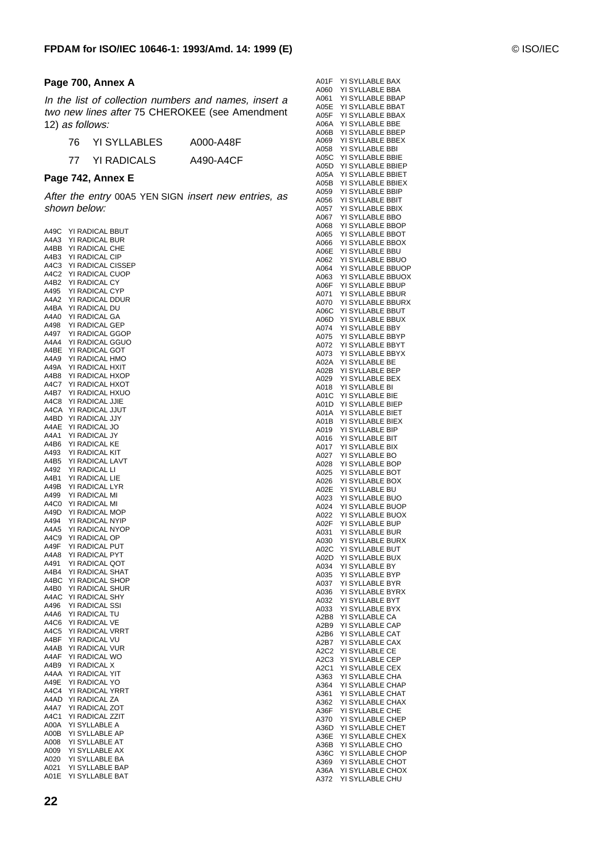#### **Page 700, Annex A**

In the list of collection numbers and names, insert a two new lines after 75 CHEROKEE (see Amendment 12) as follows:

| 76. | YI SYLLABLES       | A000-A48F |
|-----|--------------------|-----------|
| 77  | <b>YI RADICALS</b> | A490-A4CF |

#### **Page 742, Annex E**

After the entry 00A5 YEN SIGN insert new entries, as shown below:

| A49C | YI RADICAL BBUT                  |
|------|----------------------------------|
| A4A3 | YI RADICAL BUR                   |
| A4BB | YI RADICAL CHE                   |
| A4B3 | YI RADICAL CIP                   |
| A4C3 | YI RADICAL CISSEP                |
|      |                                  |
| A4C2 | YI RADICAL CUOP                  |
| A4B2 | YI RADICAL CY                    |
| A495 | YI RADICAL CYP                   |
| A4A2 | YI RADICAL DDUR                  |
| A4BA | YI RADICAL DU                    |
| A4A0 | YI RADICAL GA                    |
| A498 | YI RADICAL GEP                   |
| A497 | YI RADICAL GGOP                  |
| A4A4 | YI RADICAL GGUO                  |
| A4BE | YI RADICAL GOT                   |
| A4A9 | YI RADICAL HMO                   |
|      |                                  |
| A49A | YI RADICAL HXIT                  |
| A4B8 | YI RADICAL HXOP                  |
| A4C7 | YI RADICAL HXOT                  |
| A4B7 | YI RADICAL HXUO                  |
| A4C8 | YI RADICAL JJIE                  |
| A4CA | YI RADICAL JJUT                  |
| A4BD | YI RADICAL JJY                   |
| A4AE | YI RADICAL JO                    |
| A4A1 | YI RADICAL JY                    |
|      |                                  |
| A4B6 | YI RADICAL KE                    |
| A493 | YI RADICAL KIT                   |
| A4B5 | YI RADICAL LAVT                  |
| A492 | YI RADICAL LI                    |
| A4B1 | YI RADICAL LIE                   |
| A49B | YI RADICAL LYR                   |
| A499 | YI RADICAL MI                    |
| A4C0 | YI RADICAL MI                    |
| A49D | YI RADICAL MOP                   |
| A494 | YI RADICAL NYIP                  |
| A4A5 | YI RADICAL NYOP                  |
|      |                                  |
| A4C9 | YI RADICAL OP                    |
| A49F | YI RADICAL PUT                   |
| A4A8 | YI RADICAL PYT                   |
| A491 | YI RADICAL QOT                   |
| A4B4 | YI RADICAL SHAT                  |
| A4BC | YI RADICAL SHOP                  |
| A4B0 | YI RADICAL SHUR                  |
| A4AC | YI RADICAL<br>SHY                |
| A496 | YI RADICAL SSI                   |
| A4A6 | YI RADICAL<br>TU                 |
| A4C6 | YI RADICAL VE                    |
|      |                                  |
| A4C5 | YI RADICAL VRRT                  |
| A4BF | YI RADICAL<br>VU                 |
| A4AB | YI RADICAL VUR                   |
| A4AF | YI RADICAL WO                    |
| A4B9 | YI RADICAL X                     |
| A4AA | YI RADICAL<br>YIT                |
| A49E |                                  |
| A4C4 | YI RADICAL YO<br>YI RADICAL YRRT |
| A4AD | YI RADICAL ZA                    |
|      | YI RADICAL ZOT                   |
| A4A7 |                                  |
| A4C1 | YI RADICAL ZZIT                  |
| A00A | YI SYLLABLE A                    |
| A00B | SYLLABLE AP<br>YI                |
| A008 | YI SYLLABLE AT                   |
| A009 | YI SYLLABLE AX                   |
| A020 | YI SYLLABLE BA                   |
| A021 | YI SYLLABLE BAP                  |
| A01E | SYLLABLE BAT<br>YI               |
|      |                                  |

| A01F                          | <b>YI SYLLABLE</b><br>BAX         |
|-------------------------------|-----------------------------------|
| A060                          | YI SYLLABLE BBA                   |
|                               |                                   |
| A061                          | YI SYLLABLE BBAP                  |
| A05E                          | YI SYLLABLE<br><b>BBAT</b>        |
| A05F                          | YI SYLLABLE BBAX                  |
|                               |                                   |
| A06A                          | YI SYLLABLE<br>BBE                |
| A06B                          | YI SYLLABLE<br><b>BBEP</b>        |
| A069                          | YI SYLLABLE<br><b>BBEX</b>        |
|                               |                                   |
| A058                          | YI SYLLABLE<br><b>BBI</b>         |
| A05C                          | YI SYLLABLE BBIE                  |
|                               | YI SYLLABLE BBIEP                 |
| A05D                          |                                   |
| A05A                          | YI SYLLABLE<br><b>BBIET</b>       |
| A05B                          | YI SYLLABLE BBIEX                 |
|                               |                                   |
| A059                          | YI SYLLABLE<br><b>BBIP</b>        |
| A056                          | YI SYLLABLE BBIT                  |
| A057                          | YI SYLLABLE BBIX                  |
|                               |                                   |
| A067                          | <b>YI SYLLABLE</b><br><b>BBO</b>  |
| A068                          | YI SYLLABLE BBOP                  |
| A065                          | YI SYLLABLE BBOT                  |
|                               |                                   |
| A066                          | YI SYLLABLE BBOX                  |
| A06E                          | YI SYLLABLE BBU                   |
|                               | YI SYLLABLE BBUO                  |
| A062                          |                                   |
| A064                          | YI SYLLABLE BBUOP                 |
| A063                          | YI SYLLABLE BBUOX                 |
|                               |                                   |
| A06F                          | YI SYLLABLE BBUP                  |
| A071                          | YI SYLLABLE BBUR                  |
| A070                          | YI SYLLABLE BBURX                 |
|                               |                                   |
| A06C                          | YI SYLLABLE BBUT                  |
| A06D                          | YI SYLLABLE BBUX                  |
| A074                          | YI SYLLABLE BBY                   |
|                               |                                   |
| A075                          | YI SYLLABLE BBYP                  |
| A072                          | YI SYLLABLE BBYT                  |
| A073                          | YI SYLLABLE BBYX                  |
|                               |                                   |
| A02A                          | YI SYLLABLE<br>BE                 |
| A02B                          | YI SYLLABLE BEP                   |
| A029                          | YI SYLLABLE BEX                   |
|                               |                                   |
| A018                          | YI SYLLABLE<br>BI                 |
| A01C                          | YI SYLLABLE<br><b>BIE</b>         |
| A01D                          | YI SYLLABLE<br><b>BIEP</b>        |
|                               | YI SYLLABLE<br><b>BIET</b>        |
| A01A                          |                                   |
| A01B                          | YI SYLLABLE<br>BIEX               |
| A019                          | YI SYLLABLE<br>BIP                |
| A016                          | YI SYLLABLE<br><b>BIT</b>         |
|                               |                                   |
| A017                          | YI SYLLABLE<br><b>BIX</b>         |
| A027                          | YI SYLLABLE<br>BO                 |
| A028                          | YI SYLLABLE<br><b>BOP</b>         |
| A025                          | <b>YI SYLLABLE</b><br>вот         |
|                               |                                   |
| A026                          | <b>YI SYLLABLE</b><br><b>BOX</b>  |
| A02E                          | YI SYLLABLE<br>BU                 |
| A023                          | <b>YI SYLLABLE</b><br>BUO         |
|                               | <b>BUOP</b>                       |
| A024                          | YI SYLLABLE                       |
| A022                          | <b>YI SYLLABLE</b><br><b>BUOX</b> |
| A02F                          | YI SYLLABLE<br><b>BUP</b>         |
|                               |                                   |
| A031                          | YI SYLLABLE BUR                   |
| A030                          | YI SYLLABLE BURX                  |
| A02C                          | YI SYLLABLE BUT                   |
| A02D                          | YI SYLLABLE BUX                   |
|                               | YI SYLLABLE BY                    |
| A034                          |                                   |
| A035                          | YI SYLLABLE BYP                   |
| A037                          | YI SYLLABLE BYR                   |
| A036                          | YI SYLLABLE BYRX                  |
|                               |                                   |
| A032                          | YI SYLLABLE BYT                   |
| A033                          | YI SYLLABLE BYX                   |
| A2B8                          | YI SYLLABLE CA                    |
| A2B9                          | YI SYLLABLE CAP                   |
|                               |                                   |
| A2B6                          | YI SYLLABLE CAT                   |
| A <sub>2</sub> B <sub>7</sub> | YI SYLLABLE<br>CAX                |
| A2C2                          | YI SYLLABLE CE                    |
|                               |                                   |
| A <sub>2</sub> C <sub>3</sub> | YI SYLLABLE<br>CEP                |
| A2C1                          | YI SYLLABLE<br>CEX                |
| A363                          | YI SYLLABLE CHA                   |
| A364                          | YI SYLLABLE CHAP                  |
|                               |                                   |
| A361                          | YI SYLLABLE CHAT                  |
| A362                          | YI SYLLABLE CHAX                  |
| A36F                          | YI SYLLABLE CHE                   |
|                               |                                   |
| A370                          | YI SYLLABLE CHEP                  |
| A36D                          | YI SYLLABLE CHET                  |
| A36E                          | YI SYLLABLE CHEX                  |
| A36B                          | YI SYLLABLE CHO                   |
|                               |                                   |
| A36C                          | YI SYLLABLE CHOP                  |
| A369                          | YI SYLLABLE CHOT                  |
| A36A                          | YI SYLLABLE CHOX                  |
| A372                          | YI SYLLABLE CHU                   |
|                               |                                   |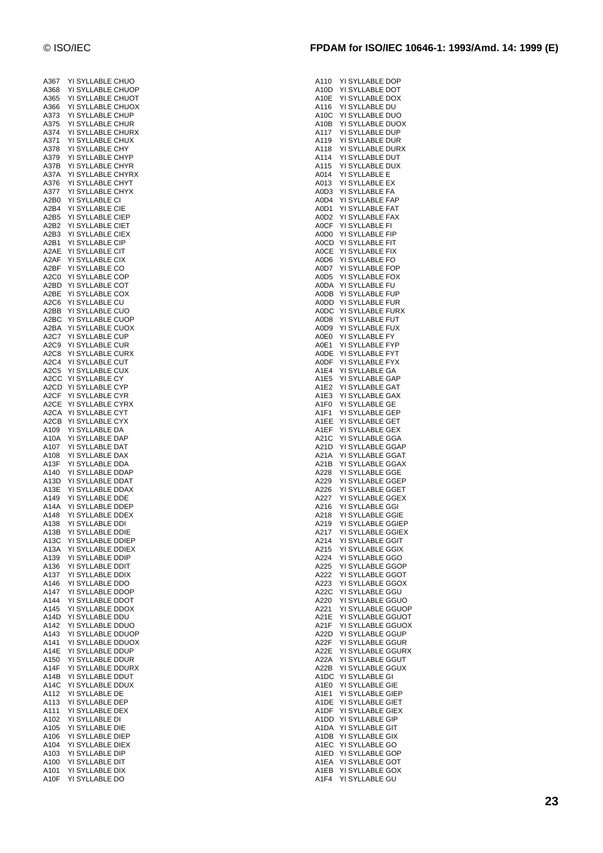| A367                          |    | YI SYLLABLE CHUO                |
|-------------------------------|----|---------------------------------|
| A368                          | YI | <b>SYLLABLE CHUOP</b>           |
| A365                          | YI | SYLLABLE CHUOT                  |
| A366                          | YI | SYLLABLE CHUOX                  |
|                               |    |                                 |
| A373                          |    | YI SYLLABLE CHUP                |
| A375                          |    | YI SYLLABLE CHUR                |
| A374                          | YI | SYLLABLE CHURX                  |
| A371                          | YI | SYLLABLE CHUX                   |
| A378                          | ΥI | SYLLABLE CHY                    |
|                               |    |                                 |
| A379                          |    | YI SYLLABLE CHYP                |
| A37B                          |    | YI SYLLABLE CHYR                |
| A37A                          |    | YI SYLLABLE CHYRX               |
| A376                          |    | YI SYLLABLE CHYT                |
| A377                          |    | YI SYLLABLE CHYX                |
|                               |    |                                 |
| A2B0                          |    | YI SYLLABLE CI                  |
| A2B4                          |    | YI SYLLABLE CIE                 |
| A <sub>2</sub> B <sub>5</sub> |    | YI SYLLABLE CIEP                |
| A2B2                          |    | YI SYLLABLE CIET                |
| A2B3                          |    | YI SYLLABLE CIEX                |
|                               |    |                                 |
| A2B1                          |    | YI SYLLABLE CIP                 |
| A2AE                          |    | YI SYLLABLE CIT                 |
| A2AF                          |    | YI SYLLABLE CIX                 |
| A2BF                          |    | YI SYLLABLE CO                  |
| A <sub>2</sub> C <sub>0</sub> |    | YI SYLLABLE COP                 |
|                               |    | YI SYLLABLE COT                 |
| A2BD                          |    |                                 |
| A2BE                          |    | YI SYLLABLE COX                 |
| A <sub>2</sub> C <sub>6</sub> |    | YI SYLLABLE CU                  |
| A2BB                          |    | YI SYLLABLE CUO                 |
| A <sub>2</sub> BC             |    | YI SYLLABLE CUOP                |
| A2BA                          |    | YI SYLLABLE CUOX                |
|                               |    |                                 |
| A2C7                          |    | YI SYLLABLE CUP                 |
| A2C9                          |    | YI SYLLABLE CUR                 |
| A2C8                          |    | YI SYLLABLE CURX                |
| A <sub>2</sub> C <sub>4</sub> |    | YI SYLLABLE CUT                 |
| A <sub>2</sub> C <sub>5</sub> |    | YI SYLLABLE CUX                 |
|                               |    |                                 |
| A <sub>2</sub> CC             |    | YI SYLLABLE<br>CY               |
| A2CD                          |    | YI SYLLABLE CYP                 |
| A2CF                          | YI | SYLLABLE CYR                    |
| A2CE                          |    | YI SYLLABLE CYRX                |
|                               |    | YI SYLLABLE CYT                 |
| A2CA                          |    |                                 |
| A2CB                          |    | YI SYLLABLE CYX                 |
| A109                          |    | YI SYLLABLE DA                  |
| A10A                          | YI | SYLLABLE<br>DAP                 |
| A107                          |    | YI SYLLABLE<br>DAT              |
| A108                          |    | YI SYLLABLE DAX                 |
|                               |    |                                 |
| A <sub>13</sub> F             |    | YI SYLLABLE DDA                 |
| A140                          |    | YI SYLLABLE DDAP                |
| A <sub>13</sub> D             |    | YI SYLLABLE DDAT                |
| A13E                          |    | YI SYLLABLE DDAX                |
| A149                          |    | YI SYLLABLE DDE                 |
| A14A                          |    | YI SYLLABLE<br><b>DDEP</b>      |
|                               |    |                                 |
| A148                          |    | YI SYLLABLE DDEX                |
| A138                          | YI | SYLLABLE<br>DDI                 |
| A13B                          | YI | <b>SYLLABLE DDIE</b>            |
| A13C                          |    | YI SYLLABLE DDIEP               |
| A13A                          | YI | SYLLABLE<br><b>DDIEX</b>        |
| A139                          | YI | SYLLABLE DDIP                   |
|                               |    |                                 |
| A136                          | YI | SYLLABLE DDIT                   |
| A137                          | YI | <b>SYLLABLE</b><br>DDIX         |
| A146                          | YI | SYLLABLE<br>DDO                 |
| A147                          | YI | <b>SYLLABLE</b><br>DDOP         |
| A144                          | YI | SYLLABLE<br><b>DDOT</b>         |
|                               |    |                                 |
| A145                          | YI | SYLLABLE<br>DDOX                |
| A14D                          | YI | SYLLABLE<br>DDU                 |
| A142                          | YI | SYLLABLE<br><b>DDUO</b>         |
| A143                          | YI | <b>SYLLABLE</b><br><b>DDUOP</b> |
| A141                          | YI | <b>SYLLABLE</b><br><b>DDUOX</b> |
|                               |    | <b>SYLLABLE</b><br><b>DDUP</b>  |
| A14E                          | YI |                                 |
| A150                          | YI | <b>SYLLABLE</b><br>DDUR         |
| A14F                          | YI | SYLLABLE<br>DDURX               |
| A14B                          | YI | <b>SYLLABLE</b><br>DDUT         |
| A14C                          | YI | SYLLABLE<br><b>DDUX</b>         |
| A112                          | YI | SYLLABLE<br>DE                  |
|                               |    |                                 |
| A113                          | YI | SYLLABLE<br>DEP                 |
| A111                          |    | YI SYLLABLE<br>DEX              |
| A102                          | YI | <b>SYLLABLE</b><br>DI           |
| A105                          | YI | SYLLABLE<br>DIE                 |
| A106                          | YI | SYLLABLE<br><b>DIEP</b>         |
|                               |    | <b>SYLLABLE</b>                 |
| A104                          | YI | <b>DIEX</b>                     |
| A103                          | YI | <b>SYLLABLE</b><br>DIP          |
| A100                          |    | <b>SYLLABLE</b>                 |
|                               | YI | DIT                             |
| A101                          | YI | SYLLABLE<br>DIX                 |

| A110 | YI SYLLABLE DOP  |                   |
|------|------------------|-------------------|
| A10D | YI SYLLABLE DOT  |                   |
| A10E | YI SYLLABLE DOX  |                   |
| A116 |                  |                   |
|      | YI SYLLABLE DU   |                   |
| A10C | YI SYLLABLE DUO  |                   |
| A10B | YI SYLLABLE DUOX |                   |
| A117 | YI SYLLABLE DUP  |                   |
| A119 | YI SYLLABLE DUR  |                   |
| A118 | YI SYLLABLE DURX |                   |
|      |                  |                   |
| A114 | YI SYLLABLE DUT  |                   |
| A115 | YI SYLLABLE DUX  |                   |
| A014 | YI SYLLABLE      | Ε                 |
| A013 | YI SYLLABLE EX   |                   |
|      |                  |                   |
| A0D3 | YI SYLLABLE FA   |                   |
| A0D4 | YI SYLLABLE FAP  |                   |
| A0D1 | YI SYLLABLE FAT  |                   |
| A0D2 | YI SYLLABLE FAX  |                   |
| A0CF | YI SYLLABLE FI   |                   |
|      |                  |                   |
| A0D0 | YI SYLLABLE FIP  |                   |
| A0CD | YI SYLLABLE FIT  |                   |
| A0CE | YI SYLLABLE FIX  |                   |
| A0D6 | YI SYLLABLE      | FO                |
|      |                  |                   |
| A0D7 | YI SYLLABLE FOP  |                   |
| A0D5 | YI SYLLABLE FOX  |                   |
| A0DA | YI SYLLABLE FU   |                   |
| A0DB | YI SYLLABLE FUP  |                   |
| A0DD | YI SYLLABLE FUR  |                   |
|      |                  |                   |
| A0DC | YI SYLLABLE FURX |                   |
| A0D8 | YI SYLLABLE FUT  |                   |
| A0D9 | YI SYLLABLE FUX  |                   |
| A0E0 | YI SYLLABLE FY   |                   |
|      |                  |                   |
| A0E1 | YI SYLLABLE      | <b>FYP</b>        |
| A0DE | YI SYLLABLE FYT  |                   |
| AODF | YI SYLLABLE FYX  |                   |
| A1E4 | YI SYLLABLE      | GA                |
| A1E5 | YI SYLLABLE GAP  |                   |
|      |                  |                   |
| A1E2 | YI SYLLABLE GAT  |                   |
| A1E3 | YI SYLLABLE GAX  |                   |
| A1F0 | YI SYLLABLE GE   |                   |
| A1F1 | YI SYLLABLE      | GEP               |
|      |                  |                   |
| A1EE | YI SYLLABLE GET  |                   |
| A1EF | YI SYLLABLE GEX  |                   |
| A21C | YI SYLLABLE GGA  |                   |
| A21D | YI SYLLABLE GGAP |                   |
|      |                  |                   |
| A21A | YI SYLLABLE GGAT |                   |
| A21B | YI SYLLABLE GGAX |                   |
| A228 | YI SYLLABLE GGE  |                   |
| A229 | YI SYLLABLE GGEP |                   |
| A226 | YI SYLLABLE GGET |                   |
|      |                  |                   |
| A227 | YI SYLLABLE GGEX |                   |
| A216 | YI SYLLABLE GGI  |                   |
| A218 | YI SYLLABLE GGIE |                   |
| A219 |                  | YI SYLLABLE GGIEP |
|      |                  |                   |
| A217 |                  | YI SYLLABLE GGIEX |
| A214 | YI SYLLABLE GGIT |                   |
| A215 | YI SYLLABLE GGIX |                   |
| A224 | YI SYLLABLE GGO  |                   |
| A225 | YI SYLLABLE GGOP |                   |
|      |                  |                   |
| A222 | YI SYLLABLE GGOT |                   |
| A223 | YI SYLLABLE GGOX |                   |
| A22C | YI SYLLABLE GGU  |                   |
| A220 |                  | YI SYLLABLE GGUO  |
| A221 |                  | YI SYLLABLE GGUOP |
|      |                  |                   |
| A21E |                  | YI SYLLABLE GGUOT |
| A21F |                  | YI SYLLABLE GGUOX |
| A22D | YI SYLLABLE GGUP |                   |
| A22F | YI SYLLABLE GGUR |                   |
|      |                  | YI SYLLABLE GGURX |
| A22E |                  |                   |
| A22A | YI SYLLABLE GGUT |                   |
| A22B | YI SYLLABLE GGUX |                   |
| A1DC | YI SYLLABLE GI   |                   |
|      | YI SYLLABLE GIE  |                   |
| A1E0 |                  |                   |
| A1E1 | YI SYLLABLE GIEP |                   |
| A1DE | YI SYLLABLE GIET |                   |
| A1DF | YI SYLLABLE GIEX |                   |
| A1DD | YI SYLLABLE GIP  |                   |
|      |                  |                   |
| A1DA | YI SYLLABLE GIT  |                   |
| A1DB | YI SYLLABLE GIX  |                   |
| A1EC | YI SYLLABLE GO   |                   |
| A1ED | YI SYLLABLE GOP  |                   |
| A1EA | YI SYLLABLE GOT  |                   |
|      |                  |                   |
| A1EB | YI SYLLABLE GOX  |                   |
| A1F4 | YI SYLLABLE GU   |                   |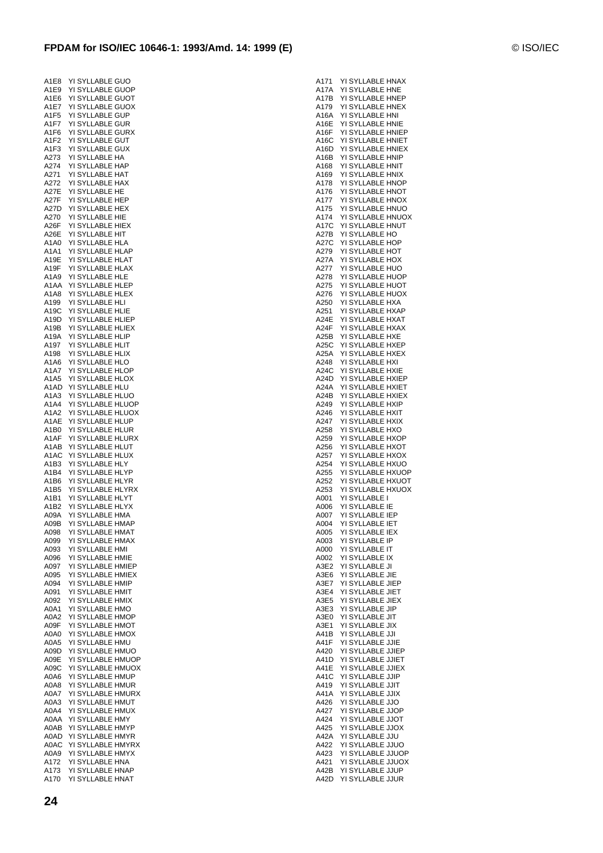| A1E8                          |    | YI SYLLABLE GUO       |  |  |             |              |  |
|-------------------------------|----|-----------------------|--|--|-------------|--------------|--|
| A1E9                          |    | YI SYLLABLE GUOP      |  |  |             |              |  |
| A1E6                          | ΥI | SYLLABLE GUOT         |  |  |             |              |  |
| A1E7                          |    | YI SYLLABLE GUOX      |  |  |             |              |  |
| A <sub>1F5</sub>              |    | YI SYLLABLE GUP       |  |  |             |              |  |
|                               |    |                       |  |  |             |              |  |
| A1F7                          | YI | <b>SYLLABLE</b>       |  |  | GUR         |              |  |
| A1F6                          | YI | <b>SYLLABLE GURX</b>  |  |  |             |              |  |
| A1F2                          | YI | SYLLABLE GUT          |  |  |             |              |  |
| A1F3                          | YI | <b>SYLLABLE</b>       |  |  | GUX         |              |  |
| A273                          | YI | SYLLABLE HA           |  |  |             |              |  |
| A274                          | YI | <b>SYLLABLE</b>       |  |  | HAP         |              |  |
| A271                          | YI | SYLLABLE HAT          |  |  |             |              |  |
| A272                          | YI | SYLLABLE HAX          |  |  |             |              |  |
|                               |    |                       |  |  |             |              |  |
| A27E                          | YI | SYLLABLE HE           |  |  |             |              |  |
| A27F                          |    | YI SYLLABLE HEP       |  |  |             |              |  |
| A27D                          | YI | <b>SYLLABLE</b>       |  |  | HEX         |              |  |
| A270                          | YI | SYLLABLE HIE          |  |  |             |              |  |
| A26F                          | YI | SYLLABLE HIEX         |  |  |             |              |  |
| A26E                          | YI | SYLLABLE HIT          |  |  |             |              |  |
| A1A0                          |    | YI SYLLABLE HLA       |  |  |             |              |  |
| A1A1                          | YI | SYLLABLE HLAP         |  |  |             |              |  |
|                               |    |                       |  |  |             |              |  |
| A19E                          | YI | SYLLABLE HLAT         |  |  |             |              |  |
| A19F                          | YI | SYLLABLE HLAX         |  |  |             |              |  |
| A1A9                          |    | YI SYLLABLE HLE       |  |  |             |              |  |
| A <sub>1</sub> AA             |    | YI SYLLABLE HLEP      |  |  |             |              |  |
| A1A8                          | YI | SYLLABLE HLEX         |  |  |             |              |  |
| A199                          | YI | <b>SYLLABLE HLI</b>   |  |  |             |              |  |
| A19C                          | YI | SYLLABLE HLIE         |  |  |             |              |  |
|                               |    |                       |  |  |             |              |  |
| A19D                          | YI | SYLLABLE HLIEP        |  |  |             |              |  |
| A19B                          | YI | SYLLABLE HLIEX        |  |  |             |              |  |
| A19A                          | YI | <b>SYLLABLE</b>       |  |  | <b>HLIP</b> |              |  |
| A197                          | YI | SYLLABLE HLIT         |  |  |             |              |  |
| A198                          | ΥI | SYLLABLE HLIX         |  |  |             |              |  |
| A1A6                          |    | YI SYLLABLE HLO       |  |  |             |              |  |
| A1A7                          |    | YI SYLLABLE HLOP      |  |  |             |              |  |
|                               |    |                       |  |  |             |              |  |
| A1A5                          | YI | SYLLABLE HLOX         |  |  |             |              |  |
| A1AD                          | YI | SYLLABLE HLU          |  |  |             |              |  |
| A1A3                          | YI | SYLLABLE HLUO         |  |  |             |              |  |
| A1A4                          | YI | SYLLABLE HLUOP        |  |  |             |              |  |
| A1A2                          | YI | SYLLABLE HLUOX        |  |  |             |              |  |
| A1AE                          | YI | SYLLABLE HLUP         |  |  |             |              |  |
| A1B0                          | YI | <b>SYLLABLE HLUR</b>  |  |  |             |              |  |
| A1AF                          | YI | SYLLABLE HLURX        |  |  |             |              |  |
|                               |    |                       |  |  |             |              |  |
| A1AB                          | YI | SYLLABLE HLUT         |  |  |             |              |  |
| A1AC                          |    | YI SYLLABLE HLUX      |  |  |             |              |  |
| A <sub>1</sub> B <sub>3</sub> | YI | SYLLABLE              |  |  | <b>HLY</b>  |              |  |
| A1B4                          |    | YI SYLLABLE HLYP      |  |  |             |              |  |
| A1B6                          |    | YI SYLLABLE HLYR      |  |  |             |              |  |
| A1B5                          | ΥI | SYLLABLE HLYRX        |  |  |             |              |  |
| A1B1                          |    | YI SYLLABLE HLYT      |  |  |             |              |  |
| A1B2                          |    | YI SYLLABLE HLYX      |  |  |             |              |  |
|                               |    |                       |  |  |             |              |  |
| A09A                          | YI | SYLLABLE HMA          |  |  |             |              |  |
| A09B                          | ΥI | <b>SYLLABLE HMAP</b>  |  |  |             |              |  |
| A098                          | YI | SYI I ARI F           |  |  |             | <b>HMAT</b>  |  |
| A099                          |    | YI SYLLABLE HMAX      |  |  |             |              |  |
| A093                          | YI | SYLLABLE              |  |  | HMI         |              |  |
| A096                          | YI | SYLLABLE HMIE         |  |  |             |              |  |
| A097                          | YI | <b>SYLLABLE HMIEP</b> |  |  |             |              |  |
| A095                          | YI | SYLLABLE              |  |  |             | HMIEX        |  |
|                               | YI | SYLLABLE              |  |  |             |              |  |
| A094                          |    |                       |  |  |             | HMIP         |  |
| A091                          | YI | <b>SYLLABLE</b>       |  |  | HMIT        |              |  |
| A092                          | YI | SYLLABLE              |  |  |             | HMIX         |  |
| A0A1                          | YI | SYLLABLE HMO          |  |  |             |              |  |
| A0A2                          | YI | SYLLABLE              |  |  |             | <b>HMOP</b>  |  |
| A09F                          | YI | SYLLABLE              |  |  |             | <b>HMOT</b>  |  |
| A0A0                          | YI | <b>SYLLABLE</b>       |  |  |             | HMOX         |  |
|                               |    |                       |  |  |             |              |  |
| A0A5                          | YI | SYLLABLE HMU          |  |  |             |              |  |
| A09D                          | YI | SYLLABLE HMUO         |  |  |             |              |  |
| A09E                          | YI | SYLLABLE              |  |  |             | <b>HMUOP</b> |  |
| A09C                          | YI | SYLLABLE              |  |  |             | <b>HMUOX</b> |  |
| A0A6                          | YI | SYLLABLE              |  |  |             | HMUP         |  |
| A0A8                          | YI | SYLLABLE HMUR         |  |  |             |              |  |
| A0A7                          | YI | SYLLABLE HMURX        |  |  |             |              |  |
| A0A3                          | YI | SYLLABLE HMUT         |  |  |             |              |  |
|                               |    |                       |  |  |             |              |  |
| A0A4                          | YI | <b>SYLLABLE</b>       |  |  |             | HMUX         |  |
| A0AA                          | YI | SYLLABLE              |  |  | <b>HMY</b>  |              |  |
| A0AB                          | YI | SYLLABLE HMYP         |  |  |             |              |  |
| A0AD                          | YI | SYLLABLE HMYR         |  |  |             |              |  |
| A0AC                          | YI | SYLLABLE HMYRX        |  |  |             |              |  |
| A0A9                          |    | YI SYLLABLE HMYX      |  |  |             |              |  |
| A172                          | YI | SYLLABLE              |  |  | HNA         |              |  |
|                               |    |                       |  |  |             |              |  |
| A173                          |    | YI SYLLABLE           |  |  |             | <b>HNAP</b>  |  |

| A171         |                                      |  | YI SYLLABLE HNAX                      |
|--------------|--------------------------------------|--|---------------------------------------|
| A17A         | YI SYLLABLE HNE                      |  |                                       |
| A17B         |                                      |  | YI SYLLABLE HNEP                      |
| A179         |                                      |  | YI SYLLABLE HNEX                      |
| A16A         | YI SYLLABLE HNI                      |  |                                       |
| A16E         | YI SYLLABLE HNIE                     |  |                                       |
| A16F         |                                      |  | YI SYLLABLE HNIEP                     |
| A16C         |                                      |  | YI SYLLABLE HNIET                     |
| A16D         |                                      |  | YI SYLLABLE HNIEX                     |
| A16B<br>A168 | YI SYLLABLE HNIP<br>YI SYLLABLE HNIT |  |                                       |
| A169         | YI SYLLABLE HNIX                     |  |                                       |
| A178         |                                      |  | YI SYLLABLE HNOP                      |
| A176         |                                      |  | YI SYLLABLE HNOT                      |
| A177         |                                      |  | YI SYLLABLE HNOX                      |
| A175         |                                      |  | YI SYLLABLE HNUO                      |
| A174         |                                      |  | YI SYLLABLE HNUOX                     |
| A17C         |                                      |  | YI SYLLABLE HNUT                      |
| A27B         | YI SYLLABLE HO                       |  |                                       |
| A27C         | YI SYLLABLE HOP                      |  |                                       |
| A279         | YI SYLLABLE HOT                      |  |                                       |
| A27A         | YI SYLLABLE HOX                      |  |                                       |
| A277         | YI SYLLABLE HUO                      |  |                                       |
| A278         |                                      |  | YI SYLLABLE HUOP                      |
| A275         |                                      |  | YI SYLLABLE HUOT                      |
| A276         |                                      |  | YI SYLLABLE HUOX                      |
| A250         | YI SYLLABLE HXA                      |  |                                       |
| A251<br>A24E |                                      |  | YI SYLLABLE HXAP<br>YI SYLLABLE HXAT  |
| A24F         |                                      |  | YI SYLLABLE HXAX                      |
| A25B         | YI SYLLABLE HXE                      |  |                                       |
| A25C         |                                      |  | YI SYLLABLE HXEP                      |
| A25A         |                                      |  | YI SYLLABLE HXEX                      |
| A248         | YI SYLLABLE HXI                      |  |                                       |
| A24C         | YI SYLLABLE HXIE                     |  |                                       |
| A24D         |                                      |  | YI SYLLABLE HXIEP                     |
| A24A         |                                      |  | YI SYLLABLE HXIET                     |
| A24B         |                                      |  | YI SYLLABLE HXIEX                     |
| A249         | YI SYLLABLE HXIP                     |  |                                       |
| A246         | YI SYLLABLE HXIT                     |  |                                       |
| A247         | YI SYLLABLE HXIX                     |  |                                       |
| A258         | YI SYLLABLE HXO                      |  |                                       |
| A259         |                                      |  | YI SYLLABLE HXOP                      |
| A256         |                                      |  | YI SYLLABLE HXOT                      |
| A257         |                                      |  | YI SYLLABLE HXOX                      |
| A254<br>A255 |                                      |  | YI SYLLABLE HXUO<br>YI SYLLABLE HXUOP |
| A252         |                                      |  | YI SYLLABLE HXUOT                     |
| A253         |                                      |  | YI SYLLABLE HXUOX                     |
| A001         | <b>YI SYLLABLE</b>                   |  | $\mathbf{I}$                          |
| A006         | YI SYLLABLE IE                       |  |                                       |
| A007         | YI SYLLABLE IEP                      |  |                                       |
| A004         | YI SYLLABLE IET                      |  |                                       |
| A005         | YI SYLLABLE IE                       |  |                                       |
| A003         | YI SYLLABLE IP                       |  |                                       |
| A000         | YI SYLLABLE IT                       |  |                                       |
| A002         | YI SYLLABLE IX                       |  |                                       |
| A3E2         | YI SYLLABLE JI                       |  |                                       |
| A3E6         | YI SYLLABLE JIE                      |  |                                       |
| A3E7         | YI SYLLABLE JIEP                     |  |                                       |
| A3E4         | YI SYLLABLE JIET                     |  |                                       |
| A3E5         | YI SYLLABLE JIEX                     |  |                                       |
| A3E3         | YI SYLLABLE JIP<br>YI SYLLABLE JIT   |  |                                       |
| A3E0<br>A3E1 | YI SYLLABLE JIX                      |  |                                       |
| A41B         | YI SYLLABLE JJI                      |  |                                       |
| A41F         | YI SYLLABLE JJIE                     |  |                                       |
| A420         |                                      |  | YI SYLLABLE JJIEP                     |
| A41D         |                                      |  | YI SYLLABLE JJIET                     |
| A41E         |                                      |  | YI SYLLABLE JJIEX                     |
| A41C         | YI SYLLABLE JJIP                     |  |                                       |
| A419         | YI SYLLABLE JJIT                     |  |                                       |
| A41A         | YI SYLLABLE JJIX                     |  |                                       |
| A426         | YI SYLLABLE JJO                      |  |                                       |
| A427         | YI SYLLABLE JJOP                     |  |                                       |
| A424         | YI SYLLABLE JJOT                     |  |                                       |
| A425         |                                      |  | YI SYLLABLE JJOX                      |
| A42A         | YI SYLLABLE JJU                      |  |                                       |
| A422         |                                      |  | YI SYLLABLE JJUO                      |
| A423         |                                      |  | YI SYLLABLE JJUOP                     |
|              |                                      |  |                                       |
| A421         |                                      |  | YI SYLLABLE JJUOX                     |
| A42B<br>A42D | YI SYLLABLE JJUP<br>YI SYLLABLE JJUR |  |                                       |

A170 YI SYLLABLE HNAT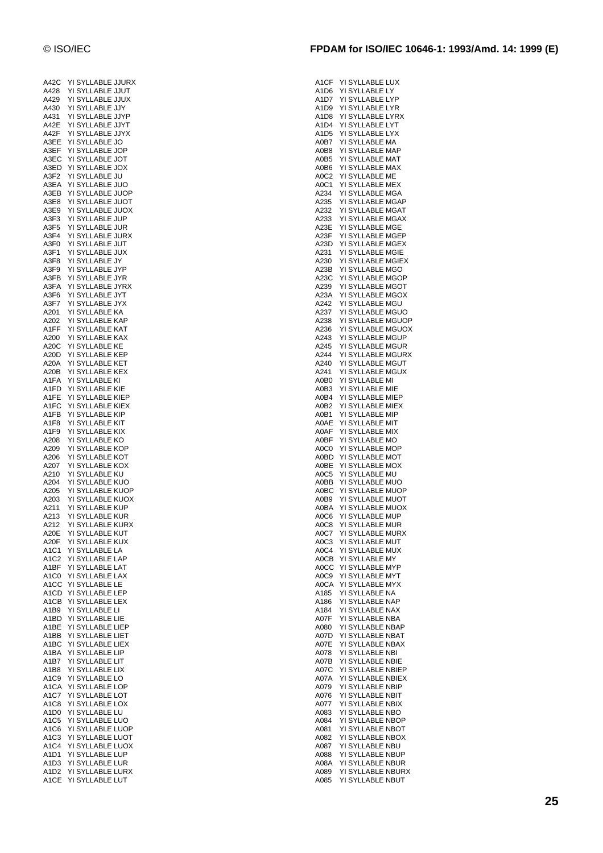| A42C                          |    |                      | YI SYLLABLE JJURX               |
|-------------------------------|----|----------------------|---------------------------------|
| A428                          | YI | <b>SYLLABLE JJUT</b> |                                 |
| A429                          | ΥI | <b>SYLLABLE JJUX</b> |                                 |
| A430                          | YI | SYLLABLE JJY         |                                 |
| A431                          | YI | SYLLABLE JJYP        |                                 |
| A42E                          | YI | SYLLABLE JJYT        |                                 |
| A42F                          | YI | <b>SYLLABLE</b>      | <b>JJYX</b>                     |
| A3EE                          |    | YI SYLLABLE JO       |                                 |
| A3EF                          |    | YI SYLLABLE          | <b>JOP</b>                      |
| A3EC                          | YI | SYLLABLE             | <b>JOT</b>                      |
| A3ED                          | YI | SYLLABLE             | <b>JOX</b>                      |
| A3F2                          | YI | <b>SYLLABLE</b>      | JU                              |
| A3EA                          |    | YI SYLLABLE JUO      |                                 |
| A3EB                          |    | YI SYLLABLE          | <b>JUOP</b>                     |
| A3E8                          |    | YI SYLLABLE JUOT     |                                 |
| A3E9                          | ΥI | SYLLABLE JUOX        |                                 |
| A3F3                          | YI | <b>SYLLABLE</b>      | <b>JUP</b>                      |
| A3F5                          |    | YI SYLLABLE JUR      |                                 |
| A3F4                          |    | YI SYLLABLE          | <b>JURX</b>                     |
| A3F0                          |    | YI SYLLABLE JUT      |                                 |
| A3F1                          |    | YI SYLLABLE          | JUX                             |
| A3F8                          |    | YI SYLLABLE          | JY                              |
| A3F9                          |    | YI SYLLABLE JYP      |                                 |
| A3FB                          |    | <b>YI SYLLABLE</b>   | <b>JYR</b>                      |
| A3FA                          |    | YI SYLLABLE JYRX     |                                 |
| A3F6                          |    | YI SYLLABLE          | <b>JYT</b>                      |
| A3F7                          | YI | <b>SYLLABLE</b>      | <b>JYX</b>                      |
| A201                          |    | YI SYLLABLE KA       |                                 |
| A202                          | ΥI | <b>SYLLABLE</b>      | <b>KAP</b>                      |
| A1FF                          |    | YI SYLLABLE KAT      |                                 |
| A200                          |    | YI SYLLABLE KAX      |                                 |
| A20C                          |    | YI SYLLABLE KE       |                                 |
| A20D                          |    | YI SYLLABLE KEP      |                                 |
| A20A                          |    | YI SYLLABLE KET      |                                 |
| A20B                          |    | YI SYLLABLE KEX      |                                 |
| A1FA                          |    | YI SYLLABLE KI       |                                 |
| A1FD                          | YI | SYLLABLE KIE         |                                 |
| A1FE                          |    | YI SYLLABLE KIEP     |                                 |
| A1FC                          | YI | <b>SYLLABLE</b>      | KIEX                            |
| A1FB                          |    | YI SYLLABLE          | <b>KIP</b>                      |
| A1F8                          |    | YI SYLLABLE KIT      |                                 |
| A1F9                          | YI | <b>SYLLABLE</b>      | KIX                             |
| A208                          |    | YI SYLLABLE          | KO                              |
| A209                          | YI | <b>SYLLABLE</b>      | KOP                             |
| A206                          |    | YI SYLLABLE          | KOT                             |
| A207                          | YI | SYLLABLE KOX         |                                 |
| A210                          | YI | SYLLABLE KU          |                                 |
| A204                          |    | YI SYLLABLE KUO      |                                 |
| A205                          | YI | <b>SYLLABLE</b>      | <b>KUOP</b><br>YI SYLLABLE KUOX |
| A203<br>A211                  |    | YI SYLLABLE KUP      |                                 |
| A213                          |    | YI SYLLABLE KUR      |                                 |
| A212                          |    | YI SYLLABLE          | <b>KURX</b>                     |
| A20E                          |    | YI SYLLABLE          | KUT                             |
| A20F                          |    | YI SYLLABLE          | <b>KUX</b>                      |
| A1C1                          | YI | SYLLABLE             | LA                              |
| A <sub>1</sub> C <sub>2</sub> | YI | <b>SYLLABLE</b>      | LAP                             |
| A1BF                          | YI | <b>SYLLABLE</b>      | LAT                             |
| A1C0                          | YI | SYLLABLE             | LAX                             |
| A1CC                          | YI | SYLLABLE             | LE                              |
| A1CD                          | YI | SYLLABLE             | LEP                             |
| A1CB                          | YI | SYLLABLE             | LEX                             |
| A1B9                          | YI | SYLLABLE             | LI                              |
| A1BD                          | YI | <b>SYLLABLE</b>      | LIE                             |
| A1BE                          | YI | <b>SYLLABLE</b>      | LIEP                            |
| A1BB                          | YI | SYLLABLE             | LIET                            |
| A1BC                          | YI | SYLLABLE             | LIEX                            |
| A1BA                          | YI | <b>SYLLABLE</b>      | LIP                             |
| A1B7                          | YI | SYLLABLE             | LIT                             |
| A1B8                          | YI | SYLLABLE             | LIX                             |
| A1C9                          | YI | SYLLABLE             | LO                              |
| A1CA                          | YI | SYLLABLE             | LOP                             |
| A1C7                          |    | YI SYLLABLE          | LOT                             |
| A1C8                          | YI | SYLLABLE             | LOX                             |
| A1D0                          |    | YI SYLLABLE          | LU                              |
| A1C5                          | YI | SYLLABLE             | LUO                             |
| A1C6                          | YI | SYLLABLE             | LUOP                            |
| A1C3                          |    | YI SYLLABLE          | LUOT                            |
| A1C4                          | YI | SYLLABLE             | LUOX                            |
| A1D1                          | YI | SYLLABLE             | LUP                             |
| A1D3                          | YI | SYLLABLE             | LUR                             |
| A1D2                          | YI | SYLLABLE             | LURX                            |
| A1CE                          |    | YI SYLLABLE LUT      |                                 |

| A1CF                          | YI SYLLABLE LUX            |  |
|-------------------------------|----------------------------|--|
| A1D6                          | YI SYLLABLE LY             |  |
| A1D7                          | YI SYLLABLE<br>LYP         |  |
| A1D9                          | YI SYLLABLE<br>LYR         |  |
|                               |                            |  |
| A1D8                          | YI SYLLABLE<br>LYRX        |  |
| A1D4                          | LYT<br>YI SYLLABLE         |  |
| A <sub>1</sub> D <sub>5</sub> | YI SYLLABLE<br>LYX         |  |
|                               |                            |  |
| A0B7                          | YI SYLLABLE<br>MA          |  |
| A0B8                          | YI SYLLABLE<br>MAP         |  |
| A0B5                          | YI SYLLABLE MAT            |  |
|                               |                            |  |
| A0B6                          | YI SYLLABLE<br>MAX         |  |
| A0C2                          | YI SYLLABLE<br>ME          |  |
| A0C1                          | YI SYLLABLE MEX            |  |
|                               |                            |  |
| A234                          | YI SYLLABLE MGA            |  |
| A235                          | YI SYLLABLE MGAP           |  |
| A232                          | YI SYLLABLE MGAT           |  |
|                               |                            |  |
| A233                          | YI SYLLABLE MGAX           |  |
| A23E                          | YI SYLLABLE MGE            |  |
|                               |                            |  |
| A23F                          | YI SYLLABLE MGEP           |  |
| A23D                          | YI SYLLABLE MGEX           |  |
| A231                          | YI SYLLABLE MGIE           |  |
|                               |                            |  |
| A230                          | YI SYLLABLE MGIEX          |  |
| A23B                          | YI SYLLABLE MGO            |  |
| A23C                          | YI SYLLABLE MGOP           |  |
|                               |                            |  |
| A239                          | YI SYLLABLE MGOT           |  |
| A23A                          | YI SYLLABLE MGOX           |  |
| A242                          | YI SYLLABLE MGU            |  |
|                               |                            |  |
| A237                          | YI SYLLABLE MGUO           |  |
| A238                          | YI SYLLABLE MGUOP          |  |
| A236                          | YI SYLLABLE MGUOX          |  |
|                               |                            |  |
| A243                          | YI SYLLABLE MGUP           |  |
| A245                          | YI SYLLABLE MGUR           |  |
|                               |                            |  |
| A244                          | YI SYLLABLE MGURX          |  |
| A240                          | YI SYLLABLE MGUT           |  |
| A241                          | YI SYLLABLE MGUX           |  |
|                               |                            |  |
| A0B0                          | YI SYLLABLE MI             |  |
| A0B3                          | YI SYLLABLE MIE            |  |
| A0B4                          | YI SYLLABLE MIEP           |  |
|                               |                            |  |
| A0B2                          | YI SYLLABLE<br><b>MIEX</b> |  |
| A0B1                          | YI SYLLABLE MIP            |  |
| A0AE                          | YI SYLLABLE MIT            |  |
|                               |                            |  |
| A0AF                          | YI SYLLABLE MIX            |  |
| A0BF                          | YI SYLLABLE MO             |  |
| A0C0                          | YI SYLLABLE<br><b>MOP</b>  |  |
|                               |                            |  |
| A0BD                          | YI SYLLABLE MOT            |  |
| A0BE                          | YI SYLLABLE MOX            |  |
|                               |                            |  |
| A0C5                          | YI SYLLABLE<br>MU          |  |
| A0BB                          | YI SYLLABLE<br>MUO         |  |
| A0BC                          | YI SYLLABLE<br><b>MUOP</b> |  |
|                               |                            |  |
| A0B9                          | YI SYLLABLE<br><b>MUOT</b> |  |
| A0BA                          | YI SYLLABLE<br><b>MUOX</b> |  |
| A0C6                          | YI SYLLABLE<br><b>MUP</b>  |  |
|                               |                            |  |
| A0C8                          | YI SYLLABLE<br><b>MUR</b>  |  |
| A0C7                          | YI SYLLABLE MURX           |  |
| A0C3                          | YI SYLLABLE MUT            |  |
|                               |                            |  |
| A0C4                          | YI SYLLABLE MUX            |  |
| A0CB                          | YI SYLLABLE MY             |  |
| A0CC                          | YI SYLLABLE MYP            |  |
|                               |                            |  |
| A0C9                          | YI SYLLABLE MYT            |  |
| A0CA                          | YI SYLLABLE MYX            |  |
| A185                          | YI SYLLABLE NA             |  |
|                               |                            |  |
| A186                          | YI SYLLABLE<br><b>NAP</b>  |  |
| A184                          | YI SYLLABLE NAX            |  |
| A07F                          | YI SYLLABLE<br><b>NBA</b>  |  |
|                               |                            |  |
| A080                          | YI SYLLABLE NBAP           |  |
| A07D                          | YI SYLLABLE NBAT           |  |
| A07E                          | YI SYLLABLE NBAX           |  |
|                               |                            |  |
| A078                          | YI SYLLABLE NBI            |  |
| A07B                          | YI SYLLABLE NBIE           |  |
|                               |                            |  |
| A07C                          | YI SYLLABLE NBIEP          |  |
| A07A                          | YI SYLLABLE NBIEX          |  |
| A079                          | YI SYLLABLE NBIP           |  |
|                               |                            |  |
| A076                          | YI SYLLABLE NBIT           |  |
| A077                          | YI SYLLABLE<br>NBIX        |  |
| A083                          | YI SYLLABLE NBO            |  |
|                               |                            |  |
| A084                          | YI SYLLABLE NBOP           |  |
| A081                          | YI SYLLABLE NBOT           |  |
| A082                          | YI SYLLABLE NBOX           |  |
|                               |                            |  |
| A087                          | YI SYLLABLE NBU            |  |
| A088                          | YI SYLLABLE NBUP           |  |
| A08A                          | YI SYLLABLE NBUR           |  |
|                               |                            |  |
| A089                          | YI SYLLABLE NBURX          |  |
| A085                          | YI SYLLABLE NBUT           |  |
|                               |                            |  |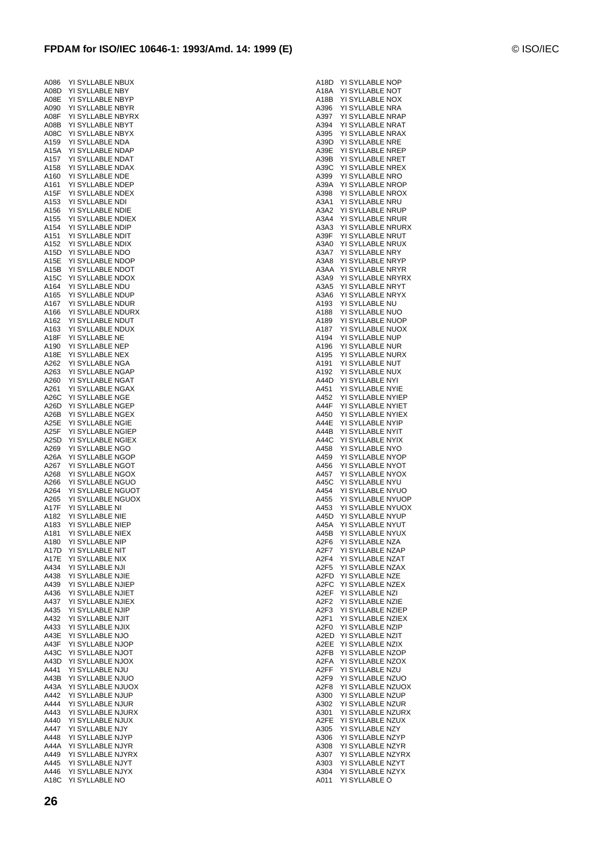| A086              | YI | SYLLABLE<br><b>NBUX</b>                               |
|-------------------|----|-------------------------------------------------------|
| A08D              | YI | SYLLABLE<br>NBY                                       |
| A08E              | YI | <b>SYLLABLE</b><br><b>NBYP</b>                        |
| A090              | YI | <b>SYLLABLE</b><br>NBYR                               |
| A08F              | ΥI | <b>SYLLABLE</b><br><b>NBYRX</b>                       |
| A08B              | YI | SYLLABLE<br>NBYT                                      |
| A08C              | YI | <b>SYLLABLE</b><br><b>NBYX</b>                        |
| A159              | YI | <b>SYLLABLE</b><br>NDA                                |
| A15A              | YI | <b>SYLLABLE</b><br>NDAP                               |
| A157              | Υl | <b>SYLLABLE</b><br><b>NDAT</b>                        |
| A158              | YI | SYLLABLE<br>NDAX                                      |
| A160              | YI | <b>SYLLABLE</b><br><b>NDE</b>                         |
| A161              | ΥI | <b>SYLLABLE</b><br>NDEP                               |
| A <sub>15</sub> F | YI | <b>SYLLABLE</b><br><b>NDEX</b>                        |
| A153              | YI | <b>SYLLABLE</b><br><b>NDI</b>                         |
| A156              | ΥI | <b>SYLLABLE</b><br><b>NDIE</b>                        |
| A155              | YI | <b>SYLLABLE</b><br>NDIEX                              |
| A154              | YI | <b>SYLLABLE</b><br>NDIP                               |
| A151              | YI | <b>SYLLABLE</b><br>ndit                               |
| A152              | YI | <b>SYLLABLE</b><br>NDIX                               |
| A15D              | YI | SYLLABLE<br>NDO                                       |
| A15E              | YI | <b>SYLLABLE</b><br>NDOP                               |
| A15B              | YI | <b>SYLLABLE</b><br>NDOT                               |
| A15C              | YI | <b>SYLLABLE</b><br>NDOX                               |
| A164              | YΙ | <b>SYLLABLE</b><br>NDU                                |
| A165              | ΥI | SYLLABLE<br>ndup                                      |
| A167              | YI | <b>SYLLABLE</b><br>ndur                               |
| A166              | YI | <b>SYLLABLE</b><br>NDURX                              |
| A162              | YI | <b>SYLLABLE</b><br><b>NDUT</b>                        |
| A163              | ΥI | <b>SYLLABLE</b><br><b>NDUX</b>                        |
| A <sub>18</sub> F | YI | SYLLABLE<br>NΕ                                        |
| A190              | YI | <b>SYLLABLE</b><br>NEP                                |
| A18E              | YI | <b>SYLLABLE</b><br>NEX                                |
| A262              | YI | <b>SYLLABLE</b><br>NGA                                |
| A263              | YI | <b>SYLLABLE</b><br><b>NGAP</b>                        |
| A260              | YI | SYLLABLE<br>NGAT                                      |
| A261              | YI | <b>SYLLABLE</b><br><b>NGAX</b>                        |
| A26C              | YI | <b>SYLLABLE</b><br>NGE                                |
| A26D              | YI | <b>SYLLABLE</b><br><b>NGEP</b>                        |
| A26B              | YI | <b>SYLLABLE</b><br>NGEX                               |
| A25E              | YI | SYLLABLE<br>NGIE                                      |
| A <sub>25</sub> F | YI | <b>SYLLABLE</b><br><b>NGIEP</b>                       |
| A25D              | YI | SYLLABLE<br>NGIEX                                     |
| A269              | YI | <b>SYLLABLE</b><br>NGO                                |
| A26A              | YI | <b>SYLLABLE</b><br><b>NGOP</b>                        |
| A267              | YI | SYLLABLE<br>NGOT                                      |
| A268              | YI | <b>SYLLABLE</b><br>NGOX                               |
| A266              | YI | <b>SYLLABLE</b><br><b>NGUO</b>                        |
| A264              | YI | <b>SYLLABLE</b><br>NGUOT                              |
| A265              | YI | <b>SYLLABLE</b><br><b>NGUOX</b>                       |
|                   | YI | SYLLABLE<br>NI                                        |
| A17F<br>A182      |    |                                                       |
|                   |    |                                                       |
|                   | YI | SYLLABLE<br><b>NIE</b>                                |
| A183              | YI | <b>SYLLABLE</b><br>NIEP                               |
| A181              | YI | SYLLABLE<br>NIEX                                      |
| A180              | YI | SYLLABLE<br>NIP                                       |
| A17D              | YI | SYLLABLE<br>NIT                                       |
| A17E              | YI | SYLLABLE<br>ΝIΧ                                       |
| A434              | YI | <b>SYLLABLE</b><br>NJI                                |
| A438              | YI | <b>SYLLABLE</b><br><b>NJIE</b>                        |
| A439              | YI | <b>SYLLABLE</b><br><b>NJIEP</b>                       |
| A436              | YI | SYLLABLE<br>NJIET                                     |
| A437              | YI | SYLLABLE<br>NJIEX                                     |
| A435              | YI | <b>SYLLABLE</b><br>NJIP                               |
| A432              | YI | <b>SYLLABLE</b><br>NJIT                               |
| A433              | YI | SYLLABLE<br><b>NJIX</b>                               |
| A43E              | YI | SYLLABLE<br>NJO                                       |
| A43F              | YI | SYLLABLE<br>NJOP                                      |
| A43C              | YI | SYLLABLE<br>NJOT                                      |
| A43D              | YI | <b>SYLLABLE</b><br>NJOX                               |
| A441              | YI | SYLLABLE<br>NJU                                       |
| A43B              | YI | <b>SYLLABLE</b><br>NJUO                               |
| A43A              | YI | SYLLABLE<br>NJUOX                                     |
| A442              | YI | SYLLABLE<br>NJUP                                      |
| A444              | YI | <b>SYLLABLE</b><br>NJUR                               |
| A443              | YI | SYLLABLE<br><b>NJURX</b>                              |
| A440              | YI | <b>SYLLABLE</b><br>NJUX                               |
| A447              | YI | SYLLABLE<br>NJY                                       |
| A448              | YI | SYLLABLE<br>NJYP                                      |
| A44A              | YI | <b>SYLLABLE</b><br>NJYR                               |
| A449              | YI | SYLLABLE<br><b>NJYRX</b>                              |
| A445<br>A446      | YI | SYLLABLE<br><b>NJYT</b><br>YI SYLLABLE<br><b>NJYX</b> |

|                                      | A18D - YI SYLLABLE NOP<br>A18A - YI SYLLABLE NOT                                                         |
|--------------------------------------|----------------------------------------------------------------------------------------------------------|
|                                      |                                                                                                          |
| , .<br>A18B                          | YI SYLLABLE NOX                                                                                          |
| A396                                 | YI SYLLABLE NRA                                                                                          |
|                                      | A397 YI SYLLABLE NRAP<br>A394 YI SYLLABLE NRAT<br>YI SYLLABLE NRAP                                       |
|                                      |                                                                                                          |
| A395                                 | YI SYLLABLE NRAX                                                                                         |
| A39D<br>A39E                         | YI SYLLABLE NRE<br>YI SYLLABLE NREP                                                                      |
|                                      | YI SYLLABLE NRET                                                                                         |
| A39B<br>A39C                         | YI SYLLABLE NREX                                                                                         |
|                                      | YI SYLLABLE NRO                                                                                          |
| A399<br>A39A                         | YI SYLLABLE NROP                                                                                         |
| A398                                 | YI SYLLABLE NROX                                                                                         |
| A3A1                                 | YI SYLLABLE NRU                                                                                          |
|                                      | ASA2 YI SYLLABLE NRUP                                                                                    |
|                                      | YI SYLLABLE NRUR                                                                                         |
| A3A4<br>A3A3<br>A39F                 | YI SYLLABLE NRURX                                                                                        |
|                                      | YI SYLLABLE NRUT                                                                                         |
|                                      | A3A0 YI SYLLABLE NRU)<br>A3A7 YI SYLLABLE NRY<br>YI SYLLABLE NRUX                                        |
|                                      |                                                                                                          |
|                                      | YI SYLLABLE NRYP<br>A3A8 YI SYLLABLE NRYP<br>A3AA YI SYLLABLE NRYR<br>A3A9 YI SYLLABLE NRYR<br>ABLE NRYT |
|                                      | YI SYLLABLE NRYRX                                                                                        |
|                                      |                                                                                                          |
|                                      | A3A5 YI SYLLABLE NRYT<br>A3A6 YI SYLLABLE NRYX                                                           |
|                                      | YI SYLLABLE NU                                                                                           |
| A193<br>A188<br>A189                 | YI SYLLABLE NUO                                                                                          |
|                                      | YI SYLLABLE NUOP                                                                                         |
|                                      | A187 YI SYLLABLE NUO<br>A194 YI SYLLABLE NUP<br>YI SYLLABLE NUOX                                         |
|                                      |                                                                                                          |
|                                      | YI SYLLABLE NUR                                                                                          |
| A196<br>A195<br>A191                 | YI SYLLABLE NURX                                                                                         |
|                                      | YI SYLLABLE NUT                                                                                          |
|                                      | A192 YI SYLLABLE NU)<br>A44D YI SYLLABLE NYI<br>YI SYLLABLE NUX                                          |
|                                      |                                                                                                          |
| A451<br>A452                         | YI SYLLABLE NYIE                                                                                         |
|                                      | YI SYLLABLE NYIEP                                                                                        |
| A44F                                 | YI SYLLABLE NYIET                                                                                        |
| A450<br>A44E                         | YI SYLLABLE NYIEX<br>YI SYLLABLE NYIP                                                                    |
|                                      | YI SYLLABLE NYIT                                                                                         |
| A44B<br>A44C                         | YI SYLLABLE NYIX                                                                                         |
| A458                                 | YI SYLLABLE NYO                                                                                          |
|                                      | YI SYLLABLE NYOP                                                                                         |
| . <b>. .</b><br>A459<br>A456         | YI SYLLABLE NYOT                                                                                         |
| A457                                 | YI SYLLABLE NYOX                                                                                         |
|                                      | YI SYLLABLE NYU                                                                                          |
| A457<br>A45C<br>A454<br>A455<br>A453 | YI SYLLABLE NYUO                                                                                         |
|                                      | YI SYLLABLE NYUOP                                                                                        |
|                                      | YI SYLLABLE NYUOX                                                                                        |
|                                      | A45D YI SYLLABLE NYUP<br>A45A YI SYLLABLE NYUT                                                           |
|                                      |                                                                                                          |
| A45B                                 | YI SYLLABLE NYUX                                                                                         |
| A2F6                                 | YI SYLLABLE NZA                                                                                          |
| A2F7                                 | YI SYLLABLE NZAP                                                                                         |
| A2F4                                 | YI SYLLABLE NZAT                                                                                         |
| A2F5<br>A2FD                         | YI SYLLABLE NZAX<br>YI SYLLABLE NZE                                                                      |
| A2FC                                 | YI SYLLABLE NZEX                                                                                         |
| A2EF                                 | YI SYLLABLE NZI                                                                                          |
| A2F2                                 | YI SYLLABLE NZIE                                                                                         |
| A2F3                                 | YI SYLLABLE NZIEP                                                                                        |
| A2F1                                 | YI SYLLABLE NZIEX                                                                                        |
| A2F0                                 | YI SYLLABLE NZIP                                                                                         |
| A2ED                                 | YI SYLLABLE NZIT                                                                                         |
| A2EE                                 | YI SYLLABLE NZIX                                                                                         |
| A2FB                                 | YI SYLLABLE NZOP                                                                                         |
| A2FA                                 | YI SYLLABLE NZOX                                                                                         |
| A2FF                                 | YI SYLLABLE NZU                                                                                          |
| A2F9                                 | YI SYLLABLE NZUO                                                                                         |
| A2F8                                 | YI SYLLABLE NZUOX                                                                                        |
| A300                                 | YI SYLLABLE NZUP                                                                                         |
| A302                                 | YI SYLLABLE NZUR                                                                                         |
| A301                                 | YI SYLLABLE NZURX                                                                                        |
| A2FE                                 | YI SYLLABLE<br><b>NZUX</b>                                                                               |
| A305<br>A306                         | YI SYLLABLE NZY<br>YI SYLLABLE NZYP                                                                      |
| A308                                 | YI SYLLABLE NZYR                                                                                         |
| A307                                 | YI SYLLABLE NZYRX                                                                                        |
| A303                                 | YI SYLLABLE NZYT                                                                                         |
| A304                                 | YI SYLLABLE NZYX                                                                                         |
|                                      |                                                                                                          |

A011 YI SYLLABLE O

A18C YI SYLLABLE NO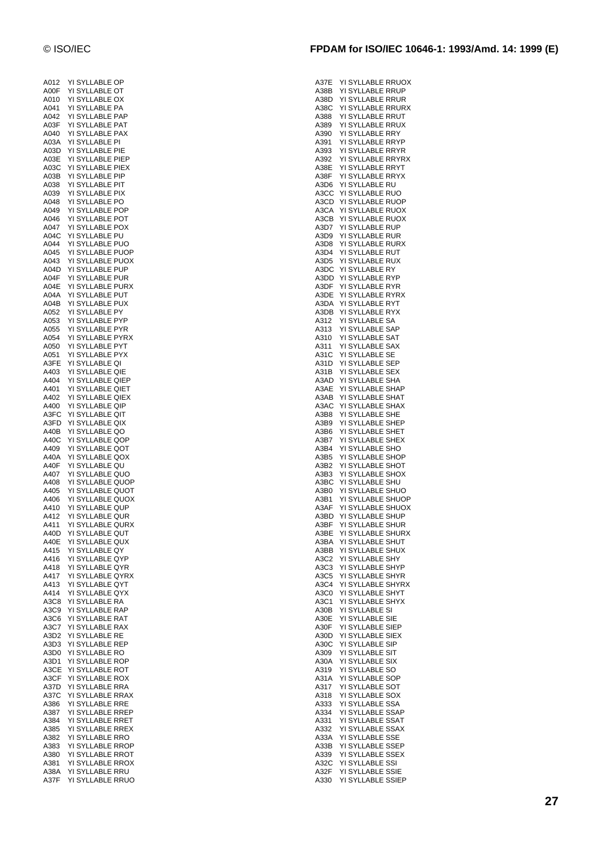| A012         | YI       | SYLLABLE OP                              |
|--------------|----------|------------------------------------------|
| A00F         | YI       | <b>SYLLABLE</b><br>OT                    |
| A010         | YI       | SYLLABLE<br>ОX                           |
| A041         | YI       | SYLLABLE<br>PA                           |
| A042         | YI       | <b>SYLLABLE</b><br>PAP                   |
| A03F         | YI       | SYLLABLE<br>PAT                          |
| A040<br>A03A | YI<br>YI | SYLLABLE<br>PAX<br><b>SYLLABLE</b><br>PI |
| A03D         | YI       | SYLLABLE<br>PIE                          |
| A03E         | YI       | <b>SYLLABLE</b><br>PIEP                  |
| A03C         | YI       | SYLLABLE<br>PIEX                         |
| A03B         | YI       | SYLLABLE<br>PIP                          |
| A038         | YI       | SYLLABLE<br>PIT                          |
| A039         | YI       | SYLLABLE<br>PIX                          |
| A048         | YI       | <b>SYLLABLE</b><br>PO                    |
| A049         | YI       | SYLLABLE<br>POP                          |
| A046         | YI       | SYLLABLE<br>POT                          |
| A047         | YI       | SYLLABLE<br>POX                          |
| A04C         | YI       | PU<br>SYLLABLE                           |
| A044         | YI       | <b>SYLLABLE</b><br>PUO                   |
| A045         | YI       | SYLLABLE<br>PUOP                         |
| A043         | YI<br>YI | <b>SYLLABLE</b><br>PUOX                  |
| A04D<br>A04F | YI       | SYLLABLE<br>PUP<br>PUR<br>SYLLABLE       |
| A04E         | YI       | <b>SYLLABLE</b><br><b>PURX</b>           |
| A04A         | YI       | SYLLABLE<br><b>PUT</b>                   |
| A04B         | YI       | SYLLABLE<br><b>PUX</b>                   |
| A052         | YI       | SYLLABLE<br>PY                           |
| A053         | YI       | PYP<br>SYLLABLE                          |
| A055         | YI       | <b>SYLLABLE</b><br>PYR                   |
| A054         | YI       | SYLLABLE<br>PYRX                         |
| A050         | YI       | SYLLABLE<br>PYT                          |
| A051         | YI       | <b>SYLLABLE</b><br>PYX                   |
| A3FE         | YI       | SYLLABLE<br>QI                           |
| A403         | YI       | <b>SYLLABLE</b><br>QIE                   |
| A404         | YI       | SYLLABLE<br>QIEP                         |
| A401         | YI       | <b>SYLLABLE</b><br>QIET                  |
| A402         | YI       | SYLLABLE<br>QIEX                         |
| A400         | YI       | SYLLABLE<br>QIP                          |
| A3FC         | YI<br>YI | SYLLABLE<br>QIT<br>SYLLABLE              |
| A3FD<br>A40B | YI       | QIX<br><b>SYLLABLE</b><br>QO             |
| A40C         | YI       | SYLLABLE<br>QOP                          |
| A409         | YI       | SYLLABLE<br>QOT                          |
| A40A         | YI       | SYLLABLE<br>QOX                          |
| A40F         | YI       | SYLLABLE<br>QU                           |
| A407         | YI       | <b>SYLLABLE</b><br>QUO                   |
| A408         |          |                                          |
|              | YI       | SYLLABLE<br>QUOP                         |
| A405         | YI       | SYLLABLE<br>QUOT                         |
| A406         | YI       | SYLLABLE<br>QUOX                         |
| A410         | YI       | SYLLABLE<br>QUP                          |
| A412         | YI       | <b>SYLLABLE</b><br>QUR                   |
| A411         | YI       | SYLLABLE<br>QURX                         |
| A40D         |          | YI SYLLABLE QUT                          |
| A40E         |          | YI SYLLABLE QUX                          |
| A415         |          | YI SYLLABLE QY                           |
| A416         |          | YI SYLLABLE QYP                          |
| A418         | YI       | SYLLABLE QYR                             |
| A417         | YI       | SYLLABLE QYRX                            |
| A413         | YI       | SYLLABLE<br>QYT                          |
| A414         | YI       | SYLLABLE QYX                             |
| A3C8         |          | YI SYLLABLE<br>RA<br>YI SYLLABLE RAP     |
| A3C9         | YI       | SYLLABLE<br><b>RAT</b>                   |
| A3C6<br>A3C7 | YI       | SYLLABLE<br>RAX                          |
| A3D2         |          | YI SYLLABLE<br>RE                        |
| A3D3         |          | YI SYLLABLE<br><b>REP</b>                |
| A3D0         |          | YI SYLLABLE<br><b>RO</b>                 |
| A3D1         | YI       | <b>SYLLABLE</b><br><b>ROP</b>            |
| A3CE         | YI       | SYLLABLE<br>ROT                          |
| A3CF         |          | YI SYLLABLE<br><b>ROX</b>                |
| A37D         |          | YI SYLLABLE<br>RRA                       |
| A37C         |          | YI SYLLABLE<br>RRAX                      |
| A386         | YI       | SYLLABLE<br><b>RRE</b>                   |
| A387         | YI       | SYLLABLE RREP                            |
| A384         |          | YI SYLLABLE<br>RRET                      |
| A385         |          | YI SYLLABLE<br>RREX                      |
| A382         | YI       | YI SYLLABLE RRO                          |
| A383<br>A380 | YI       | <b>SYLLABLE RROP</b><br>SYLLABLE RROT    |
| A381         |          | YI SYLLABLE RROX                         |
| A38A         | YI       | YI SYLLABLE RRU<br>SYLLABLE<br>RRUO      |

| © ISO/IEC | FPDAM for ISO/IEC 10646-1: 1993/Amd. 14: 1999 (E) |  |
|-----------|---------------------------------------------------|--|
|           |                                                   |  |

| A37E         | YI SYLLABLE RRUOX                                 |  |
|--------------|---------------------------------------------------|--|
| A38B         | YI SYLLABLE RRUP                                  |  |
| A38D<br>A38C | YI SYLLABLE RRUR<br>YI SYLLABLE RRURX             |  |
| A388         | YI SYLLABLE RRUT                                  |  |
| A389         | YI SYLLABLE RRUX                                  |  |
| A390         | YI SYLLABLE RRY                                   |  |
| A391<br>A393 | YI SYLLABLE RRYP<br>YI SYLLABLE RRYR              |  |
| A392         | YI SYLLABLE RRYRX                                 |  |
| A38E         | YI SYLLABLE RRYT                                  |  |
| A38F         | YI SYLLABLE RRYX                                  |  |
| A3D6         | YI SYLLABLE RU                                    |  |
| A3CC<br>A3CD | YI SYLLABLE RUO<br>YI SYLLABLE RUOP               |  |
| A3CA         | YI SYLLABLE RUOX                                  |  |
| A3CB         | YI SYLLABLE RUOX                                  |  |
| A3D7         | YI SYLLABLE RUP                                   |  |
| A3D9<br>A3D8 | YI SYLLABLE RUR<br>YI SYLLABLE RURX               |  |
| A3D4         | YI SYLLABLE<br>RUT                                |  |
| A3D5         | YI SYLLABLE RUX                                   |  |
| A3DC         | YI SYLLABLE RY                                    |  |
| A3DD<br>A3DF | YI SYLLABLE RYP<br>YI SYLLABLE RYR                |  |
| A3DE         | YI SYLLABLE RYRX                                  |  |
| A3DA         | YI SYLLABLE RYT                                   |  |
| A3DB         | YI SYLLABLE RYX                                   |  |
| A312         | YI SYLLABLE<br>SA                                 |  |
| A313<br>A310 | YI SYLLABLE<br>SAP<br>YI SYLLABLE<br>SAT          |  |
| A311         | YI SYLLABLE<br><b>SAX</b>                         |  |
| A31C         | YI SYLLABLE<br>SE                                 |  |
| A31D         | YI SYLLABLE<br>SEP                                |  |
| A31B<br>A3AD | YI SYLLABLE<br><b>SEX</b><br>YI SYLLABLE<br>SHA   |  |
| A3AE         | YI SYLLABLE<br><b>SHAP</b>                        |  |
| A3AB         | YI SYLLABLE<br><b>SHAT</b>                        |  |
| A3AC         | YI SYLLABLE<br>SHAX                               |  |
| A3B8         | YI SYLLABLE<br><b>SHE</b>                         |  |
| A3B9<br>A3B6 | YI SYLLABLE<br>SHEP<br>YI SYLLABLE<br><b>SHET</b> |  |
| A3B7         | YI SYLLABLE<br><b>SHEX</b>                        |  |
| A3B4         | YI SYLLABLE<br>SHO                                |  |
| A3B5         | YI SYLLABLE<br><b>SHOP</b>                        |  |
| A3B2<br>A3B3 | YI SYLLABLE<br>SHOT<br>YI SYLLABLE<br><b>SHOX</b> |  |
| A3BC         | YI SYLLABLE<br><b>SHU</b>                         |  |
| A3B0         | YI SYLLABLE<br><b>SHUO</b>                        |  |
| A3B1         | YI SYLLABLE<br><b>SHUOP</b>                       |  |
| A3AF         | YI SYLLABLE<br><b>SHUOX</b>                       |  |
| A3BD<br>A3BF | YI SYLLABLE SHUP<br>YI SYLLABLE<br><b>SHUR</b>    |  |
| A3BE         | YI SYLLABLE SHURX                                 |  |
| A3BA         | YI SYLLABLE SHUT                                  |  |
| A3BB         | YI SYLLABLE SHUX                                  |  |
| A3C2<br>АЗСЗ | YI SYLLABLE SHY<br>YI SYLLABLE SHYP               |  |
| A3C5         | YI SYLLABLE SHYR                                  |  |
| A3C4         | YI SYLLABLE SHYRX                                 |  |
| A3C0         | YI SYLLABLE SHYT                                  |  |
| A3C1         | YI SYLLABLE SHYX                                  |  |
| A30B<br>A30E | YI SYLLABLE SI<br>YI SYLLABLE<br>SIE              |  |
| A30F         | YI SYLLABLE<br>SIEP                               |  |
| A30D         | YI SYLLABLE<br>SIEX                               |  |
| A30C         | YI SYLLABLE<br>SIP                                |  |
| A309<br>A30A | YI SYLLABLE SIT<br>YI SYLLABLE<br>SIX             |  |
| A319         | YI SYLLABLE<br>SO                                 |  |
| A31A         | YI SYLLABLE<br>SOP                                |  |
| A317         | YI SYLLABLE<br>SOT                                |  |
| A318         | YI SYLLABLE SOX                                   |  |
| A333<br>A334 | YI SYLLABLE<br>SSA<br>YI SYLLABLE SSAP            |  |
| A331         | YI SYLLABLE SSAT                                  |  |
| A332         | YI SYLLABLE SSAX                                  |  |
| АЗЗА         | YI SYLLABLE SSE                                   |  |
| A33B         | YI SYLLABLE SSEP                                  |  |
| A339<br>A32C | YI SYLLABLE SSEX<br>YI SYLLABLE SSI               |  |
| A32F         | YI SYLLABLE SSIE                                  |  |
| A330         | YI SYLLABLE SSIEP                                 |  |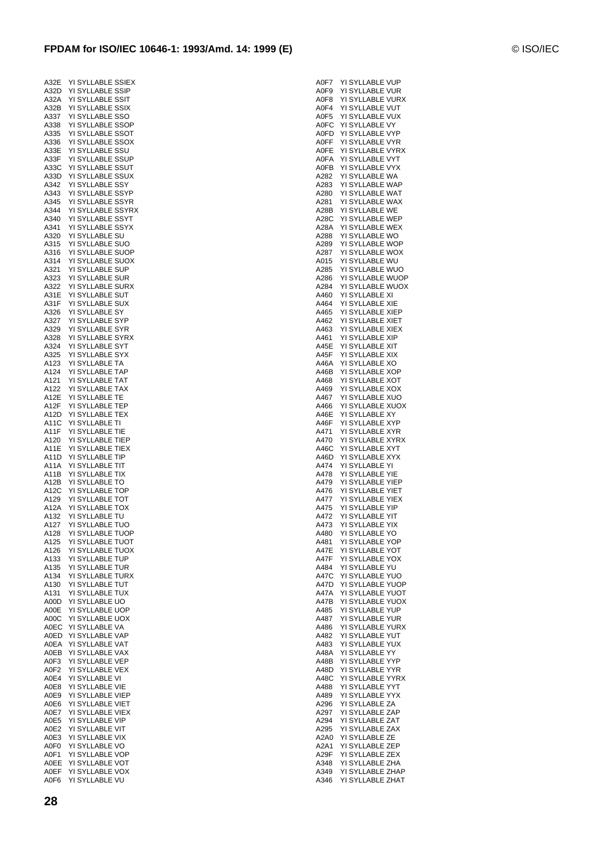| A32E         | YI SYLLABLE SSIEX                        |
|--------------|------------------------------------------|
| A32D         | YI SYLLABLE SSIP                         |
| A32A         | YI SYLLABLE SSIT                         |
| A32B<br>A337 | YI SYLLABLE SSIX<br>YI SYLLABLE SSO      |
| A338         | YI SYLLABLE<br>SSOP                      |
| A335         | YI SYLLABLE SSOT                         |
| A336         | YI SYLLABLE<br>SSOX                      |
| A33E         | YI SYLLABLE<br>SSU                       |
| A33F         | YI SYLLABLE<br>SSUP                      |
| A33C         | YI SYLLABLE<br>SSUT                      |
| A33D         | YI SYLLABLE<br><b>SSUX</b>               |
| A342         | YI SYLLABLE<br>SSY                       |
| A343         | YI SYLLABLE<br>SSYP                      |
| A345         | YI SYLLABLE SSYR                         |
| A344         | YI SYLLABLE SSYRX                        |
| A340         | YI SYLLABLE SSYT                         |
| A341         | YI SYLLABLE<br>SSYX                      |
| A320         | YI SYLLABLE<br>SU                        |
| A315         | YI SYLLABLE<br>SUO                       |
| A316         | YI SYLLABLE<br>SUOP                      |
| A314<br>A321 | YI SYLLABLE SUOX                         |
| A323         | YI SYLLABLE<br>SUP<br>YI SYLLABLE<br>SUR |
| A322         | YI SYLLABLE<br><b>SURX</b>               |
| A31E         | YI SYLLABLE<br>SUT                       |
| A31F         | YI SYLLABLE<br>SUX                       |
| A326         | YI SYLLABLE<br>SY                        |
| A327         | YI SYLLABLE<br>SYP                       |
| A329         | YI SYLLABLE<br>SYR                       |
| A328         | YI SYLLABLE<br>SYRX                      |
| A324         | YI SYLLABLE SYT                          |
| A325         | YI SYLLABLE<br>SYX                       |
| A123         | YI SYLLABLE<br>ТA                        |
| A124         | YI SYLLABLE TAP                          |
| A121         | YI SYLLABLE<br><b>TAT</b>                |
| A122         | YI SYLLABLE TAX                          |
| A12E         | YI SYLLABLE<br>TE                        |
| A12F         | YI SYLLABLE TEP                          |
| A12D         | YI SYLLABLE TEX                          |
| A11C         | YI SYLLABLE<br>TI                        |
| A11F         | YI SYLLABLE<br>TIE                       |
| A120         | YI SYLLABLE<br>TIEP                      |
| A11E<br>A11D | YI SYLLABLE<br>TIEX<br>YI SYLLABLE TIP   |
| A11A         | YI SYLLABLE<br>TIT                       |
| A11B         | YI SYLLABLE TIX                          |
| A12B         | YI SYLLABLE TO                           |
| A12C         | YI SYLLABLE TOP                          |
| A129         | YI SYLLABLE TOT                          |
| A12A         | YI SYLLABLE<br>тох                       |
| A132         | YI SYLLABLE TU                           |
| A127         | YI SYLLABLE<br>TUO                       |
| A128         | YI SYLLABLE<br><b>TUOP</b>               |
| A125         | YI SYLLABLE TUOT                         |
| A126         | YI SYLLABLE TUOX                         |
| A133         | YI SYLLABLE TUP                          |
| A135         | YI SYLLABLE TUR                          |
| A134         | YI SYLLABLE<br><b>TURX</b>               |
| A130         | <b>TUT</b><br>YI SYLLABLE                |
| A131         | YI SYLLABLE<br>TUX<br>YI SYLLABLE        |
| A00D<br>A00E | UO<br>YI SYLLABLE<br><b>UOP</b>          |
| A00C         | YI SYLLABLE<br><b>UOX</b>                |
| A0EC         | YI SYLLABLE<br>VA                        |
| A0ED         | YI SYLLABLE<br>VAP                       |
| A0EA         | YI SYLLABLE VAT                          |
| A0EB         | YI SYLLABLE VAX                          |
| A0F3         | YI SYLLABLE VEP                          |
| A0F2         | YI SYLLABLE VEX                          |
| A0E4         | YI SYLLABLE VI                           |
| A0E8         | YI SYLLABLE VIE                          |
| A0E9         | YI SYLLABLE VIEP                         |
| A0E6         | YI SYLLABLE VIET                         |
| A0E7         | YI SYLLABLE VIEX                         |
| A0E5         | YI SYLLABLE VIP                          |
| A0E2         | YI SYLLABLE VIT                          |
| A0E3         | YI SYLLABLE VIX                          |
| A0F0         | YI SYLLABLE VO                           |
| A0F1         | YI SYLLABLE VOP                          |
| A0EE         | YI SYLLABLE VOT                          |

|                      |  | A0F7 YI SYLLABLE VUP |
|----------------------|--|----------------------|
| A0F9                 |  | YI SYLLABLE VUR      |
|                      |  | YI SYLLABLE VURX     |
| A0F8<br>A0F4         |  |                      |
|                      |  | YI SYLLABLE VUT      |
| A0F5                 |  | YI SYLLABLE VUX      |
|                      |  | AOFC YISYLLABLE VY   |
| A0FD                 |  | YI SYLLABLE VYP      |
| A0FF                 |  | YI SYLLABLE VYR      |
| A0FE                 |  | YI SYLLABLE VYRX     |
| A0FA                 |  | YI SYLLABLE VYT      |
| A0FB                 |  | YI SYLLABLE VYX      |
| A282                 |  | YI SYLLABLE WA       |
| A283                 |  | YI SYLLABLE WAP      |
| A280                 |  | YI SYLLABLE WAT      |
|                      |  |                      |
| A281                 |  | YI SYLLABLE WAX      |
| A28B                 |  | YI SYLLABLE WE       |
| A28C                 |  | YI SYLLABLE WEP      |
| A28A                 |  | YI SYLLABLE WEX      |
| A288<br>A289<br>A287 |  | YI SYLLABLE WO       |
|                      |  | YI SYLLABLE WOP      |
|                      |  | YI SYLLABLE WOX      |
|                      |  | YI SYLLABLE WU       |
| A015<br>A285         |  | YI SYLLABLE WUO      |
| A286                 |  | YI SYLLABLE WUOP     |
|                      |  |                      |
| A284<br>A460         |  | YI SYLLABLE WUOX     |
|                      |  | YI SYLLABLE XI       |
| A464                 |  | YI SYLLABLE XIE      |
| A465<br>A462         |  | YI SYLLABLE XIEP     |
|                      |  | YI SYLLABLE XIET     |
| A463<br>A461         |  | YI SYLLABLE XIEX     |
|                      |  | YI SYLLABLE XIP      |
|                      |  | YI SYLLABLE XIT      |
| A45E<br>A45F         |  |                      |
|                      |  | YI SYLLABLE XIX      |
| A46A                 |  | YI SYLLABLE XO       |
| A46B                 |  | YI SYLLABLE XOP      |
| A468                 |  | YI SYLLABLE XOT      |
| A469                 |  | YI SYLLABLE XOX      |
| A467                 |  | YI SYLLABLE XUO      |
| A466                 |  | YI SYLLABLE XUOX     |
| A46E<br>A46E<br>A46F |  | YI SYLLABLE XY       |
|                      |  | YI SYLLABLE XYP      |
|                      |  |                      |
| A471                 |  | YI SYLLABLE XYR      |
| A470                 |  | YI SYLLABLE XYRX     |
| A46C<br>A46D         |  | YI SYLLABLE XYT      |
|                      |  | YI SYLLABLE XYX      |
| A474                 |  | YI SYLLABLE<br>YI    |
| A478                 |  | YI SYLLABLE YIE      |
| A479                 |  | YI SYLLABLE YIEP     |
| A476                 |  | YI SYLLABLE YIET     |
| A477                 |  | YI SYLLABLE YIEX     |
|                      |  |                      |
| A475                 |  | YI SYLLABLE<br>YIP   |
| A472<br>A473         |  | YI SYLLABLE YIT      |
|                      |  | YI SYLLABLE YIX      |
| A480                 |  | YI SYLLABLE YO       |
| A481                 |  | YI SYLLABLE YOP      |
| A47E                 |  | YI SYLLABLE YOT      |
| A47F                 |  | YI SYLLABLE YOX      |
| A484                 |  | YI SYLLABLE YU       |
|                      |  |                      |
| A47C                 |  | YI SYLLABLE YUO      |
| A47D                 |  | YI SYLLABLE YUOP     |
| A47A                 |  | YI SYLLABLE YUOT     |
| A47B                 |  | YI SYLLABLE YUOX     |
| A485                 |  | YI SYLLABLE YUP      |
| A487                 |  | YI SYLLABLE YUR      |
| A486                 |  | YI SYLLABLE YURX     |
| A482                 |  | YI SYLLABLE YUT      |
| A483                 |  | YI SYLLABLE YUX      |
|                      |  |                      |
| A48A                 |  | YI SYLLABLE YY       |
| A48B                 |  | YI SYLLABLE YYP      |
| A48D                 |  | YI SYLLABLE YYR      |
| A48C                 |  | YI SYLLABLE YYRX     |
| A488                 |  | YI SYLLABLE YYT      |
| A489                 |  | YI SYLLABLE YYX      |
| A296                 |  | YI SYLLABLE ZA       |
| A297                 |  | YI SYLLABLE ZAP      |
|                      |  |                      |
| A294                 |  | YI SYLLABLE ZAT      |
| A295                 |  | YI SYLLABLE ZAX      |
| A2A0                 |  | YI SYLLABLE ZE       |
| A2A1                 |  | YI SYLLABLE ZEP      |
| A29F                 |  | YI SYLLABLE ZEX      |
| A348                 |  | YI SYLLABLE ZHA      |
| A349                 |  | YI SYLLABLE ZHAP     |
| A346                 |  | YI SYLLABLE ZHAT     |
|                      |  |                      |

A0EF YI SYLLABLE VOX A0F6 YI SYLLABLE VU